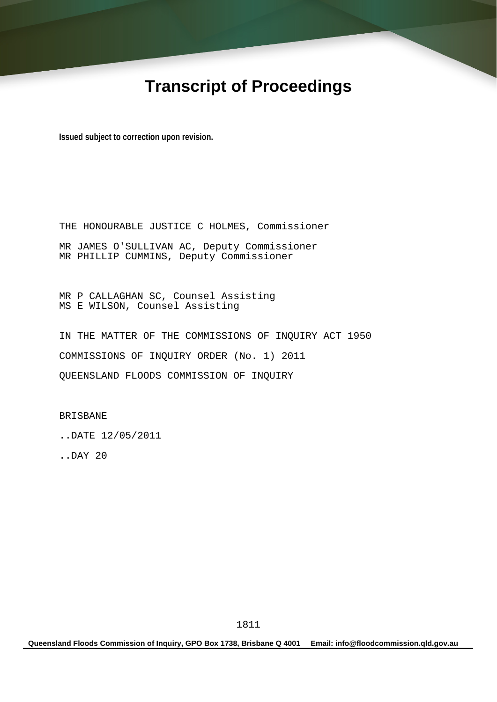# **Transcript of Proceedings**

**Issued subject to correction upon revision.** 

THE HONOURABLE JUSTICE C HOLMES, Commissioner MR JAMES O'SULLIVAN AC, Deputy Commissioner MR PHILLIP CUMMINS, Deputy Commissioner

MR P CALLAGHAN SC, Counsel Assisting MS E WILSON, Counsel Assisting

IN THE MATTER OF THE COMMISSIONS OF INQUIRY ACT 1950 COMMISSIONS OF INQUIRY ORDER (No. 1) 2011 QUEENSLAND FLOODS COMMISSION OF INQUIRY

BRISBANE

..DATE 12/05/2011

..DAY 20

**Queensland Floods Commission of Inquiry, GPO Box 1738, Brisbane Q 4001 Email: info@floodcommission.qld.gov.au**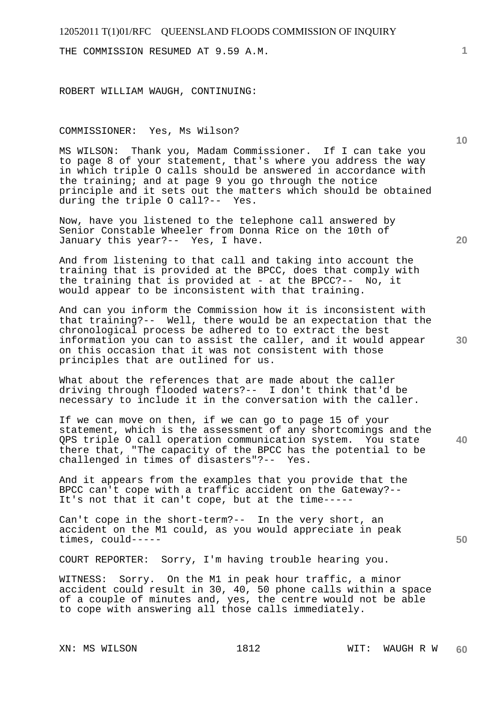THE COMMISSION RESUMED AT 9.59 A.M.

ROBERT WILLIAM WAUGH, CONTINUING:

## COMMISSIONER: Yes, Ms Wilson?

MS WILSON: Thank you, Madam Commissioner. If I can take you to page 8 of your statement, that's where you address the way in which triple O calls should be answered in accordance with the training; and at page 9 you go through the notice principle and it sets out the matters which should be obtained during the triple O call?-- Yes.

Now, have you listened to the telephone call answered by Senior Constable Wheeler from Donna Rice on the 10th of January this year?-- Yes, I have.

And from listening to that call and taking into account the training that is provided at the BPCC, does that comply with the training that is provided at - at the BPCC?--  $N_O$ , it would appear to be inconsistent with that training.

And can you inform the Commission how it is inconsistent with that training?-- Well, there would be an expectation that the chronological process be adhered to to extract the best information you can to assist the caller, and it would appear on this occasion that it was not consistent with those principles that are outlined for us.

What about the references that are made about the caller driving through flooded waters?-- I don't think that'd be necessary to include it in the conversation with the caller.

**40**  If we can move on then, if we can go to page 15 of your statement, which is the assessment of any shortcomings and the QPS triple O call operation communication system. You state there that, "The capacity of the BPCC has the potential to be challenged in times of disasters"?-- Yes.

And it appears from the examples that you provide that the BPCC can't cope with a traffic accident on the Gateway?-- It's not that it can't cope, but at the time-----

Can't cope in the short-term?-- In the very short, an accident on the M1 could, as you would appreciate in peak times, could-----

COURT REPORTER: Sorry, I'm having trouble hearing you.

WITNESS: Sorry. On the M1 in peak hour traffic, a minor accident could result in 30, 40, 50 phone calls within a space of a couple of minutes and, yes, the centre would not be able to cope with answering all those calls immediately.

**20** 

**50** 

**10**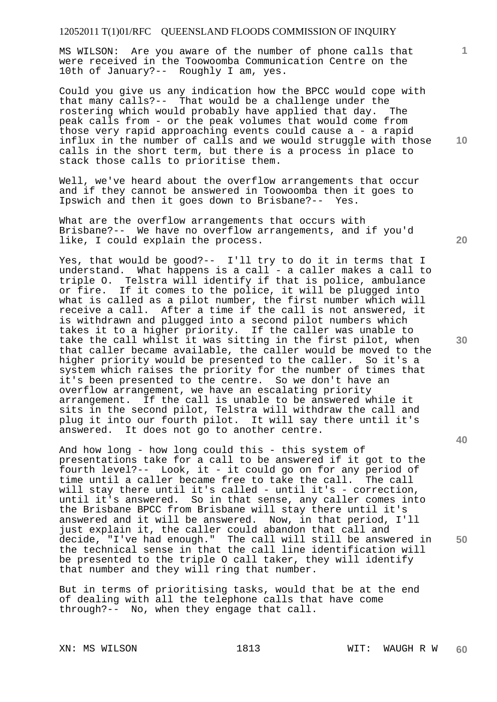MS WILSON: Are you aware of the number of phone calls that were received in the Toowoomba Communication Centre on the 10th of January?-- Roughly I am, yes.

Could you give us any indication how the BPCC would cope with that many calls?-- That would be a challenge under the rostering which would probably have applied that day. The peak calls from - or the peak volumes that would come from those very rapid approaching events could cause a - a rapid influx in the number of calls and we would struggle with those calls in the short term, but there is a process in place to stack those calls to prioritise them.

Well, we've heard about the overflow arrangements that occur and if they cannot be answered in Toowoomba then it goes to Ipswich and then it goes down to Brisbane?-- Yes.

What are the overflow arrangements that occurs with Brisbane?-- We have no overflow arrangements, and if you'd like, I could explain the process.

Yes, that would be good?-- I'll try to do it in terms that I understand. What happens is a call - a caller makes a call to triple O. Telstra will identify if that is police, ambulance or fire. If it comes to the police, it will be plugged into what is called as a pilot number, the first number which will receive a call. After a time if the call is not answered, it is withdrawn and plugged into a second pilot numbers which takes it to a higher priority. If the caller was unable to take the call whilst it was sitting in the first pilot, when that caller became available, the caller would be moved to the higher priority would be presented to the caller. So it's a system which raises the priority for the number of times that it's been presented to the centre. So we don't have an overflow arrangement, we have an escalating priority arrangement. If the call is unable to be answered while it sits in the second pilot, Telstra will withdraw the call and plug it into our fourth pilot. It will say there until it's answered. It does not go to another centre.

And how long - how long could this - this system of presentations take for a call to be answered if it got to the fourth level?-- Look, it - it could go on for any period of time until a caller became free to take the call. The call will stay there until it's called - until it's - correction, until it's answered. So in that sense, any caller comes into the Brisbane BPCC from Brisbane will stay there until it's answered and it will be answered. Now, in that period, I'll just explain it, the caller could abandon that call and decide, "I've had enough." The call will still be answered in the technical sense in that the call line identification will be presented to the triple O call taker, they will identify that number and they will ring that number.

But in terms of prioritising tasks, would that be at the end of dealing with all the telephone calls that have come through?-- No, when they engage that call.

**20** 

**10** 

**40** 

**50**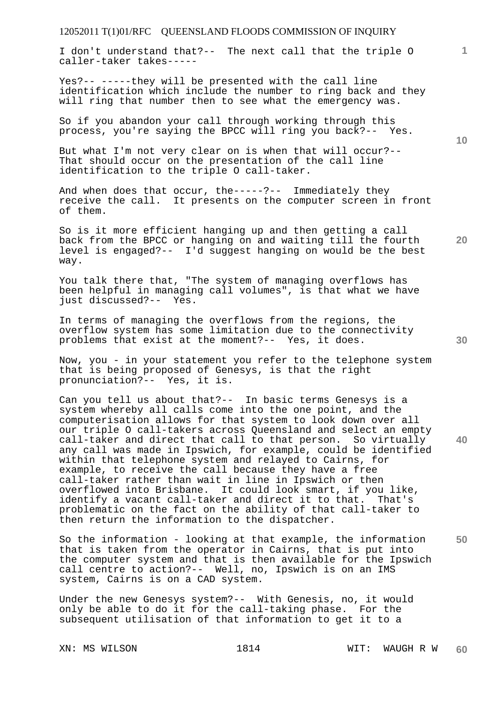I don't understand that?-- The next call that the triple O caller-taker takes-----

Yes?-- -----they will be presented with the call line identification which include the number to ring back and they will ring that number then to see what the emergency was.

So if you abandon your call through working through this process, you're saying the BPCC will ring you back?-- Yes.

But what I'm not very clear on is when that will occur?-- That should occur on the presentation of the call line identification to the triple O call-taker.

And when does that occur, the-----?-- Immediately they receive the call. It presents on the computer screen in front of them.

So is it more efficient hanging up and then getting a call back from the BPCC or hanging on and waiting till the fourth level is engaged?-- I'd suggest hanging on would be the best way.

You talk there that, "The system of managing overflows has been helpful in managing call volumes", is that what we have just discussed?-- Yes.

In terms of managing the overflows from the regions, the overflow system has some limitation due to the connectivity problems that exist at the moment?-- Yes, it does.

Now, you - in your statement you refer to the telephone system that is being proposed of Genesys, is that the right pronunciation?-- Yes, it is.

Can you tell us about that?-- In basic terms Genesys is a system whereby all calls come into the one point, and the computerisation allows for that system to look down over all our triple O call-takers across Queensland and select an empty call-taker and direct that call to that person. So virtually any call was made in Ipswich, for example, could be identified within that telephone system and relayed to Cairns, for example, to receive the call because they have a free call-taker rather than wait in line in Ipswich or then overflowed into Brisbane. It could look smart, if you like, identify a vacant call-taker and direct it to that. That's problematic on the fact on the ability of that call-taker to then return the information to the dispatcher.

**50**  So the information - looking at that example, the information that is taken from the operator in Cairns, that is put into the computer system and that is then available for the Ipswich call centre to action?-- Well, no, Ipswich is on an IMS system, Cairns is on a CAD system.

Under the new Genesys system?-- With Genesis, no, it would only be able to do it for the call-taking phase. For the subsequent utilisation of that information to get it to a

**10** 

**1**

**30** 

**40**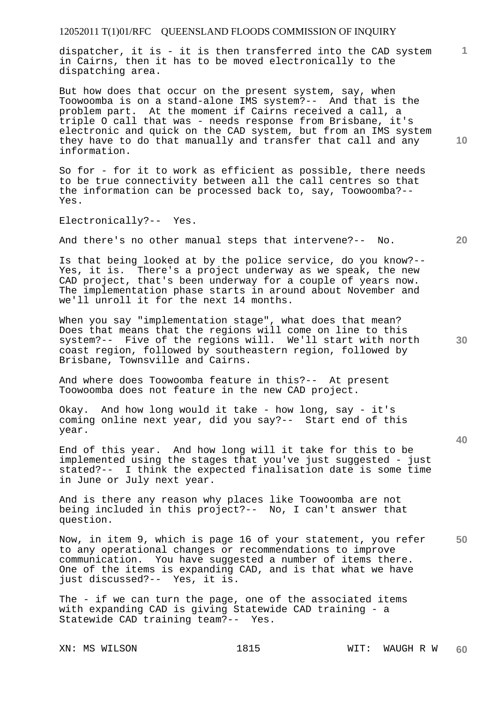dispatcher, it is - it is then transferred into the CAD system in Cairns, then it has to be moved electronically to the dispatching area.

But how does that occur on the present system, say, when Toowoomba is on a stand-alone IMS system?-- And that is the problem part. At the moment if Cairns received a call, a triple O call that was - needs response from Brisbane, it's electronic and quick on the CAD system, but from an IMS system they have to do that manually and transfer that call and any information.

So for - for it to work as efficient as possible, there needs to be true connectivity between all the call centres so that the information can be processed back to, say, Toowoomba?-- Yes.

Electronically?-- Yes.

And there's no other manual steps that intervene?-- No.

Is that being looked at by the police service, do you know?-- Yes, it is. There's a project underway as we speak, the new CAD project, that's been underway for a couple of years now. The implementation phase starts in around about November and we'll unroll it for the next 14 months.

When you say "implementation stage", what does that mean? Does that means that the regions will come on line to this system?-- Five of the regions will. We'll start with north coast region, followed by southeastern region, followed by Brisbane, Townsville and Cairns.

And where does Toowoomba feature in this?-- At present Toowoomba does not feature in the new CAD project.

Okay. And how long would it take - how long, say - it's coming online next year, did you say?-- Start end of this year.

End of this year. And how long will it take for this to be implemented using the stages that you've just suggested - just stated?-- I think the expected finalisation date is some time in June or July next year.

And is there any reason why places like Toowoomba are not being included in this project?-- No, I can't answer that question.

**50**  Now, in item 9, which is page 16 of your statement, you refer to any operational changes or recommendations to improve communication. You have suggested a number of items there. One of the items is expanding CAD, and is that what we have just discussed?-- Yes, it is.

The - if we can turn the page, one of the associated items with expanding CAD is giving Statewide CAD training - a Statewide CAD training team?-- Yes.

**10** 

**20** 

**1**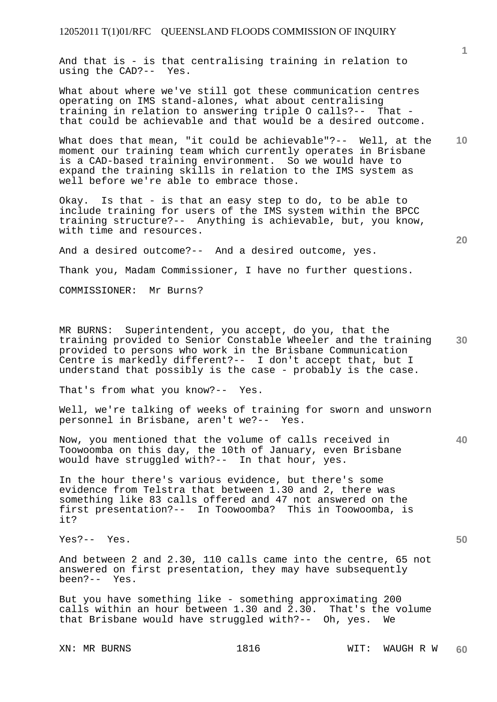And that is - is that centralising training in relation to using the CAD?-- Yes.

What about where we've still got these communication centres operating on IMS stand-alones, what about centralising training in relation to answering triple O calls?-- That that could be achievable and that would be a desired outcome.

**10**  What does that mean, "it could be achievable"?-- Well, at the moment our training team which currently operates in Brisbane is a CAD-based training environment. So we would have to expand the training skills in relation to the IMS system as well before we're able to embrace those.

Okay. Is that - is that an easy step to do, to be able to include training for users of the IMS system within the BPCC training structure?-- Anything is achievable, but, you know, with time and resources.

And a desired outcome?-- And a desired outcome, yes.

Thank you, Madam Commissioner, I have no further questions.

COMMISSIONER: Mr Burns?

**30**  MR BURNS: Superintendent, you accept, do you, that the training provided to Senior Constable Wheeler and the training provided to persons who work in the Brisbane Communication Centre is markedly different?-- I don't accept that, but I understand that possibly is the case - probably is the case.

That's from what you know?-- Yes.

Well, we're talking of weeks of training for sworn and unsworn personnel in Brisbane, aren't we?-- Yes.

Now, you mentioned that the volume of calls received in Toowoomba on this day, the 10th of January, even Brisbane would have struggled with?-- In that hour, yes.

In the hour there's various evidence, but there's some evidence from Telstra that between 1.30 and 2, there was something like 83 calls offered and 47 not answered on the first presentation?-- In Toowoomba? This in Toowoomba, is it?

Yes?-- Yes.

And between 2 and 2.30, 110 calls came into the centre, 65 not answered on first presentation, they may have subsequently been?-- Yes.

But you have something like - something approximating 200 calls within an hour between 1.30 and 2.30. That's the volume that Brisbane would have struggled with?-- Oh, yes. We

**20**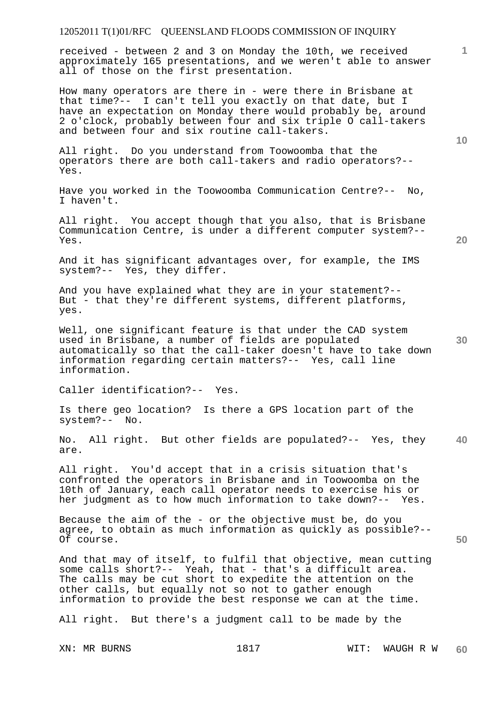received - between 2 and 3 on Monday the 10th, we received approximately 165 presentations, and we weren't able to answer all of those on the first presentation.

How many operators are there in - were there in Brisbane at that time?-- I can't tell you exactly on that date, but I have an expectation on Monday there would probably be, around 2 o'clock, probably between four and six triple O call-takers and between four and six routine call-takers.

All right. Do you understand from Toowoomba that the operators there are both call-takers and radio operators?-- Yes.

Have you worked in the Toowoomba Communication Centre?-- No, I haven't.

All right. You accept though that you also, that is Brisbane Communication Centre, is under a different computer system?-- Yes.

And it has significant advantages over, for example, the IMS system?-- Yes, they differ.

And you have explained what they are in your statement?-- But - that they're different systems, different platforms, yes.

Well, one significant feature is that under the CAD system used in Brisbane, a number of fields are populated automatically so that the call-taker doesn't have to take down information regarding certain matters?-- Yes, call line information.

Caller identification?-- Yes.

Is there geo location? Is there a GPS location part of the system?-- No.

**40**  No. All right. But other fields are populated?-- Yes, they are.

All right. You'd accept that in a crisis situation that's confronted the operators in Brisbane and in Toowoomba on the 10th of January, each call operator needs to exercise his or her judgment as to how much information to take down?-- Yes.

Because the aim of the - or the objective must be, do you agree, to obtain as much information as quickly as possible?-- Of course.

And that may of itself, to fulfil that objective, mean cutting some calls short?-- Yeah, that - that's a difficult area. The calls may be cut short to expedite the attention on the other calls, but equally not so not to gather enough information to provide the best response we can at the time.

All right. But there's a judgment call to be made by the

**10** 

**1**

**30** 

**50**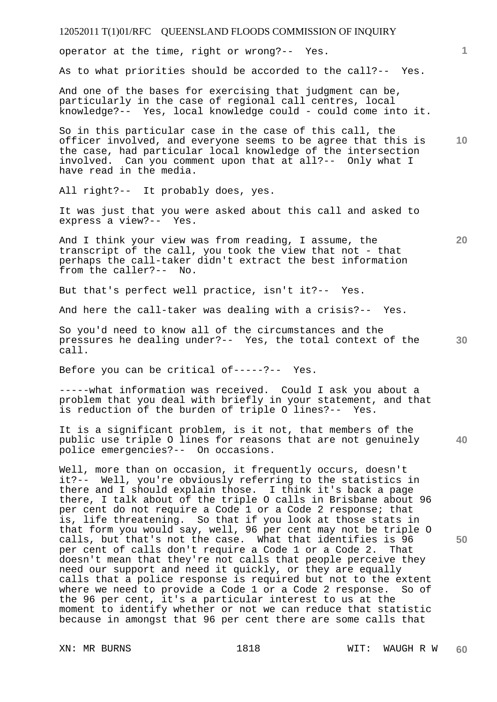| 12052011 T(1)01/RFC QUEENSLAND FLOODS COMMISSION OF INQUIRY                                                                                                                                                                                                                                                                                                                                                                                                                                                                                                                                 |    |
|---------------------------------------------------------------------------------------------------------------------------------------------------------------------------------------------------------------------------------------------------------------------------------------------------------------------------------------------------------------------------------------------------------------------------------------------------------------------------------------------------------------------------------------------------------------------------------------------|----|
| operator at the time, right or wrong?-- Yes.                                                                                                                                                                                                                                                                                                                                                                                                                                                                                                                                                | 1. |
| As to what priorities should be accorded to the call?-- Yes.                                                                                                                                                                                                                                                                                                                                                                                                                                                                                                                                |    |
| And one of the bases for exercising that judgment can be,<br>particularly in the case of regional call centres, local<br>knowledge?-- Yes, local knowledge could - could come into it.                                                                                                                                                                                                                                                                                                                                                                                                      |    |
| So in this particular case in the case of this call, the<br>officer involved, and everyone seems to be agree that this is<br>the case, had particular local knowledge of the intersection<br>involved. Can you comment upon that at all?-- Only what I<br>have read in the media.                                                                                                                                                                                                                                                                                                           | 10 |
| All right?-- It probably does, yes.                                                                                                                                                                                                                                                                                                                                                                                                                                                                                                                                                         |    |
| It was just that you were asked about this call and asked to<br>express a view?-- Yes.                                                                                                                                                                                                                                                                                                                                                                                                                                                                                                      |    |
| And I think your view was from reading, I assume, the<br>transcript of the call, you took the view that not - that<br>perhaps the call-taker didn't extract the best information<br>from the caller?-- No.                                                                                                                                                                                                                                                                                                                                                                                  | 20 |
| But that's perfect well practice, isn't it ?-- Yes.                                                                                                                                                                                                                                                                                                                                                                                                                                                                                                                                         |    |
| And here the call-taker was dealing with a crisis?-- Yes.                                                                                                                                                                                                                                                                                                                                                                                                                                                                                                                                   |    |
| So you'd need to know all of the circumstances and the<br>pressures he dealing under?-- Yes, the total context of the<br>call.                                                                                                                                                                                                                                                                                                                                                                                                                                                              | 30 |
| Before you can be critical of-----?-- Yes.                                                                                                                                                                                                                                                                                                                                                                                                                                                                                                                                                  |    |
| -----what information was received. Could I ask you about a<br>problem that you deal with briefly in your statement, and that<br>is reduction of the burden of triple O lines?-- Yes.                                                                                                                                                                                                                                                                                                                                                                                                       |    |
| It is a significant problem, is it not, that members of the<br>public use triple O lines for reasons that are not genuinely<br>police emergencies?-- On occasions.                                                                                                                                                                                                                                                                                                                                                                                                                          | 40 |
| Well, more than on occasion, it frequently occurs, doesn't<br>it?-- Well, you're obviously referring to the statistics in<br>there and I should explain those. I think it's back a page<br>there, I talk about of the triple O calls in Brisbane about 96<br>per cent do not require a Code 1 or a Code 2 response; that<br>is, life threatening. So that if you look at those stats in<br>that form you would say, well, 96 per cent may not be triple O                                                                                                                                   |    |
| calls, but that's not the case. What that identifies is 96<br>per cent of calls don't require a Code 1 or a Code 2.<br>That<br>doesn't mean that they're not calls that people perceive they<br>need our support and need it quickly, or they are equally<br>calls that a police response is required but not to the extent<br>where we need to provide a Code 1 or a Code 2 response. So of<br>the 96 per cent, it's a particular interest to us at the<br>moment to identify whether or not we can reduce that statistic<br>because in amongst that 96 per cent there are some calls that | 50 |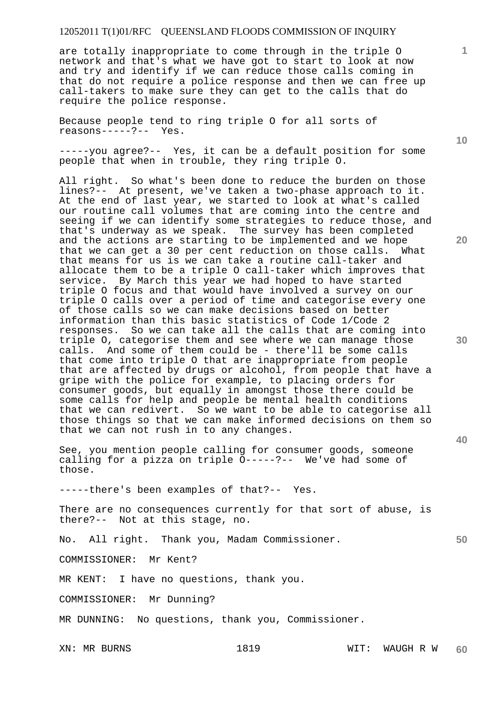are totally inappropriate to come through in the triple O network and that's what we have got to start to look at now and try and identify if we can reduce those calls coming in that do not require a police response and then we can free up call-takers to make sure they can get to the calls that do require the police response.

Because people tend to ring triple O for all sorts of reasons-----?-- Yes.

-----you agree?-- Yes, it can be a default position for some people that when in trouble, they ring triple O.

All right. So what's been done to reduce the burden on those lines?-- At present, we've taken a two-phase approach to it. At the end of last year, we started to look at what's called our routine call volumes that are coming into the centre and seeing if we can identify some strategies to reduce those, and that's underway as we speak. The survey has been completed and the actions are starting to be implemented and we hope that we can get a 30 per cent reduction on those calls. What that means for us is we can take a routine call-taker and allocate them to be a triple O call-taker which improves that service. By March this year we had hoped to have started triple O focus and that would have involved a survey on our triple O calls over a period of time and categorise every one of those calls so we can make decisions based on better information than this basic statistics of Code 1/Code 2 responses. So we can take all the calls that are coming into triple O, categorise them and see where we can manage those calls. And some of them could be - there'll be some calls that come into triple O that are inappropriate from people that are affected by drugs or alcohol, from people that have a gripe with the police for example, to placing orders for consumer goods, but equally in amongst those there could be some calls for help and people be mental health conditions that we can redivert. So we want to be able to categorise all those things so that we can make informed decisions on them so that we can not rush in to any changes.

See, you mention people calling for consumer goods, someone calling for a pizza on triple O-----?-- We've had some of those.

-----there's been examples of that?-- Yes.

There are no consequences currently for that sort of abuse, is there?-- Not at this stage, no.

No. All right. Thank you, Madam Commissioner.

COMMISSIONER: Mr Kent?

MR KENT: I have no questions, thank you.

COMMISSIONER: Mr Dunning?

MR DUNNING: No questions, thank you, Commissioner.

**10** 

**20** 

**30** 

**40** 

**50**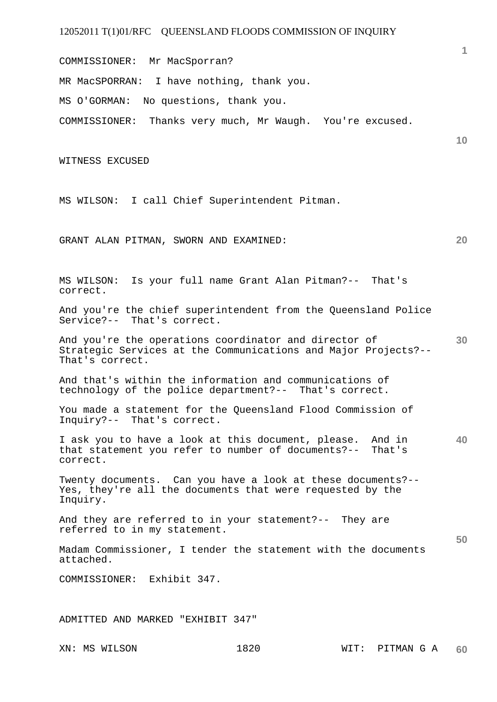COMMISSIONER: Mr MacSporran?

MR MacSPORRAN: I have nothing, thank you.

MS O'GORMAN: No questions, thank you.

COMMISSIONER: Thanks very much, Mr Waugh. You're excused.

WITNESS EXCUSED

MS WILSON: I call Chief Superintendent Pitman.

GRANT ALAN PITMAN, SWORN AND EXAMINED:

MS WILSON: Is your full name Grant Alan Pitman?-- That's correct.

And you're the chief superintendent from the Queensland Police Service?-- That's correct.

**30**  And you're the operations coordinator and director of Strategic Services at the Communications and Major Projects?-- That's correct.

And that's within the information and communications of technology of the police department?-- That's correct.

You made a statement for the Queensland Flood Commission of Inquiry?-- That's correct.

**40**  I ask you to have a look at this document, please. And in that statement you refer to number of documents?-- That's correct.

Twenty documents. Can you have a look at these documents?-- Yes, they're all the documents that were requested by the Inquiry.

And they are referred to in your statement?-- They are referred to in my statement.

Madam Commissioner, I tender the statement with the documents attached.

COMMISSIONER: Exhibit 347.

ADMITTED AND MARKED "EXHIBIT 347"

**1**

**10** 

**20**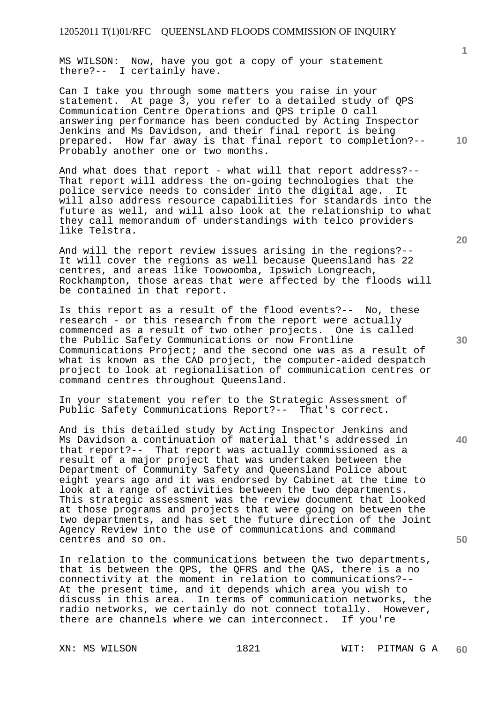MS WILSON: Now, have you got a copy of your statement there?-- I certainly have.

Can I take you through some matters you raise in your statement. At page 3, you refer to a detailed study of QPS Communication Centre Operations and QPS triple O call answering performance has been conducted by Acting Inspector Jenkins and Ms Davidson, and their final report is being prepared. How far away is that final report to completion?-- Probably another one or two months.

And what does that report - what will that report address?-- That report will address the on-going technologies that the police service needs to consider into the digital age. It will also address resource capabilities for standards into the future as well, and will also look at the relationship to what they call memorandum of understandings with telco providers like Telstra.

And will the report review issues arising in the regions?-- It will cover the regions as well because Queensland has 22 centres, and areas like Toowoomba, Ipswich Longreach, Rockhampton, those areas that were affected by the floods will be contained in that report.

Is this report as a result of the flood events?-- No, these research - or this research from the report were actually commenced as a result of two other projects. One is called the Public Safety Communications or now Frontline Communications Project; and the second one was as a result of what is known as the CAD project, the computer-aided despatch project to look at regionalisation of communication centres or command centres throughout Queensland.

In your statement you refer to the Strategic Assessment of Public Safety Communications Report?-- That's correct.

And is this detailed study by Acting Inspector Jenkins and Ms Davidson a continuation of material that's addressed in that report?-- That report was actually commissioned as a result of a major project that was undertaken between the Department of Community Safety and Queensland Police about eight years ago and it was endorsed by Cabinet at the time to look at a range of activities between the two departments. This strategic assessment was the review document that looked at those programs and projects that were going on between the two departments, and has set the future direction of the Joint Agency Review into the use of communications and command centres and so on.

In relation to the communications between the two departments, that is between the QPS, the QFRS and the QAS, there is a no connectivity at the moment in relation to communications?-- At the present time, and it depends which area you wish to discuss in this area. In terms of communication networks, the radio networks, we certainly do not connect totally. However, there are channels where we can interconnect. If you're

**20** 

**40** 

**50** 

**30** 

**10**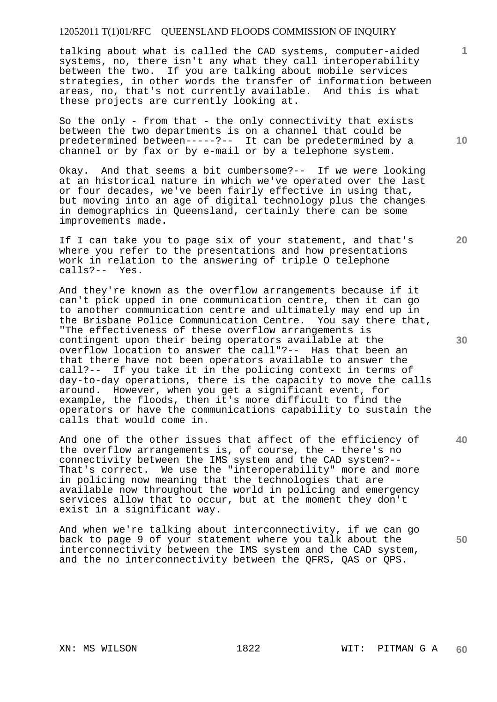talking about what is called the CAD systems, computer-aided systems, no, there isn't any what they call interoperability between the two. If you are talking about mobile services strategies, in other words the transfer of information between areas, no, that's not currently available. And this is what these projects are currently looking at.

So the only - from that - the only connectivity that exists between the two departments is on a channel that could be predetermined between-----?-- It can be predetermined by a channel or by fax or by e-mail or by a telephone system.

Okay. And that seems a bit cumbersome?-- If we were looking at an historical nature in which we've operated over the last or four decades, we've been fairly effective in using that, but moving into an age of digital technology plus the changes in demographics in Queensland, certainly there can be some improvements made.

If I can take you to page six of your statement, and that's where you refer to the presentations and how presentations work in relation to the answering of triple O telephone calls?-- Yes.

And they're known as the overflow arrangements because if it can't pick upped in one communication centre, then it can go to another communication centre and ultimately may end up in the Brisbane Police Communication Centre. You say there that, "The effectiveness of these overflow arrangements is contingent upon their being operators available at the overflow location to answer the call"?-- Has that been an that there have not been operators available to answer the call?-- If you take it in the policing context in terms of day-to-day operations, there is the capacity to move the calls around. However, when you get a significant event, for example, the floods, then it's more difficult to find the operators or have the communications capability to sustain the calls that would come in.

And one of the other issues that affect of the efficiency of the overflow arrangements is, of course, the - there's no connectivity between the IMS system and the CAD system?-- That's correct. We use the "interoperability" more and more in policing now meaning that the technologies that are available now throughout the world in policing and emergency services allow that to occur, but at the moment they don't exist in a significant way.

And when we're talking about interconnectivity, if we can go back to page 9 of your statement where you talk about the interconnectivity between the IMS system and the CAD system, and the no interconnectivity between the QFRS, QAS or QPS.

**20** 

**1**

**10** 

**30** 

**40**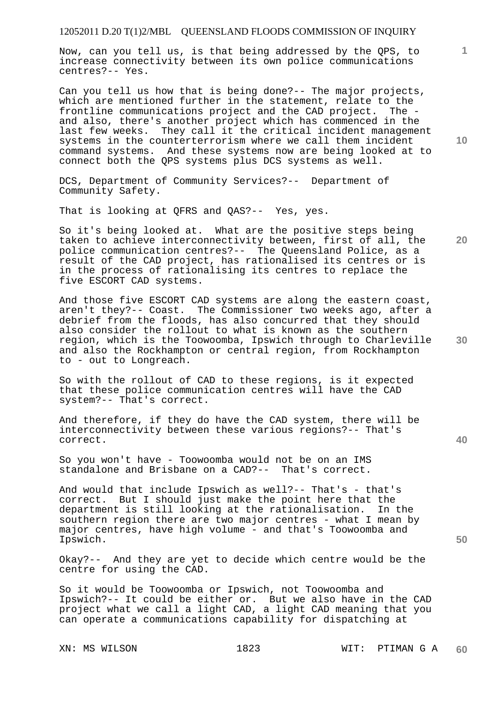Now, can you tell us, is that being addressed by the QPS, to increase connectivity between its own police communications centres?-- Yes.

Can you tell us how that is being done?-- The major projects, which are mentioned further in the statement, relate to the frontline communications project and the CAD project. The and also, there's another project which has commenced in the last few weeks. They call it the critical incident management systems in the counterterrorism where we call them incident command systems. And these systems now are being looked at to connect both the QPS systems plus DCS systems as well.

DCS, Department of Community Services?-- Department of Community Safety.

That is looking at QFRS and QAS?-- Yes, yes.

So it's being looked at. What are the positive steps being taken to achieve interconnectivity between, first of all, the police communication centres?-- The Queensland Police, as a result of the CAD project, has rationalised its centres or is in the process of rationalising its centres to replace the five ESCORT CAD systems.

And those five ESCORT CAD systems are along the eastern coast, aren't they?-- Coast. The Commissioner two weeks ago, after a debrief from the floods, has also concurred that they should also consider the rollout to what is known as the southern region, which is the Toowoomba, Ipswich through to Charleville and also the Rockhampton or central region, from Rockhampton to - out to Longreach.

So with the rollout of CAD to these regions, is it expected that these police communication centres will have the CAD system?-- That's correct.

And therefore, if they do have the CAD system, there will be interconnectivity between these various regions?-- That's correct.

So you won't have - Toowoomba would not be on an IMS standalone and Brisbane on a CAD?-- That's correct.

And would that include Ipswich as well?-- That's - that's correct. But I should just make the point here that the department is still looking at the rationalisation. In the southern region there are two major centres - what I mean by major centres, have high volume - and that's Toowoomba and Ipswich.

Okay?-- And they are yet to decide which centre would be the centre for using the CAD.

So it would be Toowoomba or Ipswich, not Toowoomba and Ipswich?-- It could be either or. But we also have in the CAD project what we call a light CAD, a light CAD meaning that you can operate a communications capability for dispatching at

**10** 

**1**

**20** 

**30** 

**40**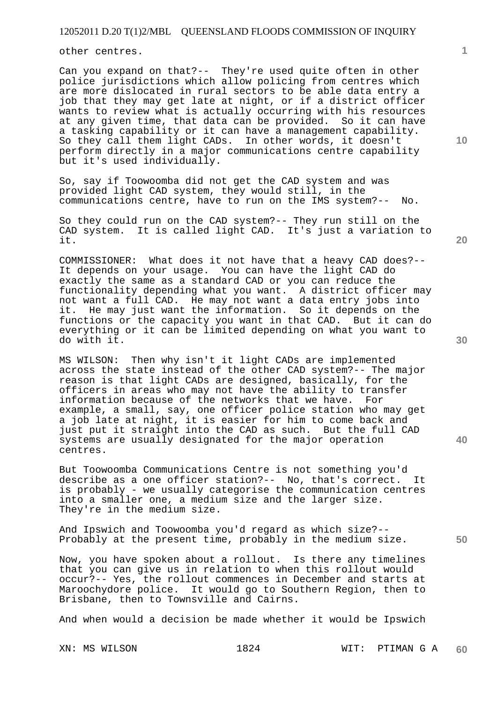other centres.

Can you expand on that?-- They're used quite often in other police jurisdictions which allow policing from centres which are more dislocated in rural sectors to be able data entry a job that they may get late at night, or if a district officer wants to review what is actually occurring with his resources at any given time, that data can be provided. So it can have a tasking capability or it can have a management capability. So they call them light CADs. In other words, it doesn't perform directly in a major communications centre capability but it's used individually.

So, say if Toowoomba did not get the CAD system and was provided light CAD system, they would still, in the communications centre, have to run on the IMS system?-- No.

So they could run on the CAD system?-- They run still on the CAD system. It is called light CAD. It's just a variation to it.

COMMISSIONER: What does it not have that a heavy CAD does?-- It depends on your usage. You can have the light CAD do exactly the same as a standard CAD or you can reduce the functionality depending what you want. A district officer may not want a full CAD. He may not want a data entry jobs into it. He may just want the information. So it depends on the functions or the capacity you want in that CAD. But it can do everything or it can be limited depending on what you want to do with it.

MS WILSON: Then why isn't it light CADs are implemented across the state instead of the other CAD system?-- The major reason is that light CADs are designed, basically, for the officers in areas who may not have the ability to transfer information because of the networks that we have. For example, a small, say, one officer police station who may get a job late at night, it is easier for him to come back and just put it straight into the CAD as such. But the full CAD systems are usually designated for the major operation centres.

But Toowoomba Communications Centre is not something you'd describe as a one officer station?-- No, that's correct. It is probably - we usually categorise the communication centres into a smaller one, a medium size and the larger size. They're in the medium size.

And Ipswich and Toowoomba you'd regard as which size?-- Probably at the present time, probably in the medium size.

Now, you have spoken about a rollout. Is there any timelines that you can give us in relation to when this rollout would occur?-- Yes, the rollout commences in December and starts at Maroochydore police. It would go to Southern Region, then to Brisbane, then to Townsville and Cairns.

And when would a decision be made whether it would be Ipswich

**10** 

**1**

**40**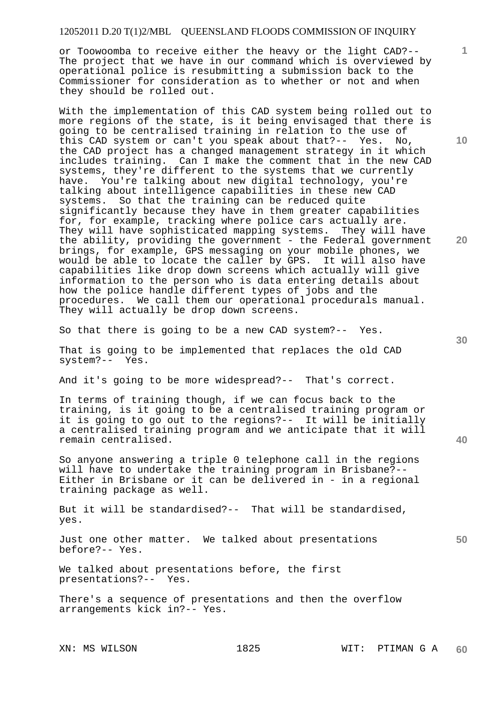or Toowoomba to receive either the heavy or the light CAD?-- The project that we have in our command which is overviewed by operational police is resubmitting a submission back to the Commissioner for consideration as to whether or not and when they should be rolled out.

With the implementation of this CAD system being rolled out to more regions of the state, is it being envisaged that there is going to be centralised training in relation to the use of this CAD system or can't you speak about that?-- Yes. No, the CAD project has a changed management strategy in it which includes training. Can I make the comment that in the new CAD systems, they're different to the systems that we currently have. You're talking about new digital technology, you're talking about intelligence capabilities in these new CAD systems. So that the training can be reduced quite significantly because they have in them greater capabilities for, for example, tracking where police cars actually are. They will have sophisticated mapping systems. They will have the ability, providing the government - the Federal government brings, for example, GPS messaging on your mobile phones, we would be able to locate the caller by GPS. It will also have capabilities like drop down screens which actually will give information to the person who is data entering details about how the police handle different types of jobs and the procedures. We call them our operational procedurals manual. They will actually be drop down screens.

So that there is going to be a new CAD system?-- Yes.

That is going to be implemented that replaces the old CAD system?-- Yes.

And it's going to be more widespread?-- That's correct.

In terms of training though, if we can focus back to the training, is it going to be a centralised training program or it is going to go out to the regions?-- It will be initially a centralised training program and we anticipate that it will remain centralised.

So anyone answering a triple 0 telephone call in the regions will have to undertake the training program in Brisbane?-- Either in Brisbane or it can be delivered in - in a regional training package as well.

But it will be standardised?-- That will be standardised, yes.

Just one other matter. We talked about presentations before?-- Yes.

We talked about presentations before, the first presentations?-- Yes.

There's a sequence of presentations and then the overflow arrangements kick in?-- Yes.

**10** 

**1**

**20** 

**50**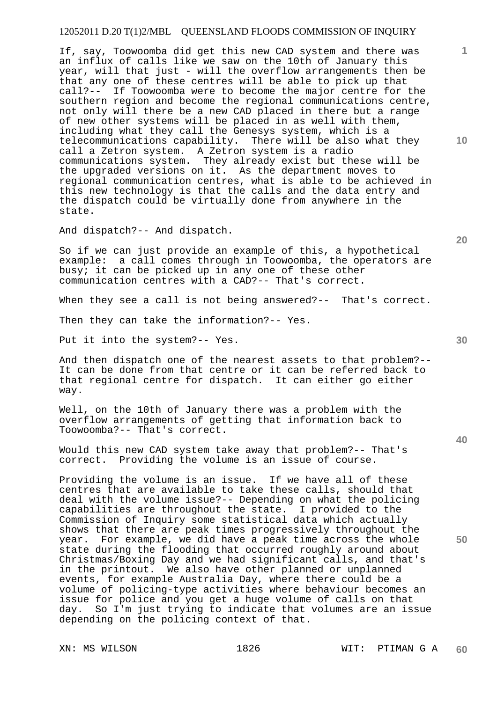If, say, Toowoomba did get this new CAD system and there was an influx of calls like we saw on the 10th of January this year, will that just - will the overflow arrangements then be that any one of these centres will be able to pick up that call?-- If Toowoomba were to become the major centre for the southern region and become the regional communications centre, not only will there be a new CAD placed in there but a range of new other systems will be placed in as well with them, including what they call the Genesys system, which is a telecommunications capability. There will be also what they call a Zetron system. A Zetron system is a radio communications system. They already exist but these will be the upgraded versions on it. As the department moves to regional communication centres, what is able to be achieved in this new technology is that the calls and the data entry and the dispatch could be virtually done from anywhere in the state.

And dispatch?-- And dispatch.

So if we can just provide an example of this, a hypothetical<br>example: a call comes through in Toowoomba, the operators a a call comes through in Toowoomba, the operators are busy; it can be picked up in any one of these other communication centres with a CAD?-- That's correct.

When they see a call is not being answered?-- That's correct.

Then they can take the information?-- Yes.

Put it into the system?-- Yes.

And then dispatch one of the nearest assets to that problem?-- It can be done from that centre or it can be referred back to that regional centre for dispatch. It can either go either way.

Well, on the 10th of January there was a problem with the overflow arrangements of getting that information back to Toowoomba?-- That's correct.

Would this new CAD system take away that problem?-- That's correct. Providing the volume is an issue of course.

Providing the volume is an issue. If we have all of these centres that are available to take these calls, should that deal with the volume issue?-- Depending on what the policing capabilities are throughout the state. I provided to the Commission of Inquiry some statistical data which actually shows that there are peak times progressively throughout the year. For example, we did have a peak time across the whole state during the flooding that occurred roughly around about Christmas/Boxing Day and we had significant calls, and that's in the printout. We also have other planned or unplanned events, for example Australia Day, where there could be a volume of policing-type activities where behaviour becomes an issue for police and you get a huge volume of calls on that day. So I'm just trying to indicate that volumes are an issue depending on the policing context of that.

**20** 

**1**

**10** 

**40**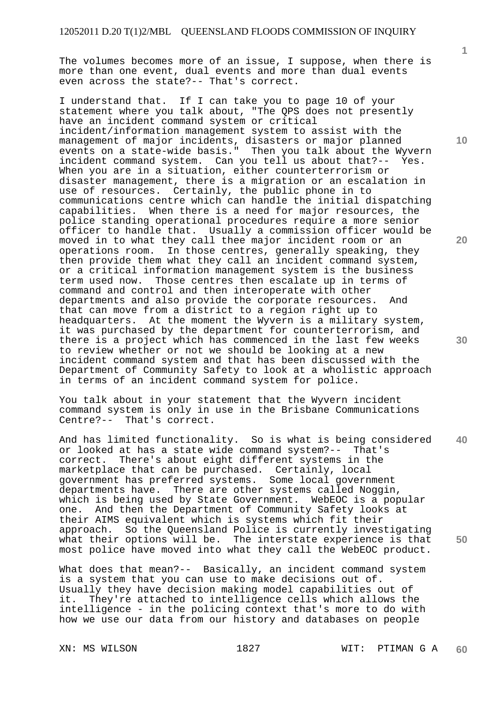The volumes becomes more of an issue, I suppose, when there is more than one event, dual events and more than dual events even across the state?-- That's correct.

I understand that. If I can take you to page 10 of your statement where you talk about, "The QPS does not presently have an incident command system or critical incident/information management system to assist with the management of major incidents, disasters or major planned events on a state-wide basis." Then you talk about the Wyvern incident command system. Can you tell us about that?-- Yes. When you are in a situation, either counterterrorism or disaster management, there is a migration or an escalation in use of resources. Certainly, the public phone in to communications centre which can handle the initial dispatching capabilities. When there is a need for major resources, the police standing operational procedures require a more senior officer to handle that. Usually a commission officer would be moved in to what they call thee major incident room or an operations room. In those centres, generally speaking, they then provide them what they call an incident command system, or a critical information management system is the business<br>term used now. Those centres then escalate up in terms of Those centres then escalate up in terms of command and control and then interoperate with other departments and also provide the corporate resources. And that can move from a district to a region right up to headquarters. At the moment the Wyvern is a military system, it was purchased by the department for counterterrorism, and there is a project which has commenced in the last few weeks to review whether or not we should be looking at a new incident command system and that has been discussed with the Department of Community Safety to look at a wholistic approach in terms of an incident command system for police.

You talk about in your statement that the Wyvern incident command system is only in use in the Brisbane Communications Centre?-- That's correct.

**40 50**  And has limited functionality. So is what is being considered or looked at has a state wide command system?-- That's correct. There's about eight different systems in the marketplace that can be purchased. Certainly, local government has preferred systems. Some local government departments have. There are other systems called Noggin, which is being used by State Government. WebEOC is a popular one. And then the Department of Community Safety looks at their AIMS equivalent which is systems which fit their approach. So the Queensland Police is currently investigating what their options will be. The interstate experience is that most police have moved into what they call the WebEOC product.

What does that mean?-- Basically, an incident command system is a system that you can use to make decisions out of. Usually they have decision making model capabilities out of it. They're attached to intelligence cells which allows the intelligence - in the policing context that's more to do with how we use our data from our history and databases on people

**1**

**10**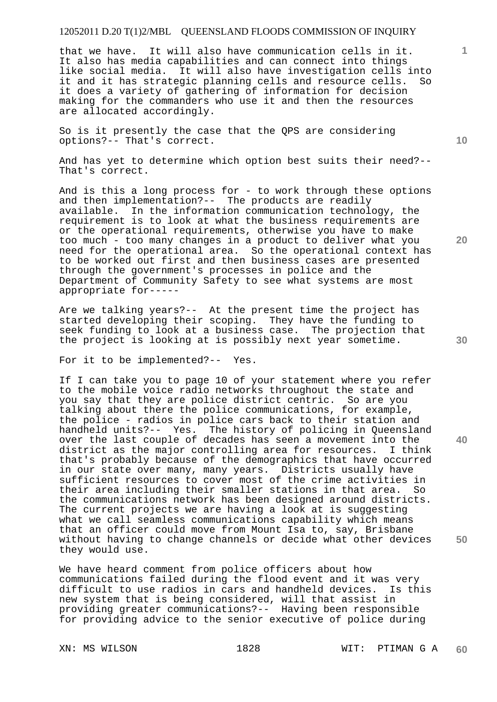that we have. It will also have communication cells in it. It also has media capabilities and can connect into things like social media. It will also have investigation cells into it and it has strategic planning cells and resource cells. So it does a variety of gathering of information for decision making for the commanders who use it and then the resources are allocated accordingly.

So is it presently the case that the QPS are considering options?-- That's correct.

And has yet to determine which option best suits their need?-- That's correct.

And is this a long process for - to work through these options and then implementation?-- The products are readily available. In the information communication technology, the requirement is to look at what the business requirements are or the operational requirements, otherwise you have to make too much - too many changes in a product to deliver what you need for the operational area. So the operational context has to be worked out first and then business cases are presented through the government's processes in police and the Department of Community Safety to see what systems are most appropriate for-----

Are we talking years?-- At the present time the project has started developing their scoping. They have the funding to seek funding to look at a business case. The projection that the project is looking at is possibly next year sometime.

For it to be implemented?-- Yes.

If I can take you to page 10 of your statement where you refer to the mobile voice radio networks throughout the state and you say that they are police district centric. So are you talking about there the police communications, for example, the police - radios in police cars back to their station and handheld units?-- Yes. The history of policing in Queensland over the last couple of decades has seen a movement into the district as the major controlling area for resources. I think that's probably because of the demographics that have occurred in our state over many, many years. Districts usually have sufficient resources to cover most of the crime activities in their area including their smaller stations in that area. So the communications network has been designed around districts. The current projects we are having a look at is suggesting what we call seamless communications capability which means that an officer could move from Mount Isa to, say, Brisbane without having to change channels or decide what other devices they would use.

We have heard comment from police officers about how communications failed during the flood event and it was very difficult to use radios in cars and handheld devices. new system that is being considered, will that assist in providing greater communications?-- Having been responsible for providing advice to the senior executive of police during

**10** 

**20** 

**1**

**30** 

**40**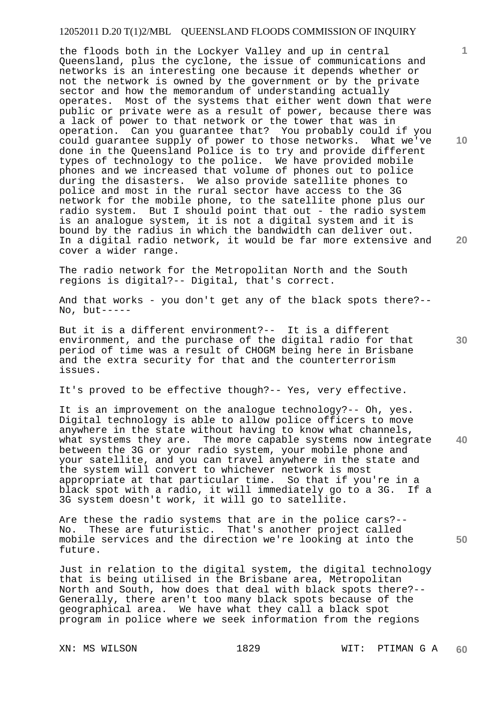the floods both in the Lockyer Valley and up in central Queensland, plus the cyclone, the issue of communications and networks is an interesting one because it depends whether or not the network is owned by the government or by the private sector and how the memorandum of understanding actually operates. Most of the systems that either went down that were public or private were as a result of power, because there was a lack of power to that network or the tower that was in operation. Can you guarantee that? You probably could if you could guarantee supply of power to those networks. What we've done in the Queensland Police is to try and provide different types of technology to the police. We have provided mobile phones and we increased that volume of phones out to police during the disasters. We also provide satellite phones to police and most in the rural sector have access to the 3G network for the mobile phone, to the satellite phone plus our radio system. But I should point that out - the radio system is an analogue system, it is not a digital system and it is bound by the radius in which the bandwidth can deliver out. In a digital radio network, it would be far more extensive and cover a wider range.

The radio network for the Metropolitan North and the South regions is digital?-- Digital, that's correct.

And that works - you don't get any of the black spots there?--  $No, but ---$ 

But it is a different environment?-- It is a different environment, and the purchase of the digital radio for that period of time was a result of CHOGM being here in Brisbane and the extra security for that and the counterterrorism issues.

It's proved to be effective though?-- Yes, very effective.

**40**  It is an improvement on the analogue technology?-- Oh, yes. Digital technology is able to allow police officers to move anywhere in the state without having to know what channels, what systems they are. The more capable systems now integrate between the 3G or your radio system, your mobile phone and your satellite, and you can travel anywhere in the state and the system will convert to whichever network is most appropriate at that particular time. So that if you're in a black spot with a radio, it will immediately go to a 3G. If a 3G system doesn't work, it will go to satellite.

Are these the radio systems that are in the police cars?-- No. These are futuristic. That's another project called mobile services and the direction we're looking at into the future.

Just in relation to the digital system, the digital technology that is being utilised in the Brisbane area, Metropolitan North and South, how does that deal with black spots there?-- Generally, there aren't too many black spots because of the geographical area. We have what they call a black spot program in police where we seek information from the regions

**10** 

**1**

**20** 

**30**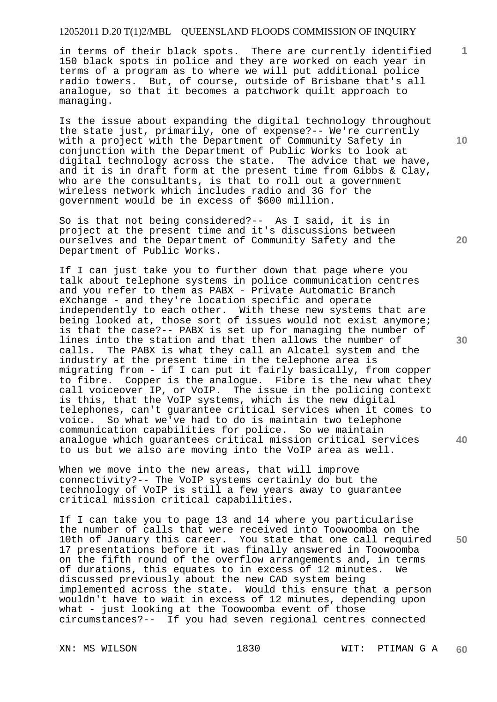in terms of their black spots. There are currently identified 150 black spots in police and they are worked on each year in terms of a program as to where we will put additional police radio towers. But, of course, outside of Brisbane that's all analogue, so that it becomes a patchwork quilt approach to managing.

Is the issue about expanding the digital technology throughout the state just, primarily, one of expense?-- We're currently with a project with the Department of Community Safety in conjunction with the Department of Public Works to look at digital technology across the state. The advice that we have, and it is in draft form at the present time from Gibbs & Clay, who are the consultants, is that to roll out a government wireless network which includes radio and 3G for the government would be in excess of \$600 million.

So is that not being considered?-- As I said, it is in project at the present time and it's discussions between ourselves and the Department of Community Safety and the Department of Public Works.

If I can just take you to further down that page where you talk about telephone systems in police communication centres and you refer to them as PABX - Private Automatic Branch eXchange - and they're location specific and operate independently to each other. With these new systems that are being looked at, those sort of issues would not exist anymore; is that the case?-- PABX is set up for managing the number of lines into the station and that then allows the number of calls. The PABX is what they call an Alcatel system and the industry at the present time in the telephone area is migrating from - if I can put it fairly basically, from copper to fibre. Copper is the analogue. Fibre is the new what they call voiceover IP, or VoIP. The issue in the policing context is this, that the VoIP systems, which is the new digital telephones, can't guarantee critical services when it comes to voice. So what we've had to do is maintain two telephone communication capabilities for police. So we maintain analogue which guarantees critical mission critical services to us but we also are moving into the VoIP area as well.

When we move into the new areas, that will improve connectivity?-- The VoIP systems certainly do but the technology of VoIP is still a few years away to guarantee critical mission critical capabilities.

If I can take you to page 13 and 14 where you particularise the number of calls that were received into Toowoomba on the 10th of January this career. You state that one call required 17 presentations before it was finally answered in Toowoomba on the fifth round of the overflow arrangements and, in terms of durations, this equates to in excess of 12 minutes. We discussed previously about the new CAD system being implemented across the state. Would this ensure that a person wouldn't have to wait in excess of 12 minutes, depending upon what - just looking at the Toowoomba event of those circumstances?-- If you had seven regional centres connected

**10** 

**1**

**20** 

**30** 

**40**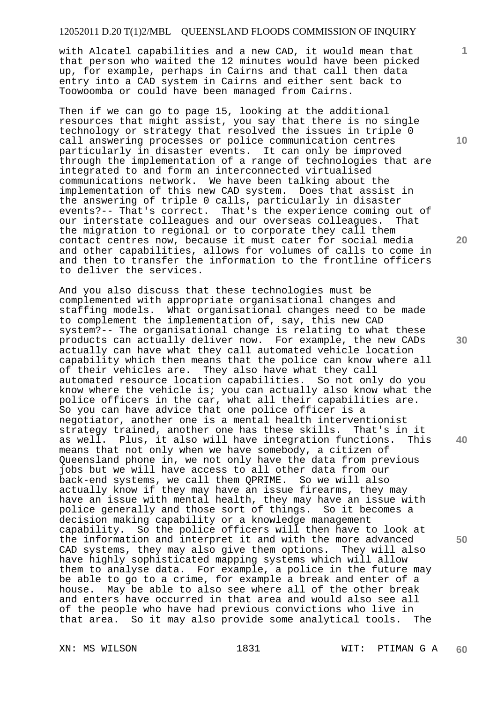with Alcatel capabilities and a new CAD, it would mean that that person who waited the 12 minutes would have been picked up, for example, perhaps in Cairns and that call then data entry into a CAD system in Cairns and either sent back to Toowoomba or could have been managed from Cairns.

Then if we can go to page 15, looking at the additional resources that might assist, you say that there is no single technology or strategy that resolved the issues in triple 0 call answering processes or police communication centres particularly in disaster events. It can only be improved through the implementation of a range of technologies that are integrated to and form an interconnected virtualised communications network. We have been talking about the implementation of this new CAD system. Does that assist in the answering of triple 0 calls, particularly in disaster events?-- That's correct. That's the experience coming out of our interstate colleagues and our overseas colleagues. That the migration to regional or to corporate they call them contact centres now, because it must cater for social media and other capabilities, allows for volumes of calls to come in and then to transfer the information to the frontline officers to deliver the services.

And you also discuss that these technologies must be complemented with appropriate organisational changes and staffing models. What organisational changes need to be made to complement the implementation of, say, this new CAD system?-- The organisational change is relating to what these products can actually deliver now. For example, the new CADs actually can have what they call automated vehicle location capability which then means that the police can know where all of their vehicles are. They also have what they call automated resource location capabilities. So not only do you know where the vehicle is; you can actually also know what the police officers in the car, what all their capabilities are. So you can have advice that one police officer is a negotiator, another one is a mental health interventionist strategy trained, another one has these skills. That's in it as well. Plus, it also will have integration functions. This means that not only when we have somebody, a citizen of Queensland phone in, we not only have the data from previous jobs but we will have access to all other data from our back-end systems, we call them QPRIME. So we will also actually know if they may have an issue firearms, they may have an issue with mental health, they may have an issue with police generally and those sort of things. So it becomes a decision making capability or a knowledge management capability. So the police officers will then have to look at the information and interpret it and with the more advanced CAD systems, they may also give them options. They will also have highly sophisticated mapping systems which will allow them to analyse data. For example, a police in the future may be able to go to a crime, for example a break and enter of a house. May be able to also see where all of the other break and enters have occurred in that area and would also see all of the people who have had previous convictions who live in that area. So it may also provide some analytical tools. The

**10** 

**1**

**20** 

**30** 

**40**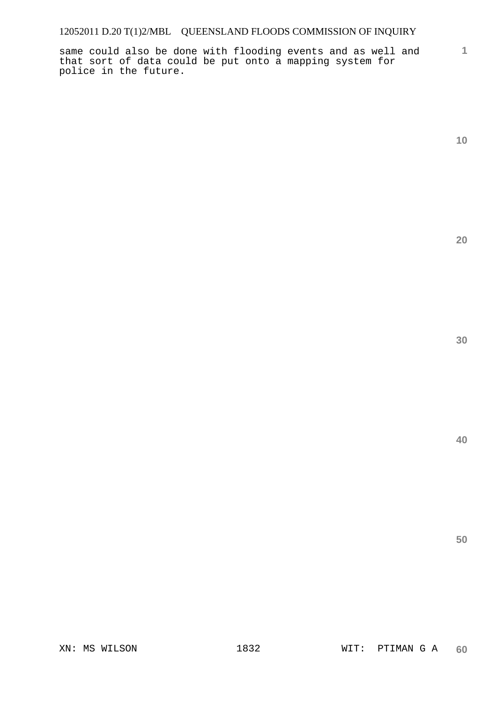same could also be done with flooding events and as well and that sort of data could be put onto a mapping system for police in the future.

**10** 

**1**

**20** 

**30** 

**40**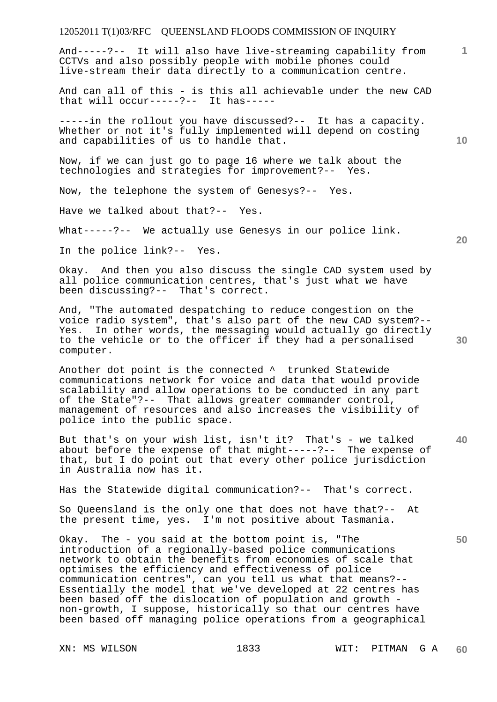And-----?-- It will also have live-streaming capability from CCTVs and also possibly people with mobile phones could live-stream their data directly to a communication centre.

And can all of this - is this all achievable under the new CAD that will occur-----?-- It has-----

-----in the rollout you have discussed?-- It has a capacity. Whether or not it's fully implemented will depend on costing and capabilities of us to handle that.

Now, if we can just go to page 16 where we talk about the technologies and strategies for improvement?-- Yes.

Now, the telephone the system of Genesys?-- Yes.

Have we talked about that?-- Yes.

What-----?-- We actually use Genesys in our police link.

In the police link?-- Yes.

Okay. And then you also discuss the single CAD system used by all police communication centres, that's just what we have been discussing?-- That's correct.

And, "The automated despatching to reduce congestion on the voice radio system", that's also part of the new CAD system?-- Yes. In other words, the messaging would actually go directly to the vehicle or to the officer if they had a personalised computer.

Another dot point is the connected ^ trunked Statewide communications network for voice and data that would provide scalability and allow operations to be conducted in any part of the State"?-- That allows greater commander control, management of resources and also increases the visibility of police into the public space.

**40**  But that's on your wish list, isn't it? That's - we talked about before the expense of that might-----?-- The expense of that, but I do point out that every other police jurisdiction in Australia now has it.

Has the Statewide digital communication?-- That's correct.

So Queensland is the only one that does not have that?-- At the present time, yes. I'm not positive about Tasmania.

Okay. The - you said at the bottom point is, "The introduction of a regionally-based police communications network to obtain the benefits from economies of scale that optimises the efficiency and effectiveness of police communication centres", can you tell us what that means?-- Essentially the model that we've developed at 22 centres has been based off the dislocation of population and growth non-growth, I suppose, historically so that our centres have been based off managing police operations from a geographical

**10** 

**1**

**20** 

**30**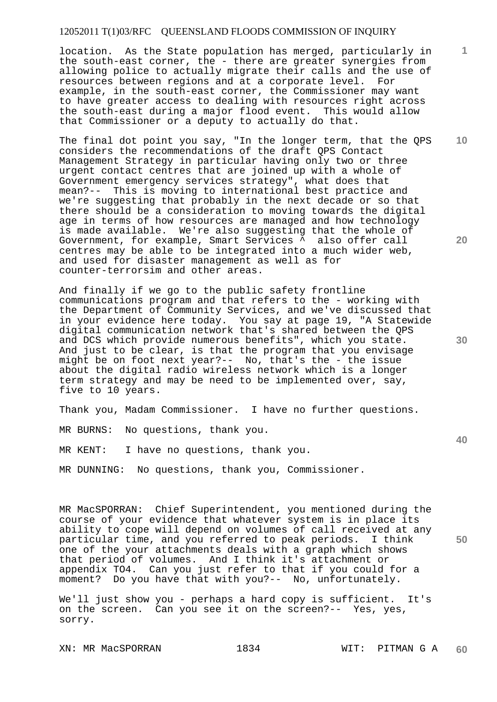location. As the State population has merged, particularly in the south-east corner, the - there are greater synergies from allowing police to actually migrate their calls and the use of resources between regions and at a corporate level. For example, in the south-east corner, the Commissioner may want to have greater access to dealing with resources right across the south-east during a major flood event. This would allow that Commissioner or a deputy to actually do that.

The final dot point you say, "In the longer term, that the QPS considers the recommendations of the draft QPS Contact Management Strategy in particular having only two or three urgent contact centres that are joined up with a whole of Government emergency services strategy", what does that mean?-- This is moving to international best practice and we're suggesting that probably in the next decade or so that there should be a consideration to moving towards the digital age in terms of how resources are managed and how technology is made available. We're also suggesting that the whole of Government, for example, Smart Services ^ also offer call centres may be able to be integrated into a much wider web, and used for disaster management as well as for counter-terrorsim and other areas.

And finally if we go to the public safety frontline communications program and that refers to the - working with the Department of Community Services, and we've discussed that in your evidence here today. You say at page 19, "A Statewide digital communication network that's shared between the QPS and DCS which provide numerous benefits", which you state. And just to be clear, is that the program that you envisage might be on foot next year?-- No, that's the - the issue about the digital radio wireless network which is a longer term strategy and may be need to be implemented over, say, five to 10 years.

Thank you, Madam Commissioner. I have no further questions.

MR BURNS: No questions, thank you.

MR KENT: I have no questions, thank you.

MR DUNNING: No questions, thank you, Commissioner.

MR MacSPORRAN: Chief Superintendent, you mentioned during the course of your evidence that whatever system is in place its ability to cope will depend on volumes of call received at any particular time, and you referred to peak periods. I think one of the your attachments deals with a graph which shows that period of volumes. And I think it's attachment or appendix TO4. Can you just refer to that if you could for a moment? Do you have that with you?-- No, unfortunately.

We'll just show you - perhaps a hard copy is sufficient. It's on the screen. Can you see it on the screen?-- Yes, yes, sorry.

**30** 

**40** 

**50** 

**20** 

**10**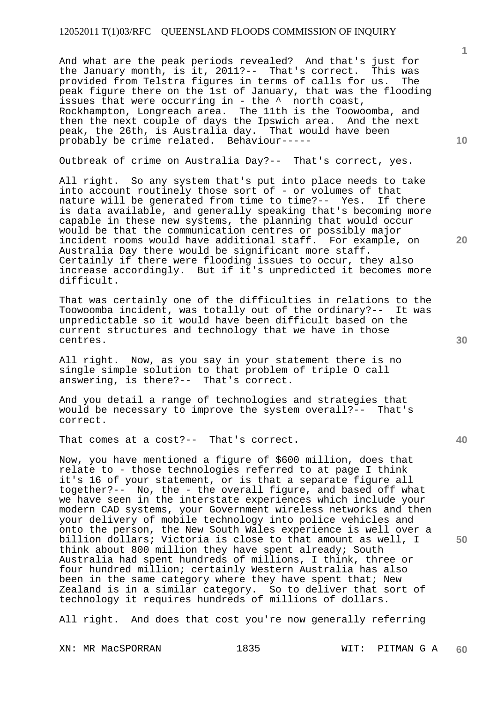And what are the peak periods revealed? And that's just for the January month, is it, 2011?-- That's correct. This was provided from Telstra figures in terms of calls for us. The peak figure there on the 1st of January, that was the flooding issues that were occurring in - the ^ north coast, Rockhampton, Longreach area. The 11th is the Toowoomba, and then the next couple of days the Ipswich area. And the next peak, the 26th, is Australia day. That would have been probably be crime related. Behaviour-----

Outbreak of crime on Australia Day?-- That's correct, yes.

All right. So any system that's put into place needs to take into account routinely those sort of - or volumes of that nature will be generated from time to time?-- Yes. If there is data available, and generally speaking that's becoming more capable in these new systems, the planning that would occur would be that the communication centres or possibly major incident rooms would have additional staff. For example, on Australia Day there would be significant more staff. Certainly if there were flooding issues to occur, they also increase accordingly. But if it's unpredicted it becomes more difficult.

That was certainly one of the difficulties in relations to the Toowoomba incident, was totally out of the ordinary?-- It was unpredictable so it would have been difficult based on the current structures and technology that we have in those centres.

All right. Now, as you say in your statement there is no single simple solution to that problem of triple O call answering, is there?-- That's correct.

And you detail a range of technologies and strategies that would be necessary to improve the system overall?-- That's correct.

That comes at a cost?-- That's correct.

Now, you have mentioned a figure of \$600 million, does that relate to - those technologies referred to at page I think it's 16 of your statement, or is that a separate figure all together?-- No, the - the overall figure, and based off what we have seen in the interstate experiences which include your modern CAD systems, your Government wireless networks and then your delivery of mobile technology into police vehicles and onto the person, the New South Wales experience is well over a billion dollars; Victoria is close to that amount as well, I think about 800 million they have spent already; South Australia had spent hundreds of millions, I think, three or four hundred million; certainly Western Australia has also been in the same category where they have spent that; New Zealand is in a similar category. So to deliver that sort of technology it requires hundreds of millions of dollars.

All right. And does that cost you're now generally referring

XN: MR MacSPORRAN 1835 WIT: PITMAN G A

**30** 

**20** 

**50** 

**10**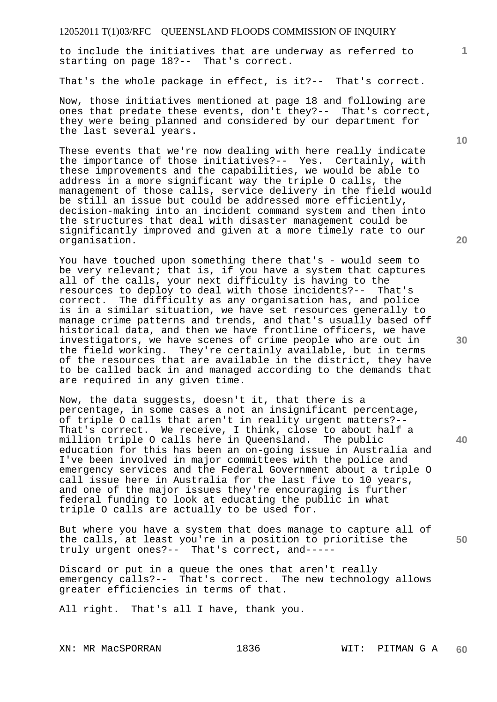to include the initiatives that are underway as referred to starting on page 18?-- That's correct.

That's the whole package in effect, is it?-- That's correct.

Now, those initiatives mentioned at page 18 and following are ones that predate these events, don't they?-- That's correct, they were being planned and considered by our department for the last several years.

These events that we're now dealing with here really indicate the importance of those initiatives?-- Yes. Certainly, with these improvements and the capabilities, we would be able to address in a more significant way the triple O calls, the management of those calls, service delivery in the field would be still an issue but could be addressed more efficiently, decision-making into an incident command system and then into the structures that deal with disaster management could be significantly improved and given at a more timely rate to our organisation.

You have touched upon something there that's - would seem to be very relevant; that is, if you have a system that captures all of the calls, your next difficulty is having to the resources to deploy to deal with those incidents?-- That's correct. The difficulty as any organisation has, and police is in a similar situation, we have set resources generally to manage crime patterns and trends, and that's usually based off historical data, and then we have frontline officers, we have investigators, we have scenes of crime people who are out in the field working. They're certainly available, but in terms of the resources that are available in the district, they have to be called back in and managed according to the demands that are required in any given time.

Now, the data suggests, doesn't it, that there is a percentage, in some cases a not an insignificant percentage, of triple O calls that aren't in reality urgent matters?-- That's correct. We receive, I think, close to about half a million triple O calls here in Queensland. The public education for this has been an on-going issue in Australia and I've been involved in major committees with the police and emergency services and the Federal Government about a triple O call issue here in Australia for the last five to 10 years, and one of the major issues they're encouraging is further federal funding to look at educating the public in what triple O calls are actually to be used for.

But where you have a system that does manage to capture all of the calls, at least you're in a position to prioritise the truly urgent ones?-- That's correct, and-----

Discard or put in a queue the ones that aren't really emergency calls?-- That's correct. The new technology allows greater efficiencies in terms of that.

All right. That's all I have, thank you.

**20** 

**30** 

**40** 

**50** 

**10**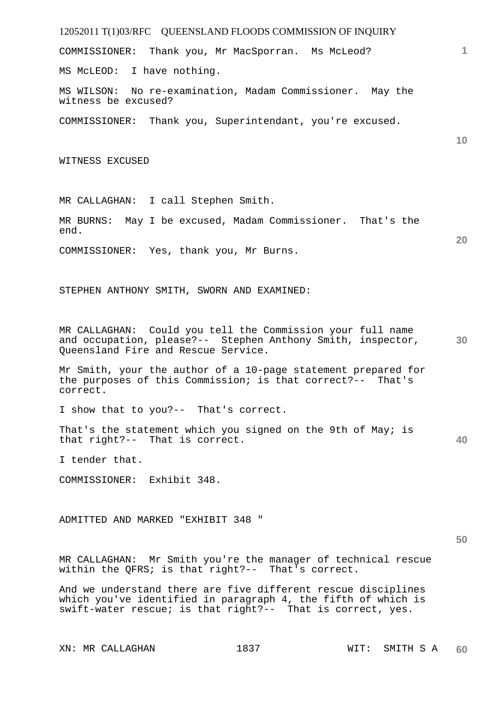12052011 T(1)03/RFC QUEENSLAND FLOODS COMMISSION OF INQUIRY **1 10 20 30 40 50**  COMMISSIONER: Thank you, Mr MacSporran. Ms McLeod? MS McLEOD: I have nothing. MS WILSON: No re-examination, Madam Commissioner. May the witness be excused? COMMISSIONER: Thank you, Superintendant, you're excused. WITNESS EXCUSED MR CALLAGHAN: I call Stephen Smith. MR BURNS: May I be excused, Madam Commissioner. That's the end. COMMISSIONER: Yes, thank you, Mr Burns. STEPHEN ANTHONY SMITH, SWORN AND EXAMINED: MR CALLAGHAN: Could you tell the Commission your full name and occupation, please?-- Stephen Anthony Smith, inspector, Queensland Fire and Rescue Service. Mr Smith, your the author of a 10-page statement prepared for the purposes of this Commission; is that correct?-- That's correct. I show that to you?-- That's correct. That's the statement which you signed on the 9th of May; is that right?-- That is correct. I tender that. COMMISSIONER: Exhibit 348. ADMITTED AND MARKED "EXHIBIT 348 " MR CALLAGHAN: Mr Smith you're the manager of technical rescue within the QFRS; is that right?-- That's correct. And we understand there are five different rescue disciplines which you've identified in paragraph 4, the fifth of which is swift-water rescue; is that right?-- That is correct, yes.

XN: MR CALLAGHAN 1837 WIT: SMITH S A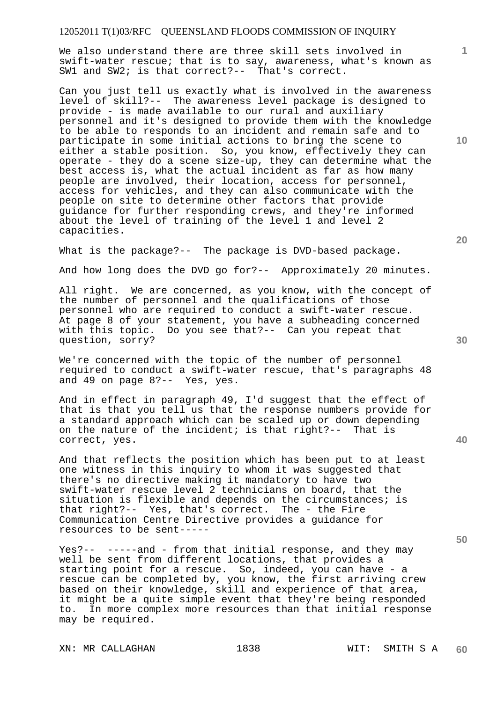We also understand there are three skill sets involved in swift-water rescue; that is to say, awareness, what's known as SW1 and SW2; is that correct?-- That's correct.

Can you just tell us exactly what is involved in the awareness level of skill?-- The awareness level package is designed to provide - is made available to our rural and auxiliary personnel and it's designed to provide them with the knowledge to be able to responds to an incident and remain safe and to participate in some initial actions to bring the scene to either a stable position. So, you know, effectively they can operate - they do a scene size-up, they can determine what the best access is, what the actual incident as far as how many people are involved, their location, access for personnel, access for vehicles, and they can also communicate with the people on site to determine other factors that provide guidance for further responding crews, and they're informed about the level of training of the level 1 and level 2 capacities.

What is the package?-- The package is DVD-based package.

And how long does the DVD go for?-- Approximately 20 minutes.

All right. We are concerned, as you know, with the concept of the number of personnel and the qualifications of those personnel who are required to conduct a swift-water rescue. At page 8 of your statement, you have a subheading concerned with this topic. Do you see that?-- Can you repeat that question, sorry?

We're concerned with the topic of the number of personnel required to conduct a swift-water rescue, that's paragraphs 48 and 49 on page 8?-- Yes, yes.

And in effect in paragraph 49, I'd suggest that the effect of that is that you tell us that the response numbers provide for a standard approach which can be scaled up or down depending on the nature of the incident; is that right?-- That is correct, yes.

And that reflects the position which has been put to at least one witness in this inquiry to whom it was suggested that there's no directive making it mandatory to have two swift-water rescue level 2 technicians on board, that the situation is flexible and depends on the circumstances; is that right?-- Yes, that's correct. The - the Fire Communication Centre Directive provides a guidance for resources to be sent-----

Yes?-- -----and - from that initial response, and they may well be sent from different locations, that provides a starting point for a rescue. So, indeed, you can have - a rescue can be completed by, you know, the first arriving crew based on their knowledge, skill and experience of that area, it might be a quite simple event that they're being responded to. In more complex more resources than that initial response may be required.

**20** 

**10** 

**1**

**40** 

**30**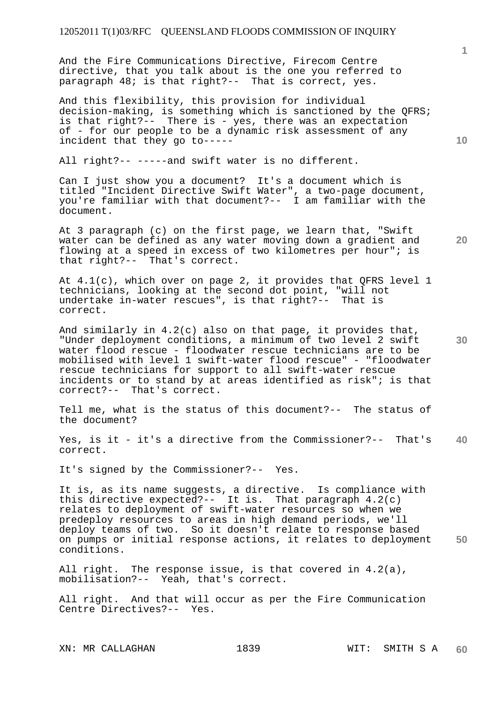And the Fire Communications Directive, Firecom Centre directive, that you talk about is the one you referred to paragraph 48; is that right?-- That is correct, yes.

And this flexibility, this provision for individual decision-making, is something which is sanctioned by the QFRS; is that right?-- There is - yes, there was an expectation of - for our people to be a dynamic risk assessment of any incident that they go to-----

All right?-- -----and swift water is no different.

Can I just show you a document? It's a document which is titled "Incident Directive Swift Water", a two-page document, you're familiar with that document?-- I am familiar with the document.

At 3 paragraph (c) on the first page, we learn that, "Swift water can be defined as any water moving down a gradient and flowing at a speed in excess of two kilometres per hour"; is that right?-- That's correct.

At 4.1(c), which over on page 2, it provides that QFRS level 1 technicians, looking at the second dot point, "will not undertake in-water rescues", is that right?-- That is correct.

And similarly in 4.2(c) also on that page, it provides that, "Under deployment conditions, a minimum of two level 2 swift water flood rescue - floodwater rescue technicians are to be mobilised with level 1 swift-water flood rescue" - "floodwater rescue technicians for support to all swift-water rescue incidents or to stand by at areas identified as risk"; is that correct?-- That's correct.

Tell me, what is the status of this document?-- The status of the document?

**40**  Yes, is it - it's a directive from the Commissioner?-- That's correct.

It's signed by the Commissioner?-- Yes.

**50**  It is, as its name suggests, a directive. Is compliance with this directive expected?-- It is. That paragraph 4.2(c) relates to deployment of swift-water resources so when we predeploy resources to areas in high demand periods, we'll deploy teams of two. So it doesn't relate to response based on pumps or initial response actions, it relates to deployment conditions.

All right. The response issue, is that covered in 4.2(a), mobilisation?-- Yeah, that's correct.

All right. And that will occur as per the Fire Communication Centre Directives?-- Yes.

XN: MR CALLAGHAN 1839 WIT: SMITH S A

**1**

**10**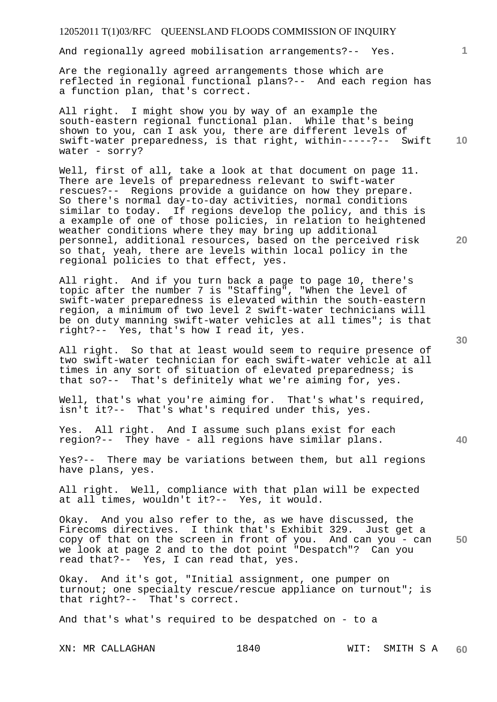And regionally agreed mobilisation arrangements?-- Yes.

Are the regionally agreed arrangements those which are reflected in regional functional plans?-- And each region has a function plan, that's correct.

**10**  All right. I might show you by way of an example the south-eastern regional functional plan. While that's being shown to you, can I ask you, there are different levels of swift-water preparedness, is that right, within-----?-- Swift water - sorry?

Well, first of all, take a look at that document on page 11. There are levels of preparedness relevant to swift-water rescues?-- Regions provide a guidance on how they prepare. So there's normal day-to-day activities, normal conditions similar to today. If regions develop the policy, and this is a example of one of those policies, in relation to heightened weather conditions where they may bring up additional personnel, additional resources, based on the perceived risk so that, yeah, there are levels within local policy in the regional policies to that effect, yes.

All right. And if you turn back a page to page 10, there's topic after the number 7 is "Staffing", "When the level of swift-water preparedness is elevated within the south-eastern region, a minimum of two level 2 swift-water technicians will be on duty manning swift-water vehicles at all times"; is that right?-- Yes, that's how I read it, yes.

All right. So that at least would seem to require presence of two swift-water technician for each swift-water vehicle at all times in any sort of situation of elevated preparedness; is that so?-- That's definitely what we're aiming for, yes.

Well, that's what you're aiming for. That's what's required, isn't it?-- That's what's required under this, yes.

Yes. All right. And I assume such plans exist for each region?-- They have - all regions have similar plans.

Yes?-- There may be variations between them, but all regions have plans, yes.

All right. Well, compliance with that plan will be expected at all times, wouldn't it?-- Yes, it would.

**50**  Okay. And you also refer to the, as we have discussed, the Firecoms directives. I think that's Exhibit 329. Just get a copy of that on the screen in front of you. And can you - can we look at page 2 and to the dot point "Despatch"? Can you read that?-- Yes, I can read that, yes.

Okay. And it's got, "Initial assignment, one pumper on turnout; one specialty rescue/rescue appliance on turnout"; is that right?-- That's correct.

And that's what's required to be despatched on - to a

**30** 

**40** 

**20**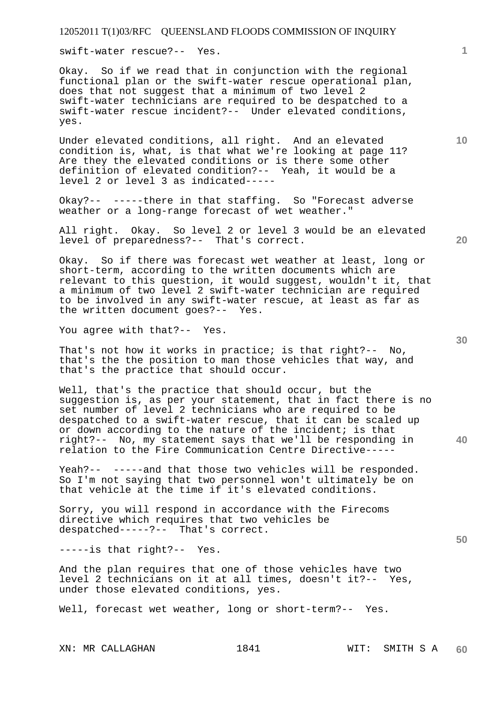swift-water rescue?-- Yes.

Okay. So if we read that in conjunction with the regional functional plan or the swift-water rescue operational plan, does that not suggest that a minimum of two level 2 swift-water technicians are required to be despatched to a swift-water rescue incident?-- Under elevated conditions, yes.

Under elevated conditions, all right. And an elevated condition is, what, is that what we're looking at page 11? Are they the elevated conditions or is there some other definition of elevated condition?-- Yeah, it would be a level 2 or level 3 as indicated-----

Okay?-- -----there in that staffing. So "Forecast adverse weather or a long-range forecast of wet weather."

All right. Okay. So level 2 or level 3 would be an elevated level of preparedness?-- That's correct.

Okay. So if there was forecast wet weather at least, long or short-term, according to the written documents which are relevant to this question, it would suggest, wouldn't it, that a minimum of two level 2 swift-water technician are required to be involved in any swift-water rescue, at least as far as the written document goes?-- Yes.

You agree with that?-- Yes.

That's not how it works in practice; is that right?-- No, that's the the position to man those vehicles that way, and that's the practice that should occur.

Well, that's the practice that should occur, but the suggestion is, as per your statement, that in fact there is no set number of level 2 technicians who are required to be despatched to a swift-water rescue, that it can be scaled up or down according to the nature of the incident; is that right?-- No, my statement says that we'll be responding in relation to the Fire Communication Centre Directive-----

Yeah?-- -----and that those two vehicles will be responded. So I'm not saying that two personnel won't ultimately be on that vehicle at the time if it's elevated conditions.

Sorry, you will respond in accordance with the Firecoms directive which requires that two vehicles be despatched-----?-- That's correct.

-----is that right?-- Yes.

And the plan requires that one of those vehicles have two level 2 technicians on it at all times, doesn't it?-- Yes, under those elevated conditions, yes.

Well, forecast wet weather, long or short-term?-- Yes.

XN: MR CALLAGHAN 1841 1841 WIT: SMITH S A

**20** 

**10** 

**30** 

**40**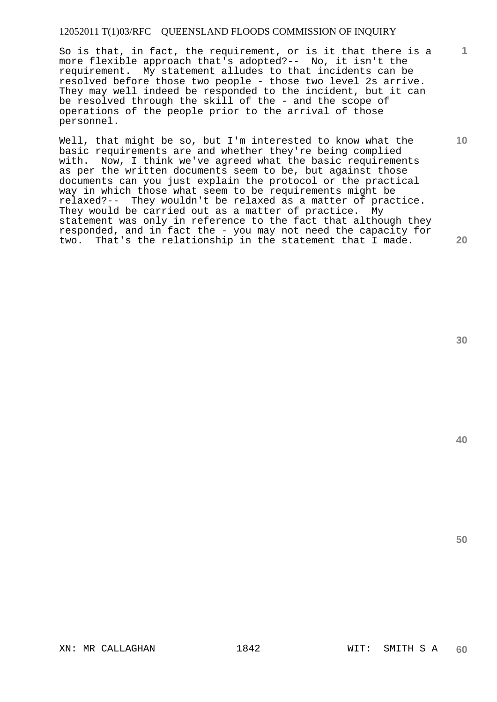So is that, in fact, the requirement, or is it that there is a more flexible approach that's adopted?-- No, it isn't the requirement. My statement alludes to that incidents can be resolved before those two people - those two level 2s arrive. They may well indeed be responded to the incident, but it can be resolved through the skill of the - and the scope of operations of the people prior to the arrival of those personnel.

Well, that might be so, but I'm interested to know what the basic requirements are and whether they're being complied with. Now, I think we've agreed what the basic requirements as per the written documents seem to be, but against those documents can you just explain the protocol or the practical way in which those what seem to be requirements might be relaxed?-- They wouldn't be relaxed as a matter of practice. They would be carried out as a matter of practice. My statement was only in reference to the fact that although they responded, and in fact the - you may not need the capacity for two. That's the relationship in the statement that I made.

**30** 

**1**

**10** 

**20** 

**40**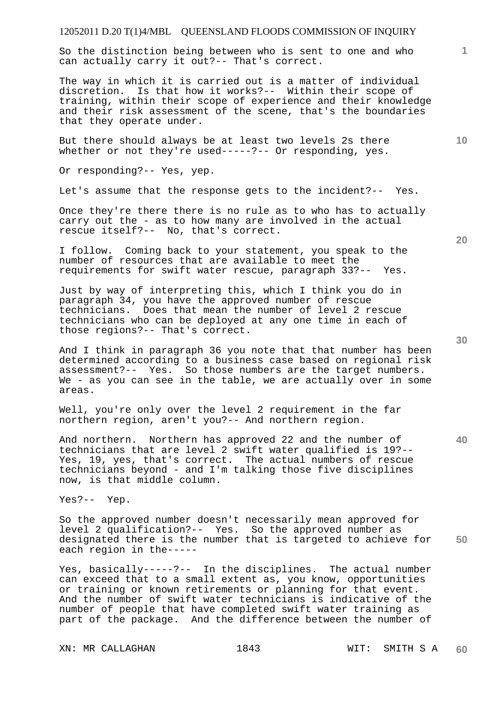So the distinction being between who is sent to one and who can actually carry it out?-- That's correct.

The way in which it is carried out is a matter of individual discretion. Is that how it works?-- Within their scope of training, within their scope of experience and their knowledge and their risk assessment of the scene, that's the boundaries that they operate under.

But there should always be at least two levels 2s there whether or not they're used-----?-- Or responding, yes.

Or responding?-- Yes, yep.

Let's assume that the response gets to the incident?-- Yes.

Once they're there there is no rule as to who has to actually carry out the - as to how many are involved in the actual rescue itself?-- No, that's correct.

I follow. Coming back to your statement, you speak to the number of resources that are available to meet the requirements for swift water rescue, paragraph 33?-- Yes.

Just by way of interpreting this, which I think you do in paragraph 34, you have the approved number of rescue technicians. Does that mean the number of level 2 rescue technicians who can be deployed at any one time in each of those regions?-- That's correct.

And I think in paragraph 36 you note that that number has been determined according to a business case based on regional risk assessment?-- Yes. So those numbers are the target numbers. We - as you can see in the table, we are actually over in some areas.

Well, you're only over the level 2 requirement in the far northern region, aren't you?-- And northern region.

And northern. Northern has approved 22 and the number of technicians that are level 2 swift water qualified is 19?-- Yes, 19, yes, that's correct. The actual numbers of rescue technicians beyond - and I'm talking those five disciplines now, is that middle column.

Yes?-- Yep.

**50**  So the approved number doesn't necessarily mean approved for level 2 qualification?-- Yes. So the approved number as designated there is the number that is targeted to achieve for each region in the-----

Yes, basically-----?-- In the disciplines. The actual number can exceed that to a small extent as, you know, opportunities or training or known retirements or planning for that event. And the number of swift water technicians is indicative of the number of people that have completed swift water training as part of the package. And the difference between the number of

XN: MR CALLAGHAN 1843 WIT: SMITH S A

**20** 

**40** 

**10**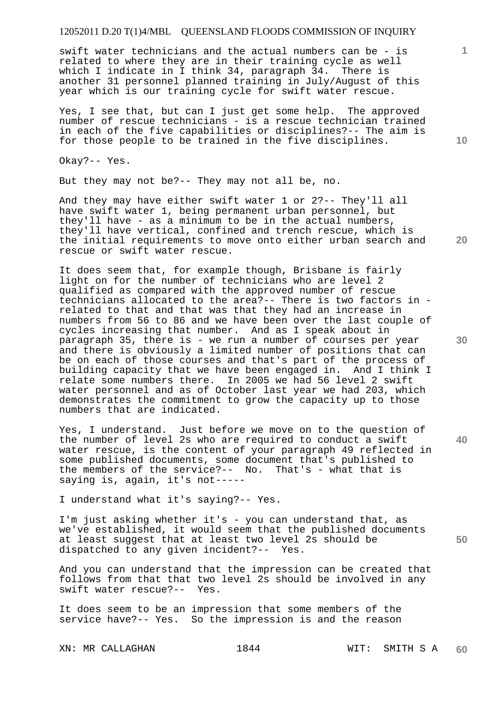swift water technicians and the actual numbers can be - is related to where they are in their training cycle as well which I indicate in I think 34, paragraph 34. There is another 31 personnel planned training in July/August of this year which is our training cycle for swift water rescue.

Yes, I see that, but can I just get some help. The approved number of rescue technicians - is a rescue technician trained in each of the five capabilities or disciplines?-- The aim is for those people to be trained in the five disciplines.

Okay?-- Yes.

But they may not be?-- They may not all be, no.

And they may have either swift water 1 or 2?-- They'll all have swift water 1, being permanent urban personnel, but they'll have - as a minimum to be in the actual numbers, they'll have vertical, confined and trench rescue, which is the initial requirements to move onto either urban search and rescue or swift water rescue.

It does seem that, for example though, Brisbane is fairly light on for the number of technicians who are level 2 qualified as compared with the approved number of rescue technicians allocated to the area?-- There is two factors in related to that and that was that they had an increase in numbers from 56 to 86 and we have been over the last couple of cycles increasing that number. And as I speak about in paragraph 35, there is - we run a number of courses per year and there is obviously a limited number of positions that can be on each of those courses and that's part of the process of building capacity that we have been engaged in. And I think I relate some numbers there. In 2005 we had 56 level 2 swift water personnel and as of October last year we had 203, which demonstrates the commitment to grow the capacity up to those numbers that are indicated.

Yes, I understand. Just before we move on to the question of the number of level 2s who are required to conduct a swift water rescue, is the content of your paragraph 49 reflected in some published documents, some document that's published to the members of the service?-- No. That's - what that is saying is, again, it's not-----

I understand what it's saying?-- Yes.

I'm just asking whether it's - you can understand that, as we've established, it would seem that the published documents at least suggest that at least two level 2s should be dispatched to any given incident?-- Yes.

And you can understand that the impression can be created that follows from that that two level 2s should be involved in any swift water rescue?-- Yes.

It does seem to be an impression that some members of the service have?-- Yes. So the impression is and the reason

XN: MR CALLAGHAN 1844 1844 WIT: SMITH S A

**10** 

**1**

**20** 

**50**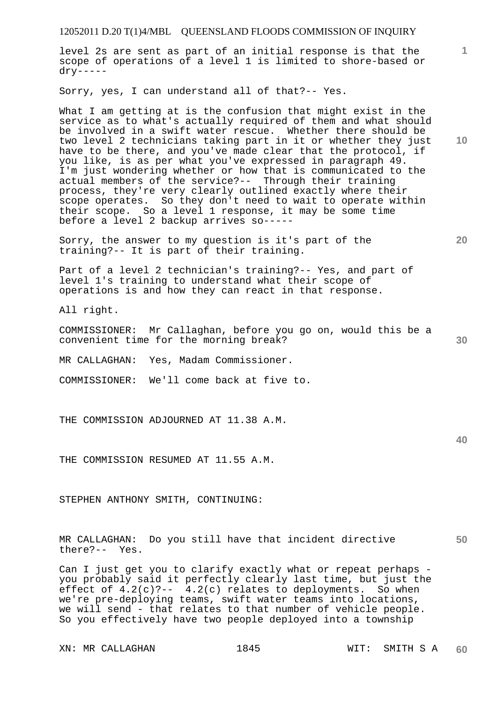level 2s are sent as part of an initial response is that the scope of operations of a level 1 is limited to shore-based or dry-----

Sorry, yes, I can understand all of that?-- Yes.

What I am getting at is the confusion that might exist in the service as to what's actually required of them and what should be involved in a swift water rescue. Whether there should be two level 2 technicians taking part in it or whether they just have to be there, and you've made clear that the protocol, if you like, is as per what you've expressed in paragraph 49. I'm just wondering whether or how that is communicated to the actual members of the service?-- Through their training process, they're very clearly outlined exactly where their scope operates. So they don't need to wait to operate within their scope. So a level 1 response, it may be some time before a level 2 backup arrives so-----

Sorry, the answer to my question is it's part of the training?-- It is part of their training.

Part of a level 2 technician's training?-- Yes, and part of level 1's training to understand what their scope of operations is and how they can react in that response.

All right.

COMMISSIONER: Mr Callaghan, before you go on, would this be a convenient time for the morning break?

MR CALLAGHAN: Yes, Madam Commissioner.

COMMISSIONER: We'll come back at five to.

THE COMMISSION ADJOURNED AT 11.38 A.M.

**40** 

**50** 

**30** 

THE COMMISSION RESUMED AT 11.55 A.M.

STEPHEN ANTHONY SMITH, CONTINUING:

MR CALLAGHAN: Do you still have that incident directive there?-- Yes.

Can I just get you to clarify exactly what or repeat perhaps you probably said it perfectly clearly last time, but just the effect of  $4.2(c)$  ?--  $4.2(c)$  relates to deployments. So when we're pre-deploying teams, swift water teams into locations, we will send - that relates to that number of vehicle people. So you effectively have two people deployed into a township

**10** 

**1**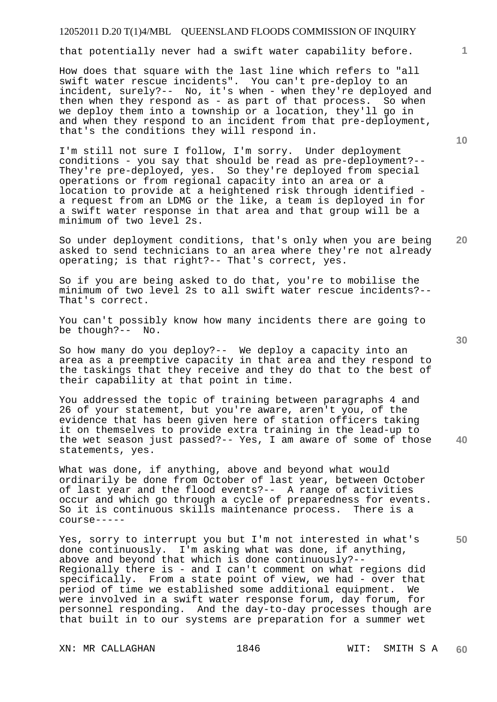that potentially never had a swift water capability before.

How does that square with the last line which refers to "all swift water rescue incidents". You can't pre-deploy to an incident, surely?-- No, it's when - when they're deployed and then when they respond as - as part of that process. So when we deploy them into a township or a location, they'll go in and when they respond to an incident from that pre-deployment, that's the conditions they will respond in.

I'm still not sure I follow, I'm sorry. Under deployment conditions - you say that should be read as pre-deployment?-- They're pre-deployed, yes. So they're deployed from special operations or from regional capacity into an area or a location to provide at a heightened risk through identified a request from an LDMG or the like, a team is deployed in for a swift water response in that area and that group will be a minimum of two level 2s.

**20**  So under deployment conditions, that's only when you are being asked to send technicians to an area where they're not already operating; is that right?-- That's correct, yes.

So if you are being asked to do that, you're to mobilise the minimum of two level 2s to all swift water rescue incidents?-- That's correct.

You can't possibly know how many incidents there are going to be though?-- No.

So how many do you deploy?-- We deploy a capacity into an area as a preemptive capacity in that area and they respond to the taskings that they receive and they do that to the best of their capability at that point in time.

You addressed the topic of training between paragraphs 4 and 26 of your statement, but you're aware, aren't you, of the evidence that has been given here of station officers taking it on themselves to provide extra training in the lead-up to the wet season just passed?-- Yes, I am aware of some of those statements, yes.

What was done, if anything, above and beyond what would ordinarily be done from October of last year, between October of last year and the flood events?-- A range of activities occur and which go through a cycle of preparedness for events. So it is continuous skills maintenance process. There is a course-----

Yes, sorry to interrupt you but I'm not interested in what's done continuously. I'm asking what was done, if anything, above and beyond that which is done continuously?-- Regionally there is - and I can't comment on what regions did specifically. From a state point of view, we had - over that period of time we established some additional equipment. We were involved in a swift water response forum, day forum, for personnel responding. And the day-to-day processes though are that built in to our systems are preparation for a summer wet

XN: MR CALLAGHAN 1846 1846 WIT: SMITH S A

**10** 

**1**

**40**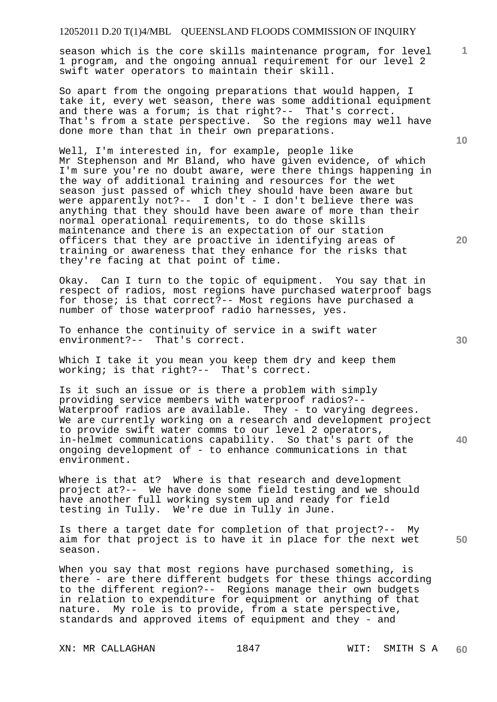## 12052011 D.20 T(1)4/MBL QUEENSLAND FLOODS COMMISSION OF INQUIRY

season which is the core skills maintenance program, for level 1 program, and the ongoing annual requirement for our level 2 swift water operators to maintain their skill.

So apart from the ongoing preparations that would happen, I take it, every wet season, there was some additional equipment and there was a forum; is that right?-- That's correct. That's from a state perspective. So the regions may well have done more than that in their own preparations.

Well, I'm interested in, for example, people like Mr Stephenson and Mr Bland, who have given evidence, of which I'm sure you're no doubt aware, were there things happening in the way of additional training and resources for the wet season just passed of which they should have been aware but were apparently not?-- I don't - I don't believe there was anything that they should have been aware of more than their normal operational requirements, to do those skills maintenance and there is an expectation of our station officers that they are proactive in identifying areas of training or awareness that they enhance for the risks that they're facing at that point of time.

Okay. Can I turn to the topic of equipment. You say that in respect of radios, most regions have purchased waterproof bags for those; is that correct?-- Most regions have purchased a number of those waterproof radio harnesses, yes.

To enhance the continuity of service in a swift water environment?-- That's correct.

Which I take it you mean you keep them dry and keep them working; is that right?-- That's correct.

Is it such an issue or is there a problem with simply providing service members with waterproof radios?-- Waterproof radios are available. They - to varying degrees. We are currently working on a research and development project to provide swift water comms to our level 2 operators, in-helmet communications capability. So that's part of the ongoing development of - to enhance communications in that environment.

Where is that at? Where is that research and development project at?-- We have done some field testing and we should have another full working system up and ready for field testing in Tully. We're due in Tully in June.

Is there a target date for completion of that project?-- My aim for that project is to have it in place for the next wet season.

When you say that most regions have purchased something, is there - are there different budgets for these things according to the different region?-- Regions manage their own budgets in relation to expenditure for equipment or anything of that nature. My role is to provide, from a state perspective, standards and approved items of equipment and they - and

XN: MR CALLAGHAN 1847 1847 WIT: SMITH S A

**60** 

**10** 

**1**

**20** 

**40**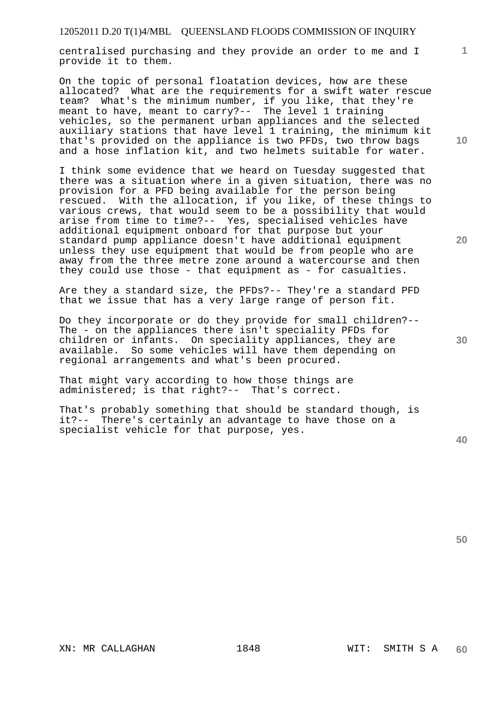centralised purchasing and they provide an order to me and I provide it to them.

On the topic of personal floatation devices, how are these allocated? What are the requirements for a swift water rescue team? What's the minimum number, if you like, that they're meant to have, meant to carry?-- The level 1 training vehicles, so the permanent urban appliances and the selected auxiliary stations that have level 1 training, the minimum kit that's provided on the appliance is two PFDs, two throw bags and a hose inflation kit, and two helmets suitable for water.

I think some evidence that we heard on Tuesday suggested that there was a situation where in a given situation, there was no provision for a PFD being available for the person being rescued. With the allocation, if you like, of these things to various crews, that would seem to be a possibility that would arise from time to time?-- Yes, specialised vehicles have additional equipment onboard for that purpose but your standard pump appliance doesn't have additional equipment unless they use equipment that would be from people who are away from the three metre zone around a watercourse and then they could use those - that equipment as - for casualties.

Are they a standard size, the PFDs?-- They're a standard PFD that we issue that has a very large range of person fit.

Do they incorporate or do they provide for small children?-- The - on the appliances there isn't speciality PFDs for children or infants. On speciality appliances, they are available. So some vehicles will have them depending on regional arrangements and what's been procured.

That might vary according to how those things are administered; is that right?-- That's correct.

That's probably something that should be standard though, is it?-- There's certainly an advantage to have those on a specialist vehicle for that purpose, yes.

**40** 

**50** 

**10** 

**1**

**30**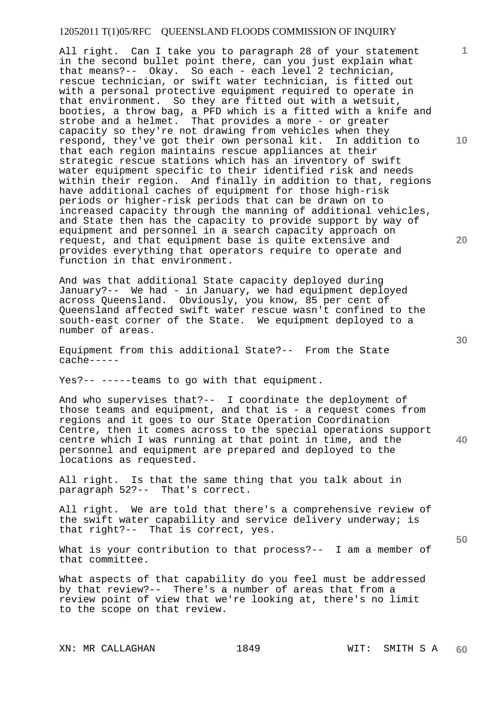All right. Can I take you to paragraph 28 of your statement in the second bullet point there, can you just explain what that means?-- Okay. So each - each level 2 technician, rescue technician, or swift water technician, is fitted out with a personal protective equipment required to operate in that environment. So they are fitted out with a wetsuit, booties, a throw bag, a PFD which is a fitted with a knife and strobe and a helmet. That provides a more - or greater capacity so they're not drawing from vehicles when they respond, they've got their own personal kit. In addition to that each region maintains rescue appliances at their strategic rescue stations which has an inventory of swift water equipment specific to their identified risk and needs within their region. And finally in addition to that, regions have additional caches of equipment for those high-risk periods or higher-risk periods that can be drawn on to increased capacity through the manning of additional vehicles, and State then has the capacity to provide support by way of equipment and personnel in a search capacity approach on request, and that equipment base is quite extensive and provides everything that operators require to operate and function in that environment.

And was that additional State capacity deployed during January?-- We had - in January, we had equipment deployed across Queensland. Obviously, you know, 85 per cent of Queensland affected swift water rescue wasn't confined to the south-east corner of the State. We equipment deployed to a number of areas.

Equipment from this additional State?-- From the State cache-----

Yes?-- -----teams to go with that equipment.

And who supervises that?-- I coordinate the deployment of those teams and equipment, and that is - a request comes from regions and it goes to our State Operation Coordination Centre, then it comes across to the special operations support centre which I was running at that point in time, and the personnel and equipment are prepared and deployed to the locations as requested.

All right. Is that the same thing that you talk about in paragraph 52?-- That's correct.

All right. We are told that there's a comprehensive review of the swift water capability and service delivery underway; is that right?-- That is correct, yes.

What is your contribution to that process?-- I am a member of that committee.

What aspects of that capability do you feel must be addressed by that review?-- There's a number of areas that from a review point of view that we're looking at, there's no limit to the scope on that review.

XN: MR CALLAGHAN 1849 WIT: SMITH S A

**1**

**10** 

**20** 

**30** 

**40**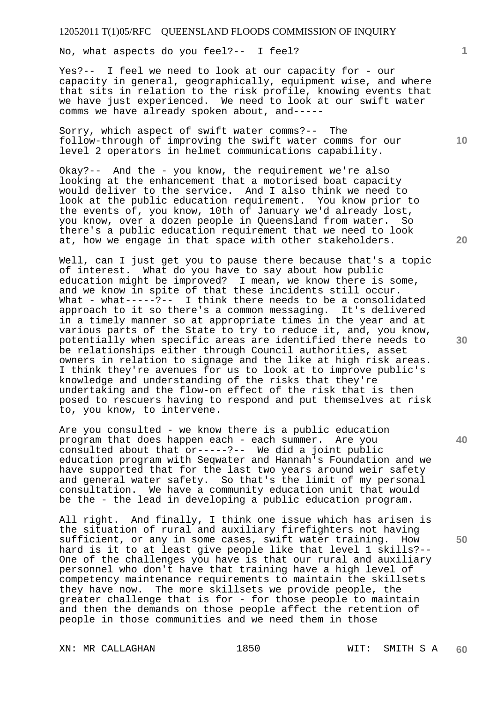No, what aspects do you feel?-- I feel?

Yes?-- I feel we need to look at our capacity for - our capacity in general, geographically, equipment wise, and where that sits in relation to the risk profile, knowing events that we have just experienced. We need to look at our swift water comms we have already spoken about, and-----

Sorry, which aspect of swift water comms?-- The follow-through of improving the swift water comms for our level 2 operators in helmet communications capability.

Okay?-- And the - you know, the requirement we're also looking at the enhancement that a motorised boat capacity would deliver to the service. And I also think we need to look at the public education requirement. You know prior to the events of, you know, 10th of January we'd already lost, you know, over a dozen people in Queensland from water. So there's a public education requirement that we need to look at, how we engage in that space with other stakeholders.

Well, can I just get you to pause there because that's a topic of interest. What do you have to say about how public education might be improved? I mean, we know there is some, and we know in spite of that these incidents still occur. What - what-----?-- I think there needs to be a consolidated approach to it so there's a common messaging. It's delivered in a timely manner so at appropriate times in the year and at various parts of the State to try to reduce it, and, you know, potentially when specific areas are identified there needs to be relationships either through Council authorities, asset owners in relation to signage and the like at high risk areas. I think they're avenues for us to look at to improve public's knowledge and understanding of the risks that they're undertaking and the flow-on effect of the risk that is then posed to rescuers having to respond and put themselves at risk to, you know, to intervene.

Are you consulted - we know there is a public education program that does happen each - each summer. Are you consulted about that or-----?-- We did a joint public education program with Seqwater and Hannah's Foundation and we have supported that for the last two years around weir safety and general water safety. So that's the limit of my personal consultation. We have a community education unit that would be the - the lead in developing a public education program.

All right. And finally, I think one issue which has arisen is the situation of rural and auxiliary firefighters not having sufficient, or any in some cases, swift water training. How hard is it to at least give people like that level 1 skills?-- One of the challenges you have is that our rural and auxiliary personnel who don't have that training have a high level of competency maintenance requirements to maintain the skillsets they have now. The more skillsets we provide people, the greater challenge that is for - for those people to maintain and then the demands on those people affect the retention of people in those communities and we need them in those

XN: MR CALLAGHAN 1850 WIT: SMITH S A

**10** 

**1**

**20** 



**40**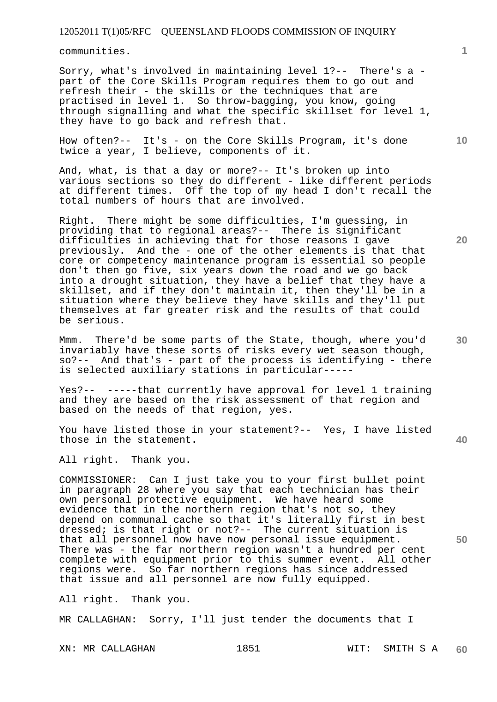communities.

Sorry, what's involved in maintaining level 1?-- There's a part of the Core Skills Program requires them to go out and refresh their - the skills or the techniques that are practised in level 1. So throw-bagging, you know, going through signalling and what the specific skillset for level 1, they have to go back and refresh that.

How often?-- It's - on the Core Skills Program, it's done twice a year, I believe, components of it.

And, what, is that a day or more?-- It's broken up into various sections so they do different - like different periods at different times. Off the top of my head I don't recall the total numbers of hours that are involved.

Right. There might be some difficulties, I'm guessing, in providing that to regional areas?-- There is significant difficulties in achieving that for those reasons I gave previously. And the - one of the other elements is that that core or competency maintenance program is essential so people don't then go five, six years down the road and we go back into a drought situation, they have a belief that they have a skillset, and if they don't maintain it, then they'll be in a situation where they believe they have skills and they'll put themselves at far greater risk and the results of that could be serious.

Mmm. There'd be some parts of the State, though, where you'd invariably have these sorts of risks every wet season though, so?-- And that's - part of the process is identifying - there is selected auxiliary stations in particular-----

Yes?-- -----that currently have approval for level 1 training and they are based on the risk assessment of that region and based on the needs of that region, yes.

You have listed those in your statement?-- Yes, I have listed those in the statement.

All right. Thank you.

COMMISSIONER: Can I just take you to your first bullet point in paragraph 28 where you say that each technician has their own personal protective equipment. We have heard some evidence that in the northern region that's not so, they depend on communal cache so that it's literally first in best dressed; is that right or not?-- The current situation is that all personnel now have now personal issue equipment. There was - the far northern region wasn't a hundred per cent complete with equipment prior to this summer event. All other regions were. So far northern regions has since addressed that issue and all personnel are now fully equipped.

All right. Thank you.

MR CALLAGHAN: Sorry, I'll just tender the documents that I

XN: MR CALLAGHAN 1851 WIT: SMITH S A **60** 

**10** 

**1**

**20** 

**40**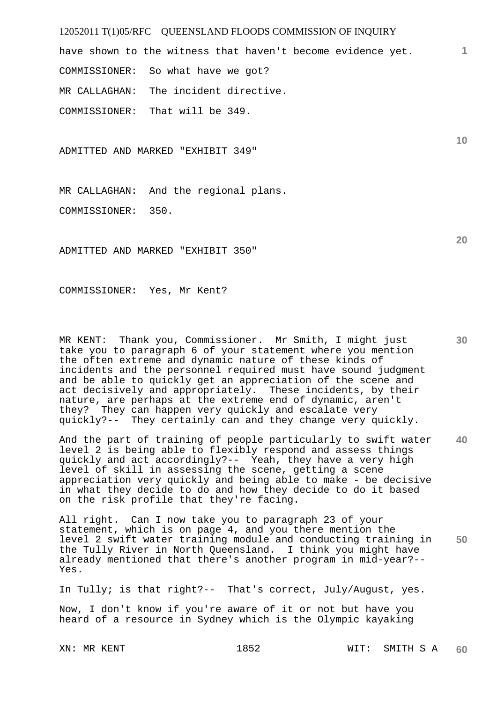have shown to the witness that haven't become evidence yet. COMMISSIONER: So what have we got? MR CALLAGHAN: The incident directive. COMMISSIONER: That will be 349.

ADMITTED AND MARKED "EXHIBIT 349"

MR CALLAGHAN: And the regional plans.

COMMISSIONER: 350.

ADMITTED AND MARKED "EXHIBIT 350"

COMMISSIONER: Yes, Mr Kent?

MR KENT: Thank you, Commissioner. Mr Smith, I might just take you to paragraph 6 of your statement where you mention the often extreme and dynamic nature of these kinds of incidents and the personnel required must have sound judgment and be able to quickly get an appreciation of the scene and act decisively and appropriately. These incidents, by their nature, are perhaps at the extreme end of dynamic, aren't they? They can happen very quickly and escalate very quickly?-- They certainly can and they change very quickly.

**40**  And the part of training of people particularly to swift water level 2 is being able to flexibly respond and assess things quickly and act accordingly?-- Yeah, they have a very high level of skill in assessing the scene, getting a scene appreciation very quickly and being able to make - be decisive in what they decide to do and how they decide to do it based on the risk profile that they're facing.

**50**  All right. Can I now take you to paragraph 23 of your statement, which is on page 4, and you there mention the level 2 swift water training module and conducting training in the Tully River in North Queensland. I think you might have already mentioned that there's another program in mid-year?-- Yes.

In Tully; is that right?-- That's correct, July/August, yes.

Now, I don't know if you're aware of it or not but have you heard of a resource in Sydney which is the Olympic kayaking

XN: MR KENT 1852 WIT: SMITH S A **60** 

**20** 

**10**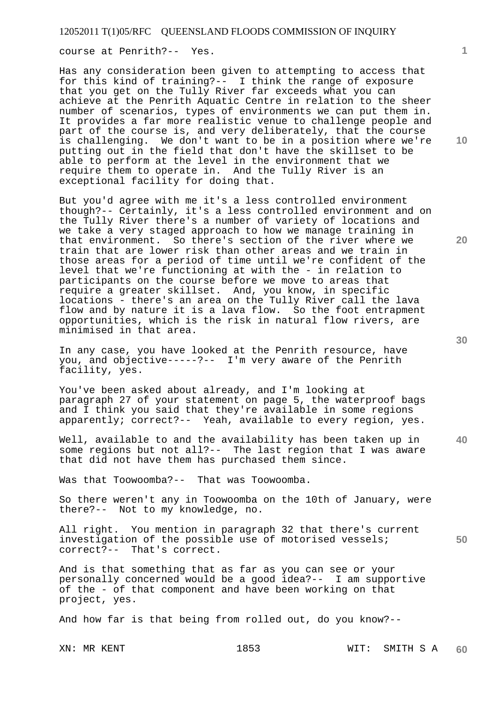course at Penrith?-- Yes.

Has any consideration been given to attempting to access that for this kind of training?-- I think the range of exposure that you get on the Tully River far exceeds what you can achieve at the Penrith Aquatic Centre in relation to the sheer number of scenarios, types of environments we can put them in. It provides a far more realistic venue to challenge people and part of the course is, and very deliberately, that the course is challenging. We don't want to be in a position where we're putting out in the field that don't have the skillset to be able to perform at the level in the environment that we require them to operate in. And the Tully River is an exceptional facility for doing that.

But you'd agree with me it's a less controlled environment though?-- Certainly, it's a less controlled environment and on the Tully River there's a number of variety of locations and we take a very staged approach to how we manage training in that environment. So there's section of the river where we train that are lower risk than other areas and we train in those areas for a period of time until we're confident of the level that we're functioning at with the - in relation to participants on the course before we move to areas that require a greater skillset. And, you know, in specific locations - there's an area on the Tully River call the lava flow and by nature it is a lava flow. So the foot entrapment opportunities, which is the risk in natural flow rivers, are minimised in that area.

In any case, you have looked at the Penrith resource, have you, and objective-----?-- I'm very aware of the Penrith facility, yes.

You've been asked about already, and I'm looking at paragraph 27 of your statement on page 5, the waterproof bags and I think you said that they're available in some regions apparently; correct?-- Yeah, available to every region, yes.

**40**  Well, available to and the availability has been taken up in some regions but not all?-- The last region that I was aware that did not have them has purchased them since.

Was that Toowoomba?-- That was Toowoomba.

So there weren't any in Toowoomba on the 10th of January, were there?-- Not to my knowledge, no.

All right. You mention in paragraph 32 that there's current investigation of the possible use of motorised vessels; correct?-- That's correct.

And is that something that as far as you can see or your personally concerned would be a good idea?-- I am supportive of the - of that component and have been working on that project, yes.

And how far is that being from rolled out, do you know?--

**10** 

**1**

**20** 

**50**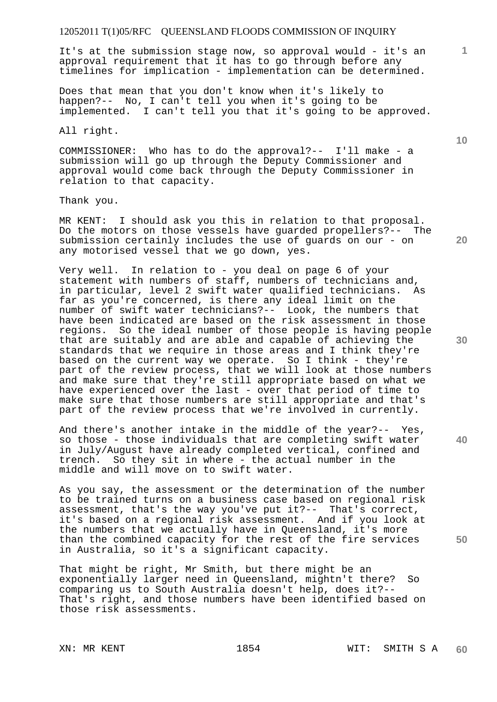It's at the submission stage now, so approval would - it's an approval requirement that it has to go through before any timelines for implication - implementation can be determined.

Does that mean that you don't know when it's likely to happen?-- No, I can't tell you when it's going to be implemented. I can't tell you that it's going to be approved.

All right.

COMMISSIONER: Who has to do the approval?-- I'll make - a submission will go up through the Deputy Commissioner and approval would come back through the Deputy Commissioner in relation to that capacity.

Thank you.

MR KENT: I should ask you this in relation to that proposal. Do the motors on those vessels have guarded propellers?-- The submission certainly includes the use of guards on our - on any motorised vessel that we go down, yes.

Very well. In relation to - you deal on page 6 of your statement with numbers of staff, numbers of technicians and, in particular, level 2 swift water qualified technicians. As far as you're concerned, is there any ideal limit on the number of swift water technicians?-- Look, the numbers that have been indicated are based on the risk assessment in those regions. So the ideal number of those people is having people that are suitably and are able and capable of achieving the standards that we require in those areas and I think they're based on the current way we operate. So I think - they're part of the review process, that we will look at those numbers and make sure that they're still appropriate based on what we have experienced over the last - over that period of time to make sure that those numbers are still appropriate and that's part of the review process that we're involved in currently.

And there's another intake in the middle of the year?-- Yes, so those - those individuals that are completing swift water in July/August have already completed vertical, confined and trench. So they sit in where - the actual number in the middle and will move on to swift water.

As you say, the assessment or the determination of the number to be trained turns on a business case based on regional risk assessment, that's the way you've put it ?-- That's correct, it's based on a regional risk assessment. And if you look at the numbers that we actually have in Queensland, it's more than the combined capacity for the rest of the fire services in Australia, so it's a significant capacity.

That might be right, Mr Smith, but there might be an exponentially larger need in Queensland, mightn't there? So comparing us to South Australia doesn't help, does it?-- That's right, and those numbers have been identified based on those risk assessments.

**1**

**20** 

**30** 

**40**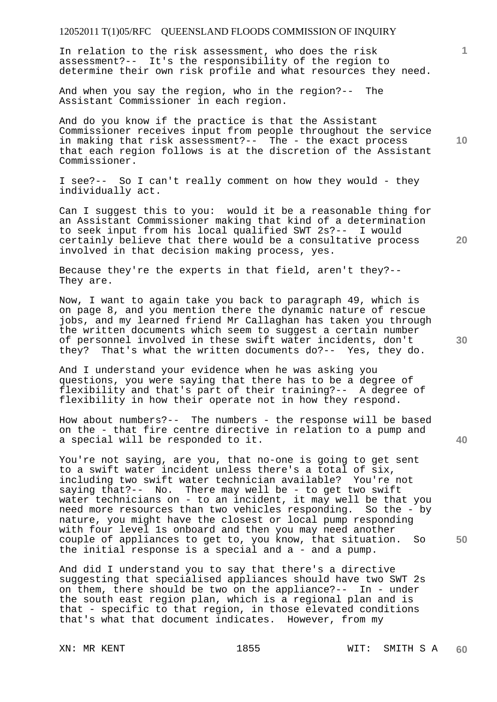In relation to the risk assessment, who does the risk assessment?-- It's the responsibility of the region to determine their own risk profile and what resources they need.

And when you say the region, who in the region?-- The Assistant Commissioner in each region.

And do you know if the practice is that the Assistant Commissioner receives input from people throughout the service in making that risk assessment?-- The - the exact process that each region follows is at the discretion of the Assistant Commissioner.

I see?-- So I can't really comment on how they would - they individually act.

Can I suggest this to you: would it be a reasonable thing for an Assistant Commissioner making that kind of a determination to seek input from his local qualified SWT 2s?-- I would certainly believe that there would be a consultative process involved in that decision making process, yes.

Because they're the experts in that field, aren't they?-- They are.

Now, I want to again take you back to paragraph 49, which is on page 8, and you mention there the dynamic nature of rescue jobs, and my learned friend Mr Callaghan has taken you through the written documents which seem to suggest a certain number of personnel involved in these swift water incidents, don't they? That's what the written documents do?-- Yes, they do.

And I understand your evidence when he was asking you questions, you were saying that there has to be a degree of flexibility and that's part of their training?-- A degree of flexibility in how their operate not in how they respond.

How about numbers?-- The numbers - the response will be based on the - that fire centre directive in relation to a pump and a special will be responded to it.

You're not saying, are you, that no-one is going to get sent to a swift water incident unless there's a total of six, including two swift water technician available? You're not saying that?-- No. There may well be - to get two swift water technicians on - to an incident, it may well be that you need more resources than two vehicles responding. So the - by nature, you might have the closest or local pump responding with four level 1s onboard and then you may need another couple of appliances to get to, you know, that situation. So the initial response is a special and a - and a pump.

And did I understand you to say that there's a directive suggesting that specialised appliances should have two SWT 2s on them, there should be two on the appliance?-- In - under the south east region plan, which is a regional plan and is that - specific to that region, in those elevated conditions that's what that document indicates. However, from my

**10** 

**1**

**20** 

**40**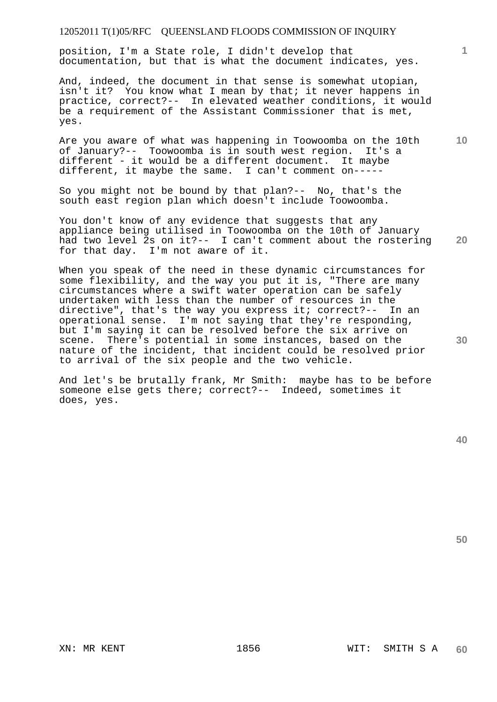position, I'm a State role, I didn't develop that documentation, but that is what the document indicates, yes.

And, indeed, the document in that sense is somewhat utopian, isn't it? You know what I mean by that; it never happens in practice, correct?-- In elevated weather conditions, it would be a requirement of the Assistant Commissioner that is met, yes.

Are you aware of what was happening in Toowoomba on the 10th of January?-- Toowoomba is in south west region. It's a different - it would be a different document. It maybe different, it maybe the same. I can't comment on-----

So you might not be bound by that plan?-- No, that's the south east region plan which doesn't include Toowoomba.

**20**  You don't know of any evidence that suggests that any appliance being utilised in Toowoomba on the 10th of January had two level 2s on it?-- I can't comment about the rostering for that day. I'm not aware of it.

When you speak of the need in these dynamic circumstances for some flexibility, and the way you put it is, "There are many circumstances where a swift water operation can be safely undertaken with less than the number of resources in the directive", that's the way you express it; correct?-- In an operational sense. I'm not saying that they're responding, but I'm saying it can be resolved before the six arrive on scene. There's potential in some instances, based on the nature of the incident, that incident could be resolved prior to arrival of the six people and the two vehicle.

And let's be brutally frank, Mr Smith: maybe has to be before someone else gets there; correct?-- Indeed, sometimes it does, yes.

**50** 

**30** 

**1**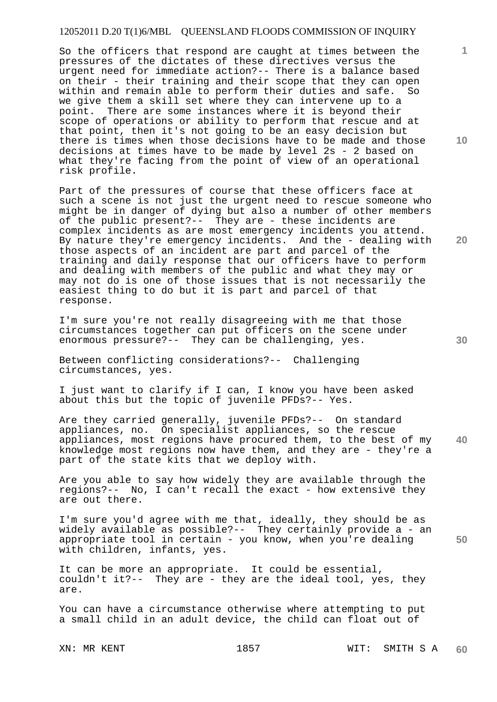# 12052011 D.20 T(1)6/MBL QUEENSLAND FLOODS COMMISSION OF INQUIRY

So the officers that respond are caught at times between the pressures of the dictates of these directives versus the urgent need for immediate action?-- There is a balance based on their - their training and their scope that they can open within and remain able to perform their duties and safe. So we give them a skill set where they can intervene up to a point. There are some instances where it is beyond their scope of operations or ability to perform that rescue and at that point, then it's not going to be an easy decision but there is times when those decisions have to be made and those decisions at times have to be made by level 2s - 2 based on what they're facing from the point of view of an operational risk profile.

Part of the pressures of course that these officers face at such a scene is not just the urgent need to rescue someone who might be in danger of dying but also a number of other members of the public present?-- They are - these incidents are complex incidents as are most emergency incidents you attend. By nature they're emergency incidents. And the - dealing with those aspects of an incident are part and parcel of the training and daily response that our officers have to perform and dealing with members of the public and what they may or may not do is one of those issues that is not necessarily the easiest thing to do but it is part and parcel of that response.

I'm sure you're not really disagreeing with me that those circumstances together can put officers on the scene under enormous pressure?-- They can be challenging, yes.

Between conflicting considerations?-- Challenging circumstances, yes.

I just want to clarify if I can, I know you have been asked about this but the topic of juvenile PFDs?-- Yes.

**40**  Are they carried generally, juvenile PFDs?-- On standard appliances, no. On specialist appliances, so the rescue appliances, most regions have procured them, to the best of my knowledge most regions now have them, and they are - they're a part of the state kits that we deploy with.

Are you able to say how widely they are available through the regions?-- No, I can't recall the exact - how extensive they are out there.

I'm sure you'd agree with me that, ideally, they should be as widely available as possible?-- They certainly provide a - an appropriate tool in certain - you know, when you're dealing with children, infants, yes.

It can be more an appropriate. It could be essential, couldn't it?-- They are - they are the ideal tool, yes, they are.

You can have a circumstance otherwise where attempting to put a small child in an adult device, the child can float out of

**10** 

**1**

**20**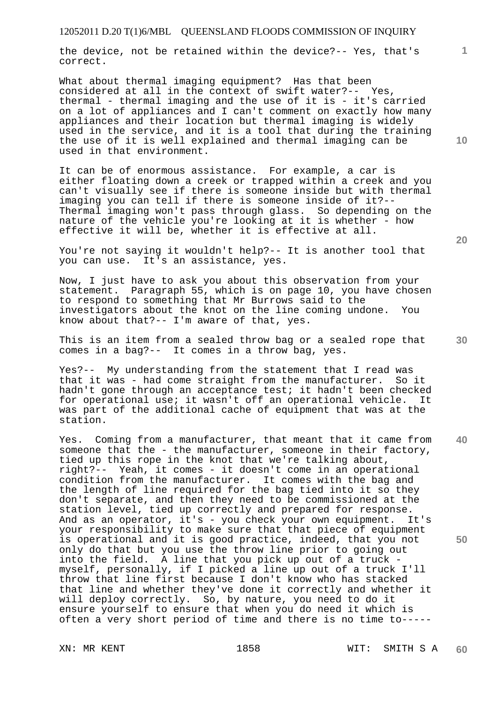the device, not be retained within the device?-- Yes, that's correct.

What about thermal imaging equipment? Has that been considered at all in the context of swift water?-- Yes, thermal - thermal imaging and the use of it is - it's carried on a lot of appliances and I can't comment on exactly how many appliances and their location but thermal imaging is widely used in the service, and it is a tool that during the training the use of it is well explained and thermal imaging can be used in that environment.

It can be of enormous assistance. For example, a car is either floating down a creek or trapped within a creek and you can't visually see if there is someone inside but with thermal imaging you can tell if there is someone inside of it?-- Thermal imaging won't pass through glass. So depending on the nature of the vehicle you're looking at it is whether - how effective it will be, whether it is effective at all.

You're not saying it wouldn't help?-- It is another tool that you can use. It's an assistance, yes.

Now, I just have to ask you about this observation from your statement. Paragraph 55, which is on page 10, you have chosen to respond to something that Mr Burrows said to the investigators about the knot on the line coming undone. You know about that?-- I'm aware of that, yes.

This is an item from a sealed throw bag or a sealed rope that comes in a bag?-- It comes in a throw bag, yes.

Yes?-- My understanding from the statement that I read was that it was - had come straight from the manufacturer. So it hadn't gone through an acceptance test; it hadn't been checked for operational use; it wasn't off an operational vehicle. It was part of the additional cache of equipment that was at the station.

**40 50**  Yes. Coming from a manufacturer, that meant that it came from someone that the - the manufacturer, someone in their factory, tied up this rope in the knot that we're talking about, right?-- Yeah, it comes - it doesn't come in an operational condition from the manufacturer. It comes with the bag and the length of line required for the bag tied into it so they don't separate, and then they need to be commissioned at the station level, tied up correctly and prepared for response. And as an operator, it's - you check your own equipment. It's your responsibility to make sure that that piece of equipment is operational and it is good practice, indeed, that you not only do that but you use the throw line prior to going out into the field. A line that you pick up out of a truck myself, personally, if I picked a line up out of a truck I'll throw that line first because I don't know who has stacked that line and whether they've done it correctly and whether it will deploy correctly. So, by nature, you need to do it ensure yourself to ensure that when you do need it which is often a very short period of time and there is no time to-----

**20** 

**10**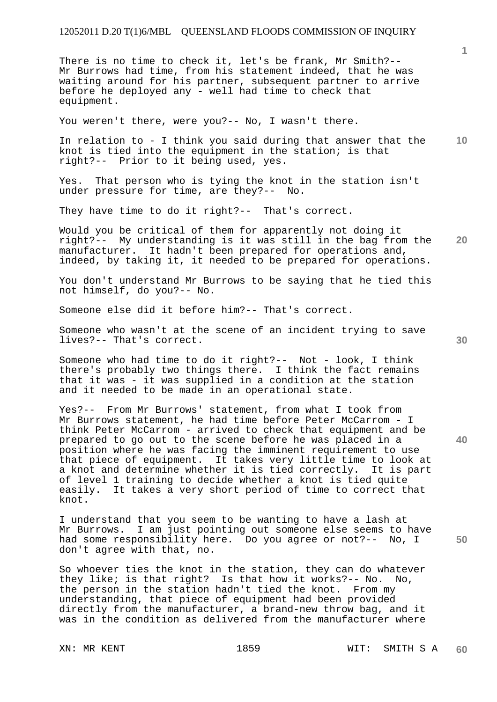#### 12052011 D.20 T(1)6/MBL QUEENSLAND FLOODS COMMISSION OF INQUIRY

There is no time to check it, let's be frank, Mr Smith?-- Mr Burrows had time, from his statement indeed, that he was waiting around for his partner, subsequent partner to arrive before he deployed any - well had time to check that equipment.

You weren't there, were you?-- No, I wasn't there.

**10**  In relation to - I think you said during that answer that the knot is tied into the equipment in the station; is that right?-- Prior to it being used, yes.

Yes. That person who is tying the knot in the station isn't under pressure for time, are they?-- No.

They have time to do it right?-- That's correct.

**20**  Would you be critical of them for apparently not doing it right?-- My understanding is it was still in the bag from the manufacturer. It hadn't been prepared for operations and, indeed, by taking it, it needed to be prepared for operations.

You don't understand Mr Burrows to be saying that he tied this not himself, do you?-- No.

Someone else did it before him?-- That's correct.

Someone who wasn't at the scene of an incident trying to save lives?-- That's correct.

Someone who had time to do it right?-- Not - look, I think there's probably two things there. I think the fact remains that it was - it was supplied in a condition at the station and it needed to be made in an operational state.

Yes?-- From Mr Burrows' statement, from what I took from Mr Burrows statement, he had time before Peter McCarrom - I think Peter McCarrom - arrived to check that equipment and be prepared to go out to the scene before he was placed in a position where he was facing the imminent requirement to use that piece of equipment. It takes very little time to look at a knot and determine whether it is tied correctly. It is part of level 1 training to decide whether a knot is tied quite easily. It takes a very short period of time to correct that knot.

I understand that you seem to be wanting to have a lash at Mr Burrows. I am just pointing out someone else seems to have had some responsibility here. Do you agree or not?-- No, I don't agree with that, no.

So whoever ties the knot in the station, they can do whatever they like; is that right? Is that how it works?-- No. No, the person in the station hadn't tied the knot. From my understanding, that piece of equipment had been provided directly from the manufacturer, a brand-new throw bag, and it was in the condition as delivered from the manufacturer where

**30** 

**40** 

**50**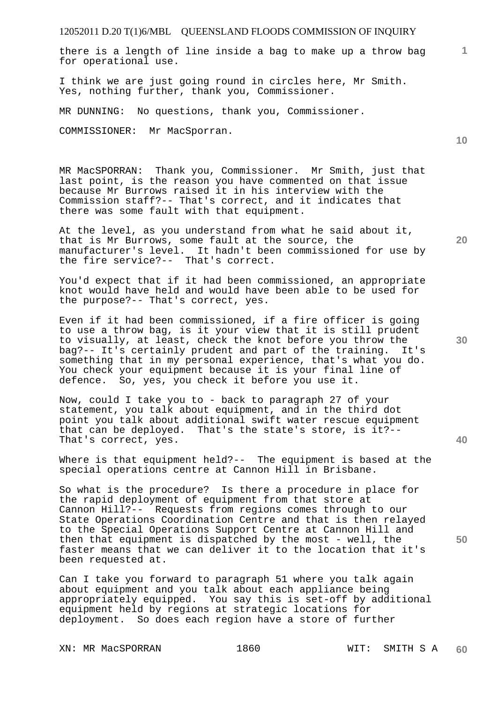there is a length of line inside a bag to make up a throw bag for operational use.

I think we are just going round in circles here, Mr Smith. Yes, nothing further, thank you, Commissioner.

MR DUNNING: No questions, thank you, Commissioner.

COMMISSIONER: Mr MacSporran.

MR MacSPORRAN: Thank you, Commissioner. Mr Smith, just that last point, is the reason you have commented on that issue because Mr Burrows raised it in his interview with the Commission staff?-- That's correct, and it indicates that there was some fault with that equipment.

At the level, as you understand from what he said about it, that is Mr Burrows, some fault at the source, the manufacturer's level. It hadn't been commissioned for use by the fire service?-- That's correct.

You'd expect that if it had been commissioned, an appropriate knot would have held and would have been able to be used for the purpose?-- That's correct, yes.

Even if it had been commissioned, if a fire officer is going to use a throw bag, is it your view that it is still prudent to visually, at least, check the knot before you throw the bag?-- It's certainly prudent and part of the training. It's something that in my personal experience, that's what you do. You check your equipment because it is your final line of defence. So, yes, you check it before you use it.

Now, could I take you to - back to paragraph 27 of your statement, you talk about equipment, and in the third dot point you talk about additional swift water rescue equipment that can be deployed. That's the state's store, is it?-- That's correct, yes.

Where is that equipment held?-- The equipment is based at the special operations centre at Cannon Hill in Brisbane.

So what is the procedure? Is there a procedure in place for the rapid deployment of equipment from that store at Cannon Hill?-- Requests from regions comes through to our State Operations Coordination Centre and that is then relayed to the Special Operations Support Centre at Cannon Hill and then that equipment is dispatched by the most - well, the faster means that we can deliver it to the location that it's been requested at.

Can I take you forward to paragraph 51 where you talk again about equipment and you talk about each appliance being appropriately equipped. You say this is set-off by additional equipment held by regions at strategic locations for deployment. So does each region have a store of further

XN: MR MacSPORRAN 1860 WIT: SMITH S A

**10** 

**1**

**30** 

**20** 

**40**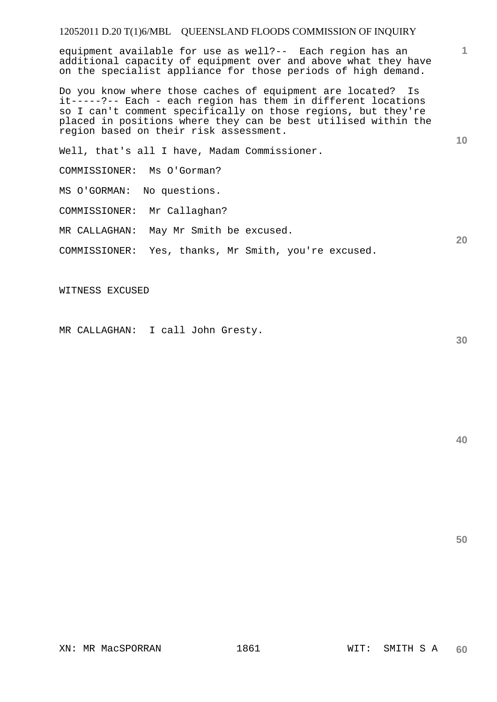# 12052011 D.20 T(1)6/MBL QUEENSLAND FLOODS COMMISSION OF INQUIRY

equipment available for use as well?-- Each region has an additional capacity of equipment over and above what they have on the specialist appliance for those periods of high demand.

Do you know where those caches of equipment are located? Is it-----?-- Each - each region has them in different locations so I can't comment specifically on those regions, but they're placed in positions where they can be best utilised within the region based on their risk assessment.

Well, that's all I have, Madam Commissioner.

COMMISSIONER: Ms O'Gorman?

MS O'GORMAN: No questions.

COMMISSIONER: Mr Callaghan?

MR CALLAGHAN: May Mr Smith be excused.

COMMISSIONER: Yes, thanks, Mr Smith, you're excused.

WITNESS EXCUSED

MR CALLAGHAN: I call John Gresty.

**30** 

**1**

**10** 

**20**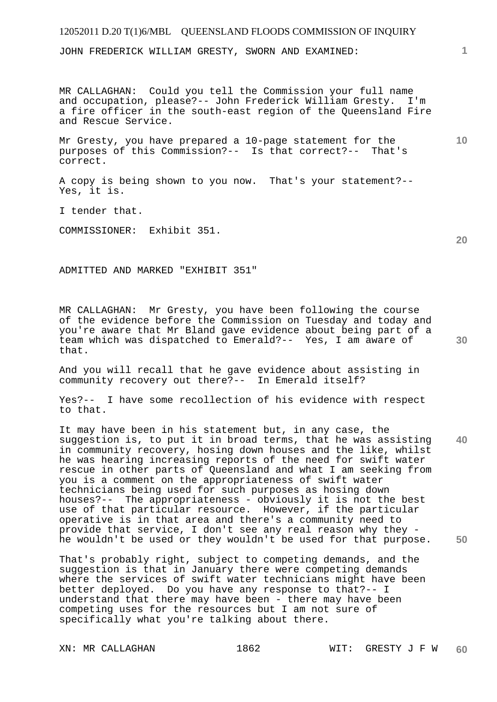# 12052011 D.20 T(1)6/MBL QUEENSLAND FLOODS COMMISSION OF INQUIRY

JOHN FREDERICK WILLIAM GRESTY, SWORN AND EXAMINED:

MR CALLAGHAN: Could you tell the Commission your full name and occupation, please?-- John Frederick William Gresty. I'm a fire officer in the south-east region of the Queensland Fire and Rescue Service.

Mr Gresty, you have prepared a 10-page statement for the purposes of this Commission?-- Is that correct?-- That's correct.

A copy is being shown to you now. That's your statement?-- Yes, it is.

I tender that.

COMMISSIONER: Exhibit 351.

ADMITTED AND MARKED "EXHIBIT 351"

MR CALLAGHAN: Mr Gresty, you have been following the course of the evidence before the Commission on Tuesday and today and you're aware that Mr Bland gave evidence about being part of a team which was dispatched to Emerald?-- Yes, I am aware of that.

And you will recall that he gave evidence about assisting in community recovery out there?-- In Emerald itself?

Yes?-- I have some recollection of his evidence with respect to that.

**40 50**  It may have been in his statement but, in any case, the suggestion is, to put it in broad terms, that he was assisting in community recovery, hosing down houses and the like, whilst he was hearing increasing reports of the need for swift water rescue in other parts of Queensland and what I am seeking from you is a comment on the appropriateness of swift water technicians being used for such purposes as hosing down houses?-- The appropriateness - obviously it is not the best use of that particular resource. However, if the particular operative is in that area and there's a community need to provide that service, I don't see any real reason why they he wouldn't be used or they wouldn't be used for that purpose.

That's probably right, subject to competing demands, and the suggestion is that in January there were competing demands where the services of swift water technicians might have been better deployed. Do you have any response to that?-- I understand that there may have been - there may have been competing uses for the resources but I am not sure of specifically what you're talking about there.

**10** 

**1**

**20**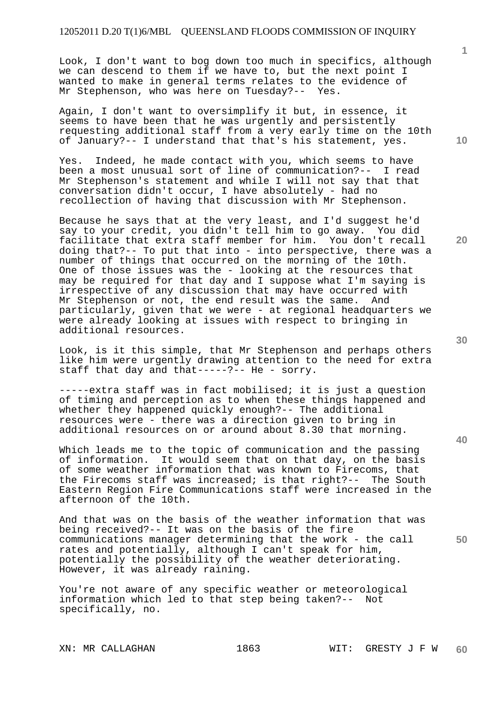Look, I don't want to bog down too much in specifics, although we can descend to them if we have to, but the next point I wanted to make in general terms relates to the evidence of Mr Stephenson, who was here on Tuesday?-- Yes.

Again, I don't want to oversimplify it but, in essence, it seems to have been that he was urgently and persistently requesting additional staff from a very early time on the 10th of January?-- I understand that that's his statement, yes.

Yes. Indeed, he made contact with you, which seems to have been a most unusual sort of line of communication?-- I read Mr Stephenson's statement and while I will not say that that conversation didn't occur, I have absolutely - had no recollection of having that discussion with Mr Stephenson.

Because he says that at the very least, and I'd suggest he'd say to your credit, you didn't tell him to go away. You did facilitate that extra staff member for him. You don't recall doing that?-- To put that into - into perspective, there was a number of things that occurred on the morning of the 10th. One of those issues was the - looking at the resources that may be required for that day and I suppose what I'm saying is irrespective of any discussion that may have occurred with Mr Stephenson or not, the end result was the same. And particularly, given that we were - at regional headquarters we were already looking at issues with respect to bringing in additional resources.

Look, is it this simple, that Mr Stephenson and perhaps others like him were urgently drawing attention to the need for extra staff that day and that-----?-- He - sorry.

-----extra staff was in fact mobilised; it is just a question of timing and perception as to when these things happened and whether they happened quickly enough?-- The additional resources were - there was a direction given to bring in additional resources on or around about 8.30 that morning.

Which leads me to the topic of communication and the passing of information. It would seem that on that day, on the basis of some weather information that was known to Firecoms, that the Firecoms staff was increased; is that right?-- The South Eastern Region Fire Communications staff were increased in the afternoon of the 10th.

And that was on the basis of the weather information that was being received?-- It was on the basis of the fire communications manager determining that the work - the call rates and potentially, although I can't speak for him, potentially the possibility of the weather deteriorating. However, it was already raining.

You're not aware of any specific weather or meteorological information which led to that step being taken?-- Not specifically, no.

**10** 

**1**

**20** 

**40**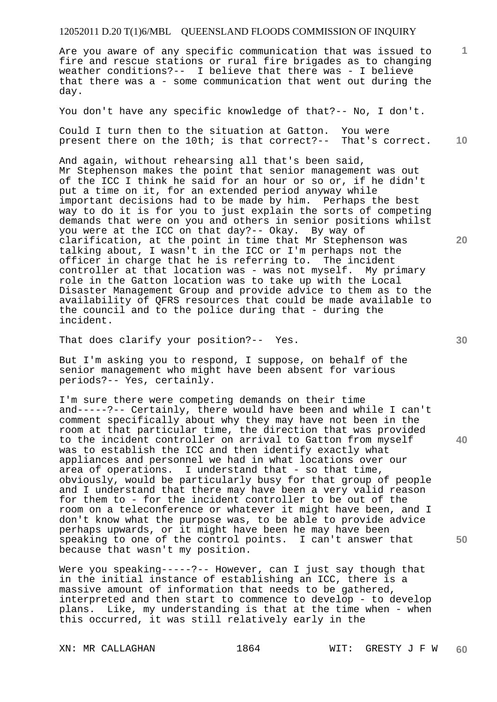### 12052011 D.20 T(1)6/MBL QUEENSLAND FLOODS COMMISSION OF INQUIRY

Are you aware of any specific communication that was issued to fire and rescue stations or rural fire brigades as to changing weather conditions?-- I believe that there was - I believe that there was a - some communication that went out during the day.

You don't have any specific knowledge of that?-- No, I don't.

Could I turn then to the situation at Gatton. You were present there on the 10th; is that correct?-- That's correct.

And again, without rehearsing all that's been said, Mr Stephenson makes the point that senior management was out of the ICC I think he said for an hour or so or, if he didn't put a time on it, for an extended period anyway while important decisions had to be made by him. Perhaps the best way to do it is for you to just explain the sorts of competing demands that were on you and others in senior positions whilst you were at the ICC on that day?-- Okay. By way of clarification, at the point in time that Mr Stephenson was talking about, I wasn't in the ICC or I'm perhaps not the officer in charge that he is referring to. The incident controller at that location was - was not myself. My primary role in the Gatton location was to take up with the Local Disaster Management Group and provide advice to them as to the availability of QFRS resources that could be made available to the council and to the police during that - during the incident.

That does clarify your position?-- Yes.

But I'm asking you to respond, I suppose, on behalf of the senior management who might have been absent for various periods?-- Yes, certainly.

I'm sure there were competing demands on their time and-----?-- Certainly, there would have been and while I can't comment specifically about why they may have not been in the room at that particular time, the direction that was provided to the incident controller on arrival to Gatton from myself was to establish the ICC and then identify exactly what appliances and personnel we had in what locations over our area of operations. I understand that - so that time, obviously, would be particularly busy for that group of people and I understand that there may have been a very valid reason for them to - for the incident controller to be out of the room on a teleconference or whatever it might have been, and I don't know what the purpose was, to be able to provide advice perhaps upwards, or it might have been he may have been speaking to one of the control points. I can't answer that because that wasn't my position.

Were you speaking-----?-- However, can I just say though that in the initial instance of establishing an ICC, there is a massive amount of information that needs to be gathered, interpreted and then start to commence to develop - to develop plans. Like, my understanding is that at the time when - when this occurred, it was still relatively early in the

**30** 

**20** 

**40** 

**50** 

**10**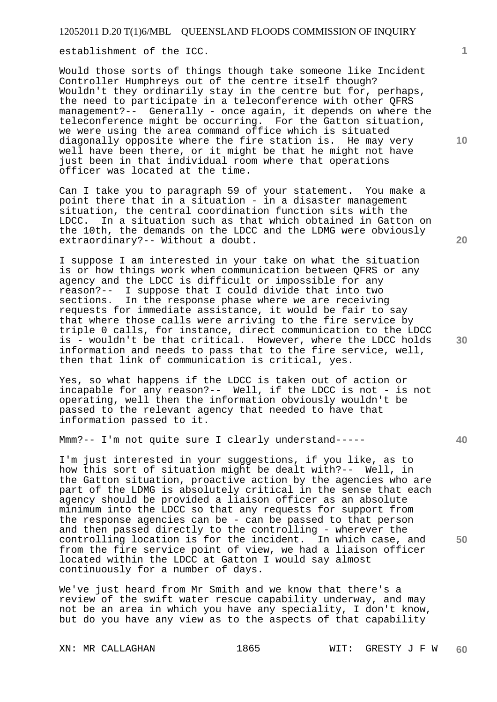establishment of the ICC.

Would those sorts of things though take someone like Incident Controller Humphreys out of the centre itself though? Wouldn't they ordinarily stay in the centre but for, perhaps, the need to participate in a teleconference with other QFRS management?-- Generally - once again, it depends on where the teleconference might be occurring. For the Gatton situation, we were using the area command office which is situated diagonally opposite where the fire station is. He may very well have been there, or it might be that he might not have just been in that individual room where that operations officer was located at the time.

Can I take you to paragraph 59 of your statement. You make a point there that in a situation - in a disaster management situation, the central coordination function sits with the<br>LDCC. In a situation such as that which obtained in Gatto In a situation such as that which obtained in Gatton on the 10th, the demands on the LDCC and the LDMG were obviously extraordinary?-- Without a doubt.

I suppose I am interested in your take on what the situation is or how things work when communication between QFRS or any agency and the LDCC is difficult or impossible for any reason?-- I suppose that I could divide that into two sections. In the response phase where we are receiving requests for immediate assistance, it would be fair to say that where those calls were arriving to the fire service by triple 0 calls, for instance, direct communication to the LDCC is - wouldn't be that critical. However, where the LDCC holds information and needs to pass that to the fire service, well, then that link of communication is critical, yes.

Yes, so what happens if the LDCC is taken out of action or incapable for any reason?-- Well, if the LDCC is not - is not operating, well then the information obviously wouldn't be passed to the relevant agency that needed to have that information passed to it.

Mmm?-- I'm not quite sure I clearly understand-----

I'm just interested in your suggestions, if you like, as to how this sort of situation might be dealt with?-- Well, in the Gatton situation, proactive action by the agencies who are part of the LDMG is absolutely critical in the sense that each agency should be provided a liaison officer as an absolute minimum into the LDCC so that any requests for support from the response agencies can be - can be passed to that person and then passed directly to the controlling - wherever the controlling location is for the incident. In which case, and from the fire service point of view, we had a liaison officer located within the LDCC at Gatton I would say almost continuously for a number of days.

We've just heard from Mr Smith and we know that there's a review of the swift water rescue capability underway, and may not be an area in which you have any speciality, I don't know, but do you have any view as to the aspects of that capability

**1**

**20** 

**10** 

**30** 

**40**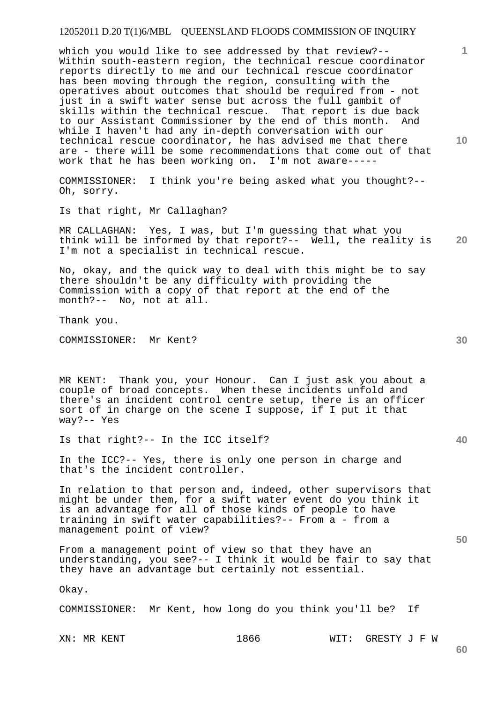#### 12052011 D.20 T(1)6/MBL QUEENSLAND FLOODS COMMISSION OF INQUIRY

which you would like to see addressed by that review?-- Within south-eastern region, the technical rescue coordinator reports directly to me and our technical rescue coordinator has been moving through the region, consulting with the operatives about outcomes that should be required from - not just in a swift water sense but across the full gambit of skills within the technical rescue. That report is due back to our Assistant Commissioner by the end of this month. And while I haven't had any in-depth conversation with our technical rescue coordinator, he has advised me that there are - there will be some recommendations that come out of that work that he has been working on. I'm not aware-----

COMMISSIONER: I think you're being asked what you thought?-- Oh, sorry.

Is that right, Mr Callaghan?

**20**  MR CALLAGHAN: Yes, I was, but I'm guessing that what you think will be informed by that report?-- Well, the reality is I'm not a specialist in technical rescue.

No, okay, and the quick way to deal with this might be to say there shouldn't be any difficulty with providing the Commission with a copy of that report at the end of the month?-- No, not at all.

Thank you.

COMMISSIONER: Mr Kent?

MR KENT: Thank you, your Honour. Can I just ask you about a couple of broad concepts. When these incidents unfold and there's an incident control centre setup, there is an officer sort of in charge on the scene I suppose, if I put it that way?-- Yes

Is that right?-- In the ICC itself?

In the ICC?-- Yes, there is only one person in charge and that's the incident controller.

In relation to that person and, indeed, other supervisors that might be under them, for a swift water event do you think it is an advantage for all of those kinds of people to have training in swift water capabilities?-- From a - from a management point of view?

From a management point of view so that they have an understanding, you see?-- I think it would be fair to say that they have an advantage but certainly not essential.

Okay.

COMMISSIONER: Mr Kent, how long do you think you'll be? If

XN: MR KENT 1866 WIT: GRESTY J F W

**10** 

**1**

**60**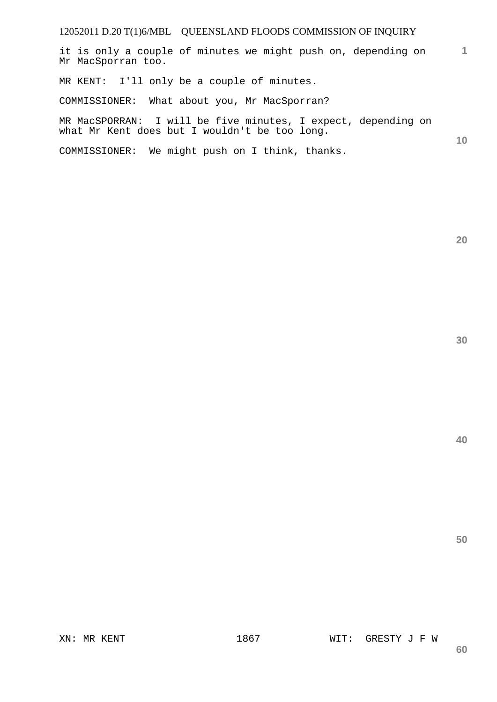## 12052011 D.20 T(1)6/MBL QUEENSLAND FLOODS COMMISSION OF INQUIRY

**1** it is only a couple of minutes we might push on, depending on Mr MacSporran too.

MR KENT: I'll only be a couple of minutes.

COMMISSIONER: What about you, Mr MacSporran?

MR MacSPORRAN: I will be five minutes, I expect, depending on what Mr Kent does but I wouldn't be too long.

COMMISSIONER: We might push on I think, thanks.

**20** 

**10**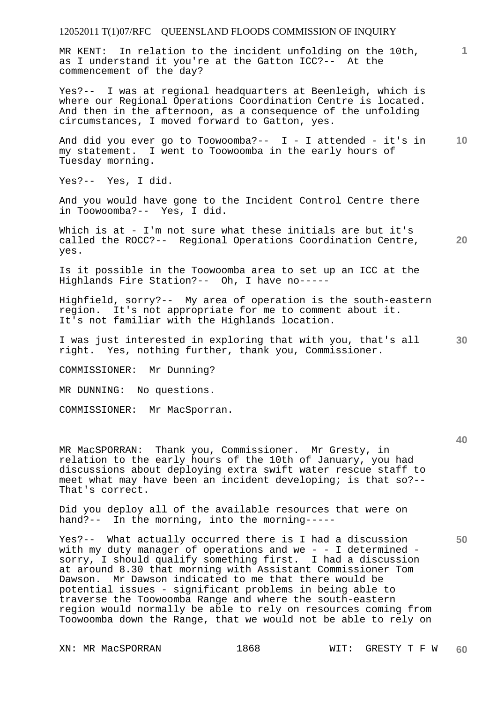MR KENT: In relation to the incident unfolding on the 10th, as I understand it you're at the Gatton ICC?-- At the commencement of the day?

Yes?-- I was at regional headquarters at Beenleigh, which is where our Regional Operations Coordination Centre is located. And then in the afternoon, as a consequence of the unfolding circumstances, I moved forward to Gatton, yes.

**10**  And did you ever go to Toowoomba?--  $I - I$  attended - it's in my statement. I went to Toowoomba in the early hours of Tuesday morning.

Yes?-- Yes, I did.

And you would have gone to the Incident Control Centre there in Toowoomba?-- Yes, I did.

**20**  Which is at - I'm not sure what these initials are but it's called the ROCC?-- Regional Operations Coordination Centre, yes.

Is it possible in the Toowoomba area to set up an ICC at the Highlands Fire Station?-- Oh, I have no-----

Highfield, sorry?-- My area of operation is the south-eastern region. It's not appropriate for me to comment about it. It's not familiar with the Highlands location.

**30**  I was just interested in exploring that with you, that's all right. Yes, nothing further, thank you, Commissioner.

COMMISSIONER: Mr Dunning?

MR DUNNING: No questions.

COMMISSIONER: Mr MacSporran.

MR MacSPORRAN: Thank you, Commissioner. Mr Gresty, in relation to the early hours of the 10th of January, you had discussions about deploying extra swift water rescue staff to meet what may have been an incident developing; is that so?-- That's correct.

Did you deploy all of the available resources that were on hand?-- In the morning, into the morning-----

Yes?-- What actually occurred there is I had a discussion with my duty manager of operations and we - - I determined sorry, I should qualify something first. I had a discussion at around 8.30 that morning with Assistant Commissioner Tom Dawson. Mr Dawson indicated to me that there would be potential issues - significant problems in being able to traverse the Toowoomba Range and where the south-eastern region would normally be able to rely on resources coming from Toowoomba down the Range, that we would not be able to rely on

**50**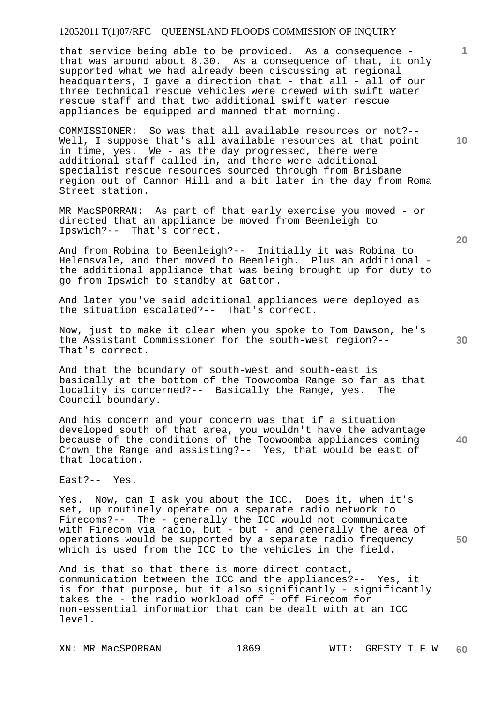that service being able to be provided. As a consequence that was around about 8.30. As a consequence of that, it only supported what we had already been discussing at regional headquarters, I gave a direction that - that all - all of our three technical rescue vehicles were crewed with swift water rescue staff and that two additional swift water rescue appliances be equipped and manned that morning.

COMMISSIONER: So was that all available resources or not?-- Well, I suppose that's all available resources at that point in time, yes. We - as the day progressed, there were additional staff called in, and there were additional specialist rescue resources sourced through from Brisbane region out of Cannon Hill and a bit later in the day from Roma Street station.

MR MacSPORRAN: As part of that early exercise you moved - or directed that an appliance be moved from Beenleigh to Ipswich?-- That's correct.

And from Robina to Beenleigh?-- Initially it was Robina to Helensvale, and then moved to Beenleigh. Plus an additional the additional appliance that was being brought up for duty to go from Ipswich to standby at Gatton.

And later you've said additional appliances were deployed as the situation escalated?-- That's correct.

Now, just to make it clear when you spoke to Tom Dawson, he's the Assistant Commissioner for the south-west region?-- That's correct.

And that the boundary of south-west and south-east is basically at the bottom of the Toowoomba Range so far as that locality is concerned?-- Basically the Range, yes. The Council boundary.

And his concern and your concern was that if a situation developed south of that area, you wouldn't have the advantage because of the conditions of the Toowoomba appliances coming Crown the Range and assisting?-- Yes, that would be east of that location.

East?-- Yes.

Yes. Now, can I ask you about the ICC. Does it, when it's set, up routinely operate on a separate radio network to Firecoms?-- The - generally the ICC would not communicate with Firecom via radio, but - but - and generally the area of operations would be supported by a separate radio frequency which is used from the ICC to the vehicles in the field.

And is that so that there is more direct contact, communication between the ICC and the appliances?-- Yes, it is for that purpose, but it also significantly - significantly takes the - the radio workload off - off Firecom for non-essential information that can be dealt with at an ICC level.

**20** 

**10** 

**1**

**40**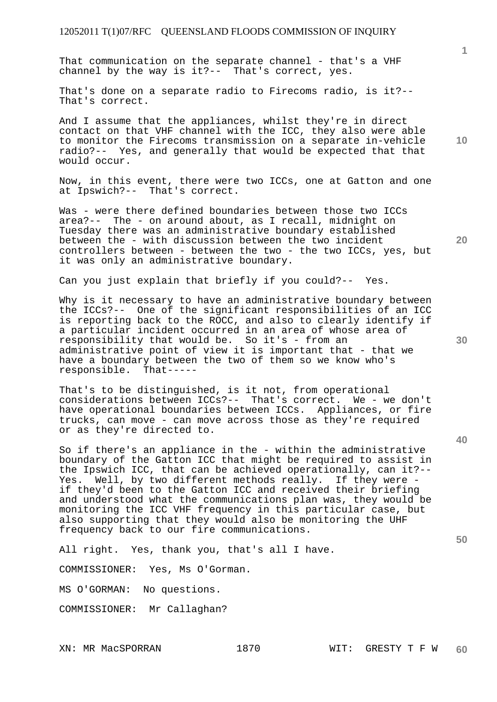That communication on the separate channel - that's a VHF channel by the way is it?-- That's correct, yes.

That's done on a separate radio to Firecoms radio, is it?-- That's correct.

And I assume that the appliances, whilst they're in direct contact on that VHF channel with the ICC, they also were able to monitor the Firecoms transmission on a separate in-vehicle radio?-- Yes, and generally that would be expected that that would occur.

Now, in this event, there were two ICCs, one at Gatton and one at Ipswich?-- That's correct.

Was - were there defined boundaries between those two ICCs area?-- The - on around about, as I recall, midnight on Tuesday there was an administrative boundary established between the - with discussion between the two incident controllers between - between the two - the two ICCs, yes, but it was only an administrative boundary.

Can you just explain that briefly if you could?-- Yes.

Why is it necessary to have an administrative boundary between the ICCs?-- One of the significant responsibilities of an ICC is reporting back to the ROCC, and also to clearly identify if a particular incident occurred in an area of whose area of responsibility that would be. So it's - from an administrative point of view it is important that - that we have a boundary between the two of them so we know who's responsible. That----responsible.

That's to be distinguished, is it not, from operational considerations between ICCs?-- That's correct. We - we don't have operational boundaries between ICCs. Appliances, or fire trucks, can move - can move across those as they're required or as they're directed to.

So if there's an appliance in the - within the administrative boundary of the Gatton ICC that might be required to assist in the Ipswich ICC, that can be achieved operationally, can it?-- Yes. Well, by two different methods really. If they were if they'd been to the Gatton ICC and received their briefing and understood what the communications plan was, they would be monitoring the ICC VHF frequency in this particular case, but also supporting that they would also be monitoring the UHF frequency back to our fire communications.

All right. Yes, thank you, that's all I have.

COMMISSIONER: Yes, Ms O'Gorman.

MS O'GORMAN: No questions.

COMMISSIONER: Mr Callaghan?

**20** 

**30** 

**40** 

**50**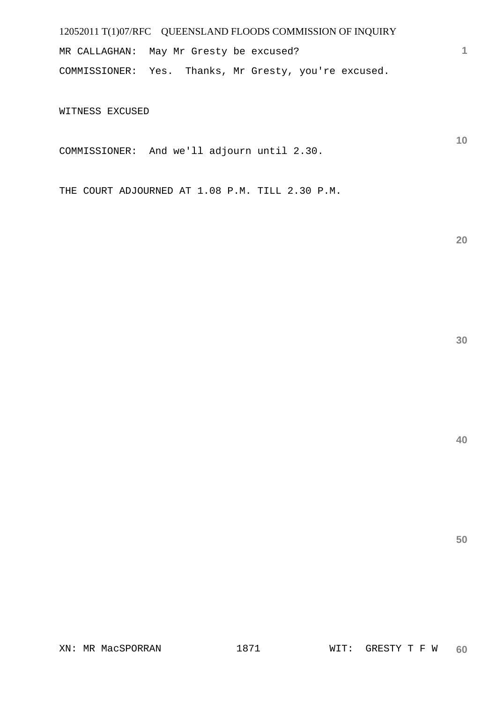MR CALLAGHAN: May Mr Gresty be excused? COMMISSIONER: Yes. Thanks, Mr Gresty, you're excused.

WITNESS EXCUSED

COMMISSIONER: And we'll adjourn until 2.30.

THE COURT ADJOURNED AT 1.08 P.M. TILL 2.30 P.M.

**20** 

**1**

**10** 

**40**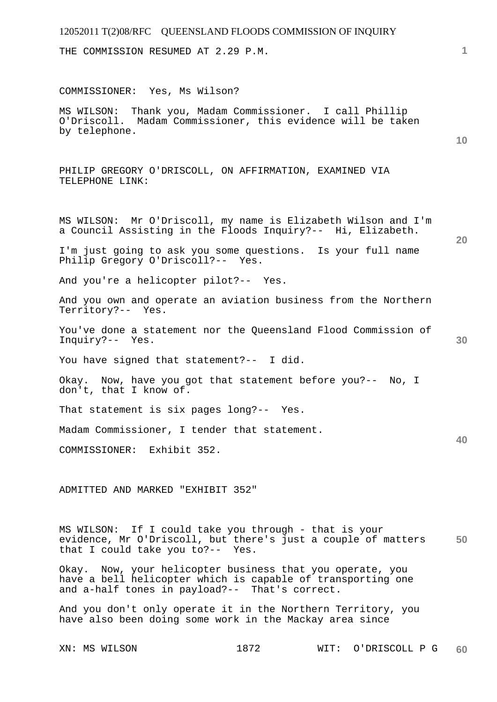THE COMMISSION RESUMED AT 2.29 P.M.

COMMISSIONER: Yes, Ms Wilson?

MS WILSON: Thank you, Madam Commissioner. I call Phillip O'Driscoll. Madam Commissioner, this evidence will be taken by telephone.

**10** 

**1**

PHILIP GREGORY O'DRISCOLL, ON AFFIRMATION, EXAMINED VIA TELEPHONE LINK:

MS WILSON: Mr O'Driscoll, my name is Elizabeth Wilson and I'm a Council Assisting in the Floods Inquiry?-- Hi, Elizabeth.

**20** 

**30** 

**40** 

**60** 

I'm just going to ask you some questions. Is your full name Philip Gregory O'Driscoll?-- Yes.

And you're a helicopter pilot?-- Yes.

And you own and operate an aviation business from the Northern Territory?-- Yes.

You've done a statement nor the Queensland Flood Commission of Inquiry?-- Yes.

You have signed that statement?-- I did.

Okay. Now, have you got that statement before you?-- No, I don't, that I know of.

That statement is six pages long?-- Yes.

Madam Commissioner, I tender that statement.

COMMISSIONER: Exhibit 352.

ADMITTED AND MARKED "EXHIBIT 352"

**50**  MS WILSON: If I could take you through - that is your evidence, Mr O'Driscoll, but there's just a couple of matters that I could take you to?-- Yes.

Okay. Now, your helicopter business that you operate, you have a bell helicopter which is capable of transporting one and a-half tones in payload?-- That's correct.

And you don't only operate it in the Northern Territory, you have also been doing some work in the Mackay area since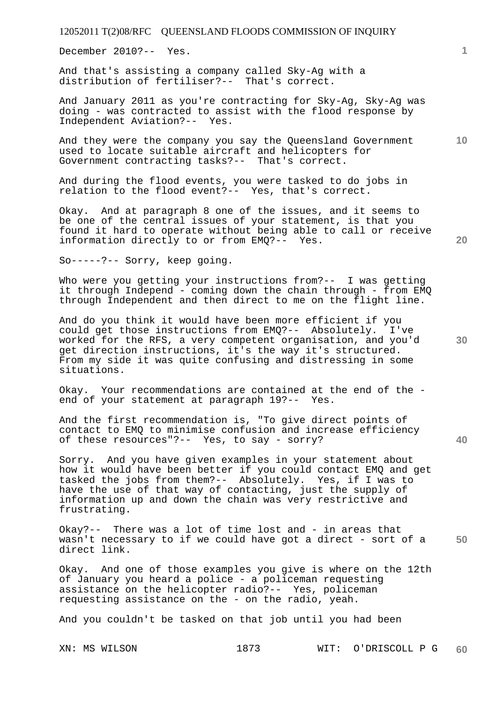December 2010?-- Yes.

And that's assisting a company called Sky-Ag with a distribution of fertiliser?-- That's correct.

And January 2011 as you're contracting for Sky-Ag, Sky-Ag was doing - was contracted to assist with the flood response by Independent Aviation?-- Yes.

And they were the company you say the Queensland Government used to locate suitable aircraft and helicopters for Government contracting tasks?-- That's correct.

And during the flood events, you were tasked to do jobs in relation to the flood event?-- Yes, that's correct.

Okay. And at paragraph 8 one of the issues, and it seems to be one of the central issues of your statement, is that you found it hard to operate without being able to call or receive information directly to or from EMQ?-- Yes.

So-----?-- Sorry, keep going.

Who were you getting your instructions from?-- I was getting it through Independ - coming down the chain through - from EMQ through Independent and then direct to me on the flight line.

And do you think it would have been more efficient if you could get those instructions from EMQ?-- Absolutely. I've worked for the RFS, a very competent organisation, and you'd get direction instructions, it's the way it's structured. From my side it was quite confusing and distressing in some situations.

Okay. Your recommendations are contained at the end of the end of your statement at paragraph 19?-- Yes.

And the first recommendation is, "To give direct points of contact to EMQ to minimise confusion and increase efficiency of these resources"?-- Yes, to say - sorry?

Sorry. And you have given examples in your statement about how it would have been better if you could contact EMQ and get tasked the jobs from them?-- Absolutely. Yes, if I was to have the use of that way of contacting, just the supply of information up and down the chain was very restrictive and frustrating.

**50**  Okay?-- There was a lot of time lost and - in areas that wasn't necessary to if we could have got a direct - sort of a direct link.

Okay. And one of those examples you give is where on the 12th of January you heard a police - a policeman requesting assistance on the helicopter radio?-- Yes, policeman requesting assistance on the - on the radio, yeah.

And you couldn't be tasked on that job until you had been

**1**

**10** 

**30** 

**20**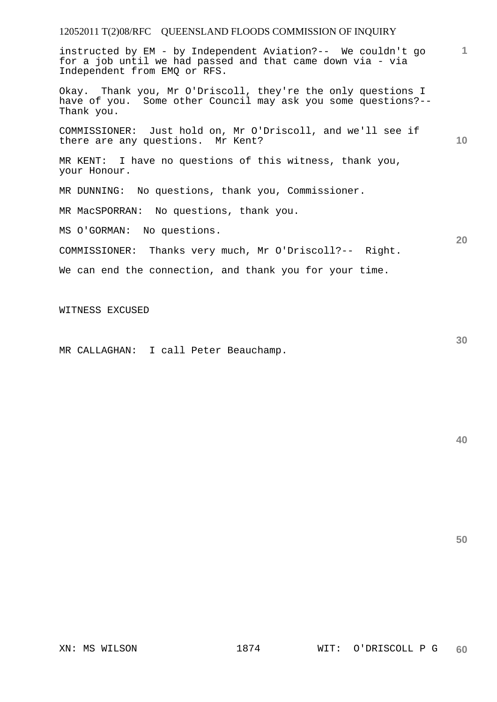instructed by EM - by Independent Aviation?-- We couldn't go for a job until we had passed and that came down via - via Independent from EMQ or RFS.

Okay. Thank you, Mr O'Driscoll, they're the only questions I have of you. Some other Council may ask you some questions?-- Thank you.

COMMISSIONER: Just hold on, Mr O'Driscoll, and we'll see if there are any questions. Mr Kent?

MR KENT: I have no questions of this witness, thank you, your Honour.

MR DUNNING: No questions, thank you, Commissioner.

MR MacSPORRAN: No questions, thank you.

MS O'GORMAN: No questions.

COMMISSIONER: Thanks very much, Mr O'Driscoll?-- Right.

We can end the connection, and thank you for your time.

WITNESS EXCUSED

MR CALLAGHAN: I call Peter Beauchamp.

**40** 

**50** 

**1**

**10** 

**20**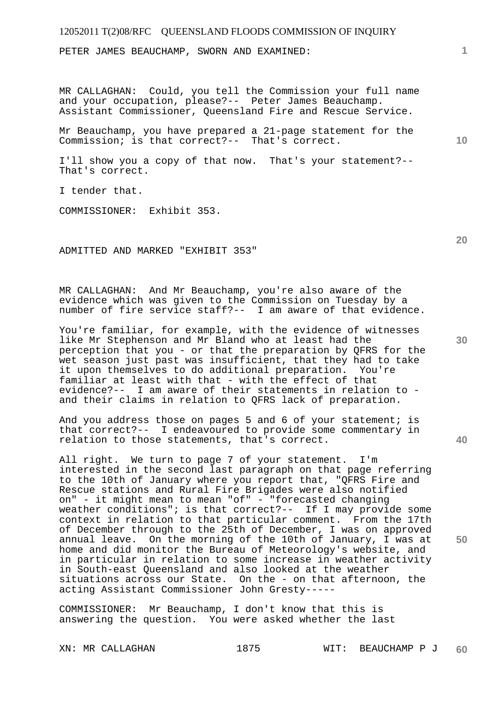PETER JAMES BEAUCHAMP, SWORN AND EXAMINED:

MR CALLAGHAN: Could, you tell the Commission your full name and your occupation, please?-- Peter James Beauchamp. Assistant Commissioner, Queensland Fire and Rescue Service.

Mr Beauchamp, you have prepared a 21-page statement for the Commission; is that correct?-- That's correct.

I'll show you a copy of that now. That's your statement?-- That's correct.

I tender that.

COMMISSIONER: Exhibit 353.

ADMITTED AND MARKED "EXHIBIT 353"

MR CALLAGHAN: And Mr Beauchamp, you're also aware of the evidence which was given to the Commission on Tuesday by a number of fire service staff?-- I am aware of that evidence.

You're familiar, for example, with the evidence of witnesses like Mr Stephenson and Mr Bland who at least had the perception that you - or that the preparation by QFRS for the wet season just past was insufficient, that they had to take it upon themselves to do additional preparation. You're familiar at least with that - with the effect of that evidence?-- I am aware of their statements in relation to and their claims in relation to QFRS lack of preparation.

And you address those on pages 5 and 6 of your statement; is that correct?-- I endeavoured to provide some commentary in relation to those statements, that's correct.

All right. We turn to page 7 of your statement. I'm interested in the second last paragraph on that page referring to the 10th of January where you report that, "QFRS Fire and Rescue stations and Rural Fire Brigades were also notified on" - it might mean to mean "of" - "forecasted changing weather conditions"; is that correct?-- If I may provide some context in relation to that particular comment. From the 17th of December through to the 25th of December, I was on approved annual leave. On the morning of the 10th of January, I was at home and did monitor the Bureau of Meteorology's website, and in particular in relation to some increase in weather activity in South-east Queensland and also looked at the weather situations across our State. On the - on that afternoon, the acting Assistant Commissioner John Gresty-----

COMMISSIONER: Mr Beauchamp, I don't know that this is answering the question. You were asked whether the last

**10** 

**20** 

**40**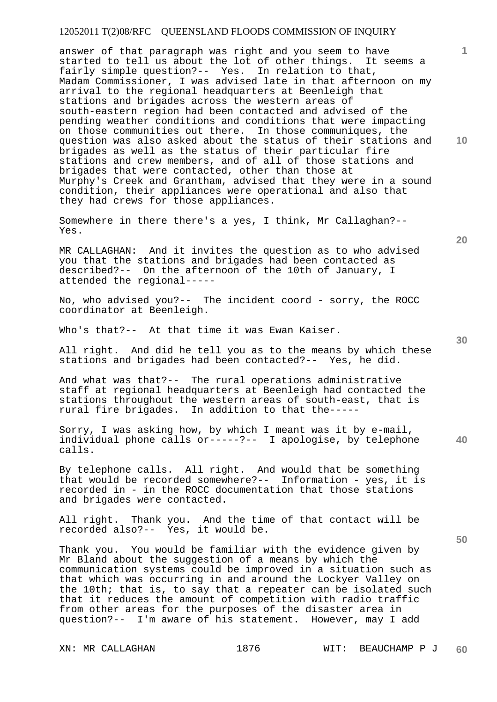answer of that paragraph was right and you seem to have started to tell us about the lot of other things. It seems a fairly simple question?-- Yes. In relation to that, Madam Commissioner, I was advised late in that afternoon on my arrival to the regional headquarters at Beenleigh that stations and brigades across the western areas of south-eastern region had been contacted and advised of the pending weather conditions and conditions that were impacting on those communities out there. In those communiques, the question was also asked about the status of their stations and brigades as well as the status of their particular fire stations and crew members, and of all of those stations and brigades that were contacted, other than those at Murphy's Creek and Grantham, advised that they were in a sound condition, their appliances were operational and also that they had crews for those appliances.

Somewhere in there there's a yes, I think, Mr Callaghan?-- Yes.

MR CALLAGHAN: And it invites the question as to who advised you that the stations and brigades had been contacted as described?-- On the afternoon of the 10th of January, I attended the regional-----

No, who advised you?-- The incident coord - sorry, the ROCC coordinator at Beenleigh.

Who's that?-- At that time it was Ewan Kaiser.

All right. And did he tell you as to the means by which these stations and brigades had been contacted?-- Yes, he did.

And what was that?-- The rural operations administrative staff at regional headquarters at Beenleigh had contacted the stations throughout the western areas of south-east, that is rural fire brigades. In addition to that the-----

Sorry, I was asking how, by which I meant was it by e-mail, individual phone calls or-----?-- I apologise, by telephone calls.

By telephone calls. All right. And would that be something that would be recorded somewhere?-- Information - yes, it is recorded in - in the ROCC documentation that those stations and brigades were contacted.

All right. Thank you. And the time of that contact will be recorded also?-- Yes, it would be.

Thank you. You would be familiar with the evidence given by Mr Bland about the suggestion of a means by which the communication systems could be improved in a situation such as that which was occurring in and around the Lockyer Valley on the 10th; that is, to say that a repeater can be isolated such that it reduces the amount of competition with radio traffic from other areas for the purposes of the disaster area in question?-- I'm aware of his statement. However, may I add

**30** 

**20** 

**50** 

**10**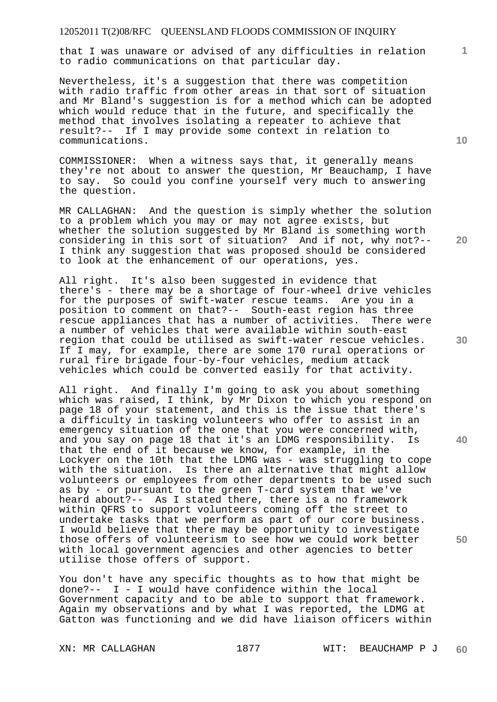that I was unaware or advised of any difficulties in relation to radio communications on that particular day.

Nevertheless, it's a suggestion that there was competition with radio traffic from other areas in that sort of situation and Mr Bland's suggestion is for a method which can be adopted which would reduce that in the future, and specifically the method that involves isolating a repeater to achieve that result?-- If I may provide some context in relation to communications.

COMMISSIONER: When a witness says that, it generally means they're not about to answer the question, Mr Beauchamp, I have to say. So could you confine yourself very much to answering the question.

MR CALLAGHAN: And the question is simply whether the solution to a problem which you may or may not agree exists, but whether the solution suggested by Mr Bland is something worth considering in this sort of situation? And if not, why not?-- I think any suggestion that was proposed should be considered to look at the enhancement of our operations, yes.

All right. It's also been suggested in evidence that there's - there may be a shortage of four-wheel drive vehicles for the purposes of swift-water rescue teams. Are you in a position to comment on that?-- South-east region has three rescue appliances that has a number of activities. There were a number of vehicles that were available within south-east region that could be utilised as swift-water rescue vehicles. If I may, for example, there are some 170 rural operations or rural fire brigade four-by-four vehicles, medium attack vehicles which could be converted easily for that activity.

All right. And finally I'm going to ask you about something which was raised, I think, by Mr Dixon to which you respond on page 18 of your statement, and this is the issue that there's a difficulty in tasking volunteers who offer to assist in an emergency situation of the one that you were concerned with, and you say on page 18 that it's an LDMG responsibility. Is that the end of it because we know, for example, in the Lockyer on the 10th that the LDMG was - was struggling to cope with the situation. Is there an alternative that might allow volunteers or employees from other departments to be used such as by - or pursuant to the green T-card system that we've heard about?-- As I stated there, there is a no framework within QFRS to support volunteers coming off the street to undertake tasks that we perform as part of our core business. I would believe that there may be opportunity to investigate those offers of volunteerism to see how we could work better with local government agencies and other agencies to better utilise those offers of support.

You don't have any specific thoughts as to how that might be done?-- I - I would have confidence within the local Government capacity and to be able to support that framework. Again my observations and by what I was reported, the LDMG at Gatton was functioning and we did have liaison officers within

**10** 

**1**

**20** 

**30** 

**40**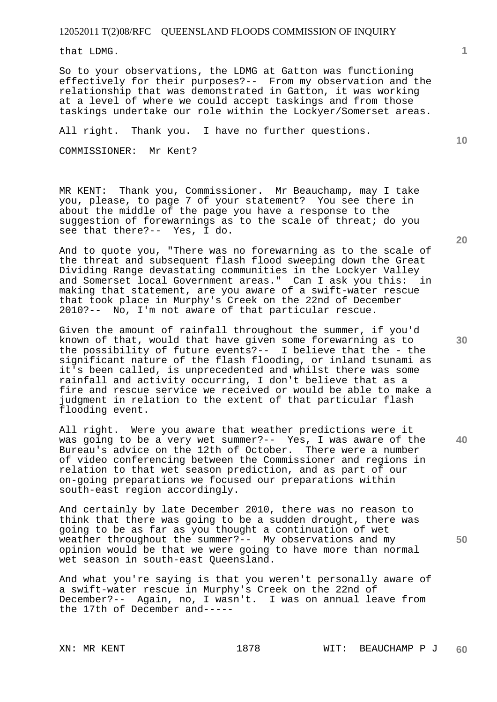that LDMG.

So to your observations, the LDMG at Gatton was functioning effectively for their purposes?-- From my observation and the relationship that was demonstrated in Gatton, it was working at a level of where we could accept taskings and from those taskings undertake our role within the Lockyer/Somerset areas.

All right. Thank you. I have no further questions.

COMMISSIONER: Mr Kent?

MR KENT: Thank you, Commissioner. Mr Beauchamp, may I take you, please, to page 7 of your statement? You see there in about the middle of the page you have a response to the suggestion of forewarnings as to the scale of threat; do you see that there?-- Yes, I do.

And to quote you, "There was no forewarning as to the scale of the threat and subsequent flash flood sweeping down the Great Dividing Range devastating communities in the Lockyer Valley<br>and Somerset local Government areas." Can I ask you this: in and Somerset local Government areas." Can I ask you this: making that statement, are you aware of a swift-water rescue that took place in Murphy's Creek on the 22nd of December 2010?-- No, I'm not aware of that particular rescue.

Given the amount of rainfall throughout the summer, if you'd known of that, would that have given some forewarning as to the possibility of future events?-- I believe that the - the significant nature of the flash flooding, or inland tsunami as it's been called, is unprecedented and whilst there was some rainfall and activity occurring, I don't believe that as a fire and rescue service we received or would be able to make a judgment in relation to the extent of that particular flash flooding event.

All right. Were you aware that weather predictions were it was going to be a very wet summer?-- Yes, I was aware of the Bureau's advice on the 12th of October. There were a number of video conferencing between the Commissioner and regions in relation to that wet season prediction, and as part of our on-going preparations we focused our preparations within south-east region accordingly.

And certainly by late December 2010, there was no reason to think that there was going to be a sudden drought, there was going to be as far as you thought a continuation of wet weather throughout the summer?-- My observations and my opinion would be that we were going to have more than normal wet season in south-east Queensland.

And what you're saying is that you weren't personally aware of a swift-water rescue in Murphy's Creek on the 22nd of December?-- Again, no, I wasn't. I was on annual leave from the 17th of December and-----

**10** 

**20** 

**40**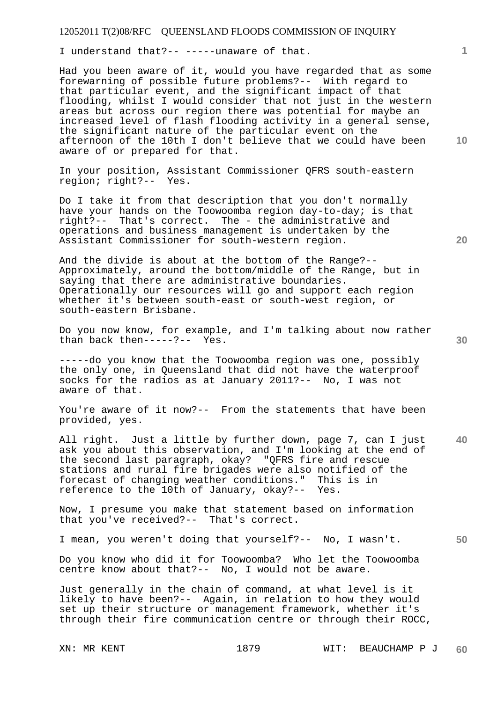I understand that?-- -----unaware of that.

Had you been aware of it, would you have regarded that as some forewarning of possible future problems?-- With regard to that particular event, and the significant impact of that flooding, whilst I would consider that not just in the western areas but across our region there was potential for maybe an increased level of flash flooding activity in a general sense, the significant nature of the particular event on the afternoon of the 10th I don't believe that we could have been aware of or prepared for that.

In your position, Assistant Commissioner QFRS south-eastern region; right?-- Yes.

Do I take it from that description that you don't normally have your hands on the Toowoomba region day-to-day; is that right?-- That's correct. The - the administrative and operations and business management is undertaken by the Assistant Commissioner for south-western region.

And the divide is about at the bottom of the Range?-- Approximately, around the bottom/middle of the Range, but in saying that there are administrative boundaries. Operationally our resources will go and support each region whether it's between south-east or south-west region, or south-eastern Brisbane.

Do you now know, for example, and I'm talking about now rather than back then-----?-- Yes.

-----do you know that the Toowoomba region was one, possibly the only one, in Queensland that did not have the waterproof socks for the radios as at January 2011?-- No, I was not aware of that.

You're aware of it now?-- From the statements that have been provided, yes.

**40**  All right. Just a little by further down, page 7, can I just ask you about this observation, and I'm looking at the end of the second last paragraph, okay? "QFRS fire and rescue stations and rural fire brigades were also notified of the forecast of changing weather conditions." This is in reference to the 10th of January, okay?-- Yes.

Now, I presume you make that statement based on information that you've received?-- That's correct.

I mean, you weren't doing that yourself?-- No, I wasn't.

Do you know who did it for Toowoomba? Who let the Toowoomba centre know about that?-- No, I would not be aware.

Just generally in the chain of command, at what level is it likely to have been?-- Again, in relation to how they would set up their structure or management framework, whether it's through their fire communication centre or through their ROCC,

**10** 

**1**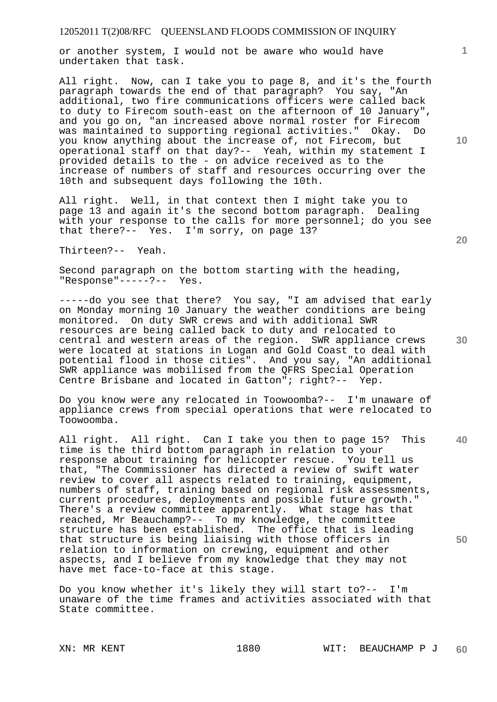or another system, I would not be aware who would have undertaken that task.

All right. Now, can I take you to page 8, and it's the fourth paragraph towards the end of that paragraph? You say, "An additional, two fire communications officers were called back to duty to Firecom south-east on the afternoon of 10 January", and you go on, "an increased above normal roster for Firecom was maintained to supporting regional activities." Okay. Do you know anything about the increase of, not Firecom, but operational staff on that day?-- Yeah, within my statement I provided details to the - on advice received as to the increase of numbers of staff and resources occurring over the 10th and subsequent days following the 10th.

All right. Well, in that context then I might take you to page 13 and again it's the second bottom paragraph. Dealing with your response to the calls for more personnel; do you see that there?-- Yes. I'm sorry, on page 13?

Thirteen?-- Yeah.

Second paragraph on the bottom starting with the heading, "Response"-----?-- Yes.

-----do you see that there? You say, "I am advised that early on Monday morning 10 January the weather conditions are being monitored. On duty SWR crews and with additional SWR resources are being called back to duty and relocated to central and western areas of the region. SWR appliance crews were located at stations in Logan and Gold Coast to deal with potential flood in those cities". And you say, "An additional SWR appliance was mobilised from the QFRS Special Operation Centre Brisbane and located in Gatton"; right?-- Yep.

Do you know were any relocated in Toowoomba?-- I'm unaware of appliance crews from special operations that were relocated to Toowoomba.

**40 50**  All right. All right. Can I take you then to page 15? This time is the third bottom paragraph in relation to your response about training for helicopter rescue. You tell us that, "The Commissioner has directed a review of swift water review to cover all aspects related to training, equipment, numbers of staff, training based on regional risk assessments, current procedures, deployments and possible future growth." There's a review committee apparently. What stage has that reached, Mr Beauchamp?-- To my knowledge, the committee structure has been established. The office that is leading that structure is being liaising with those officers in relation to information on crewing, equipment and other aspects, and I believe from my knowledge that they may not have met face-to-face at this stage.

Do you know whether it's likely they will start to?-- I'm unaware of the time frames and activities associated with that State committee.

**10**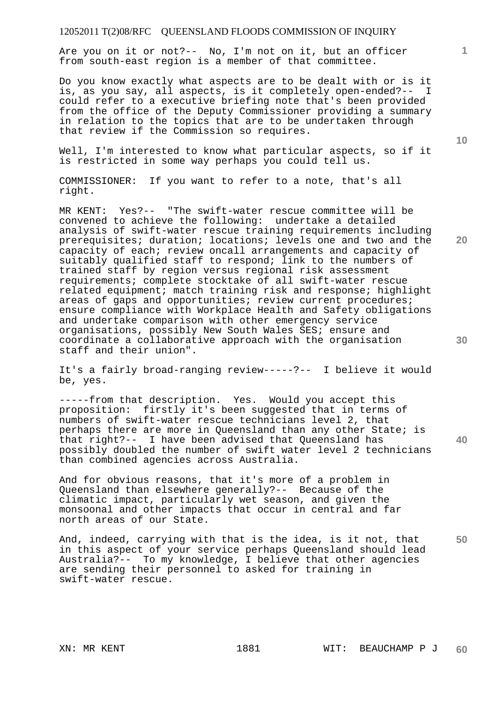Are you on it or not?-- No, I'm not on it, but an officer from south-east region is a member of that committee.

Do you know exactly what aspects are to be dealt with or is it is, as you say, all aspects, is it completely open-ended?-- I could refer to a executive briefing note that's been provided from the office of the Deputy Commissioner providing a summary in relation to the topics that are to be undertaken through that review if the Commission so requires.

Well, I'm interested to know what particular aspects, so if it is restricted in some way perhaps you could tell us.

COMMISSIONER: If you want to refer to a note, that's all right.

MR KENT: Yes?-- "The swift-water rescue committee will be convened to achieve the following: undertake a detailed analysis of swift-water rescue training requirements including prerequisites; duration; locations; levels one and two and the capacity of each; review oncall arrangements and capacity of suitably qualified staff to respond; link to the numbers of trained staff by region versus regional risk assessment requirements; complete stocktake of all swift-water rescue related equipment; match training risk and response; highlight areas of gaps and opportunities; review current procedures; ensure compliance with Workplace Health and Safety obligations and undertake comparison with other emergency service organisations, possibly New South Wales SES; ensure and coordinate a collaborative approach with the organisation staff and their union".

It's a fairly broad-ranging review-----?-- I believe it would be, yes.

-----from that description. Yes. Would you accept this proposition: firstly it's been suggested that in terms of numbers of swift-water rescue technicians level 2, that perhaps there are more in Queensland than any other State; is that right?-- I have been advised that Queensland has possibly doubled the number of swift water level 2 technicians than combined agencies across Australia.

And for obvious reasons, that it's more of a problem in Queensland than elsewhere generally?-- Because of the climatic impact, particularly wet season, and given the monsoonal and other impacts that occur in central and far north areas of our State.

**50**  And, indeed, carrying with that is the idea, is it not, that in this aspect of your service perhaps Queensland should lead Australia?-- To my knowledge, I believe that other agencies are sending their personnel to asked for training in swift-water rescue.

**30** 

**20** 

**10**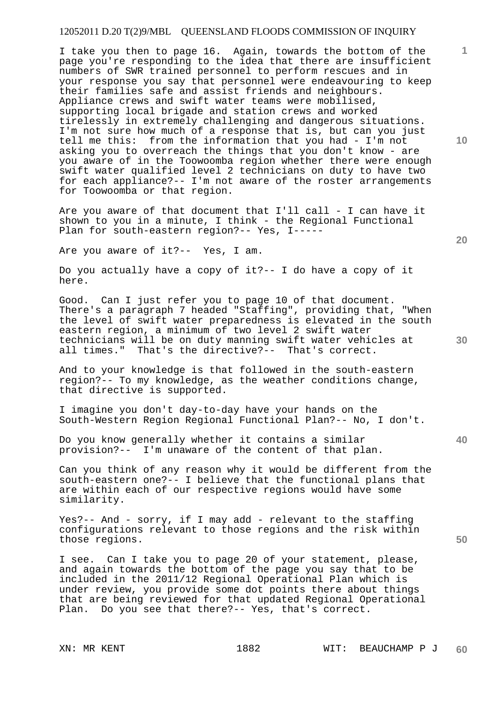# 12052011 D.20 T(2)9/MBL QUEENSLAND FLOODS COMMISSION OF INQUIRY

I take you then to page 16. Again, towards the bottom of the page you're responding to the idea that there are insufficient numbers of SWR trained personnel to perform rescues and in your response you say that personnel were endeavouring to keep their families safe and assist friends and neighbours. Appliance crews and swift water teams were mobilised, supporting local brigade and station crews and worked tirelessly in extremely challenging and dangerous situations. I'm not sure how much of a response that is, but can you just tell me this: from the information that you had - I'm not asking you to overreach the things that you don't know - are you aware of in the Toowoomba region whether there were enough swift water qualified level 2 technicians on duty to have two for each appliance?-- I'm not aware of the roster arrangements for Toowoomba or that region.

Are you aware of that document that I'll call - I can have it shown to you in a minute, I think - the Regional Functional Plan for south-eastern region?-- Yes, I-----

Are you aware of it?-- Yes, I am.

Do you actually have a copy of it?-- I do have a copy of it here.

Good. Can I just refer you to page 10 of that document. There's a paragraph 7 headed "Staffing", providing that, "When the level of swift water preparedness is elevated in the south eastern region, a minimum of two level 2 swift water technicians will be on duty manning swift water vehicles at all times." That's the directive?-- That's correct.

And to your knowledge is that followed in the south-eastern region?-- To my knowledge, as the weather conditions change, that directive is supported.

I imagine you don't day-to-day have your hands on the South-Western Region Regional Functional Plan?-- No, I don't.

Do you know generally whether it contains a similar provision?-- I'm unaware of the content of that plan.

Can you think of any reason why it would be different from the south-eastern one?-- I believe that the functional plans that are within each of our respective regions would have some similarity.

Yes?-- And - sorry, if I may add - relevant to the staffing configurations relevant to those regions and the risk within those regions.

I see. Can I take you to page 20 of your statement, please, and again towards the bottom of the page you say that to be included in the 2011/12 Regional Operational Plan which is under review, you provide some dot points there about things that are being reviewed for that updated Regional Operational Plan. Do you see that there?-- Yes, that's correct.

**10** 

**1**

**20** 

**40**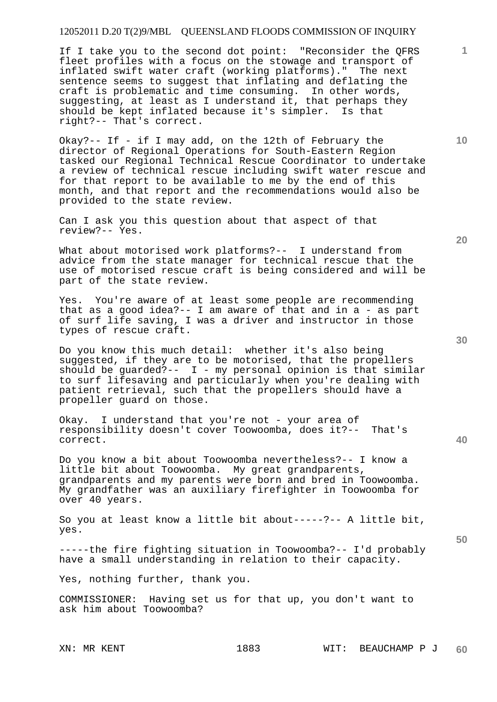If I take you to the second dot point: "Reconsider the QFRS fleet profiles with a focus on the stowage and transport of inflated swift water craft (working platforms)." The next sentence seems to suggest that inflating and deflating the craft is problematic and time consuming. In other words, suggesting, at least as I understand it, that perhaps they should be kept inflated because it's simpler. Is that right?-- That's correct.

Okay?-- If - if I may add, on the 12th of February the director of Regional Operations for South-Eastern Region tasked our Regional Technical Rescue Coordinator to undertake a review of technical rescue including swift water rescue and for that report to be available to me by the end of this month, and that report and the recommendations would also be provided to the state review.

Can I ask you this question about that aspect of that review?-- Yes.

What about motorised work platforms?-- I understand from advice from the state manager for technical rescue that the use of motorised rescue craft is being considered and will be part of the state review.

Yes. You're aware of at least some people are recommending that as a good idea?-- I am aware of that and in a - as part of surf life saving, I was a driver and instructor in those types of rescue craft.

Do you know this much detail: whether it's also being suggested, if they are to be motorised, that the propellers should be guarded?--  $I$  - my personal opinion is that similar to surf lifesaving and particularly when you're dealing with patient retrieval, such that the propellers should have a propeller guard on those.

Okay. I understand that you're not - your area of responsibility doesn't cover Toowoomba, does it?-- That's correct.

Do you know a bit about Toowoomba nevertheless?-- I know a little bit about Toowoomba. My great grandparents, grandparents and my parents were born and bred in Toowoomba. My grandfather was an auxiliary firefighter in Toowoomba for over 40 years.

So you at least know a little bit about-----?-- A little bit, yes.

-----the fire fighting situation in Toowoomba?-- I'd probably have a small understanding in relation to their capacity.

Yes, nothing further, thank you.

COMMISSIONER: Having set us for that up, you don't want to ask him about Toowoomba?

**30** 

**20** 

**50** 

**10**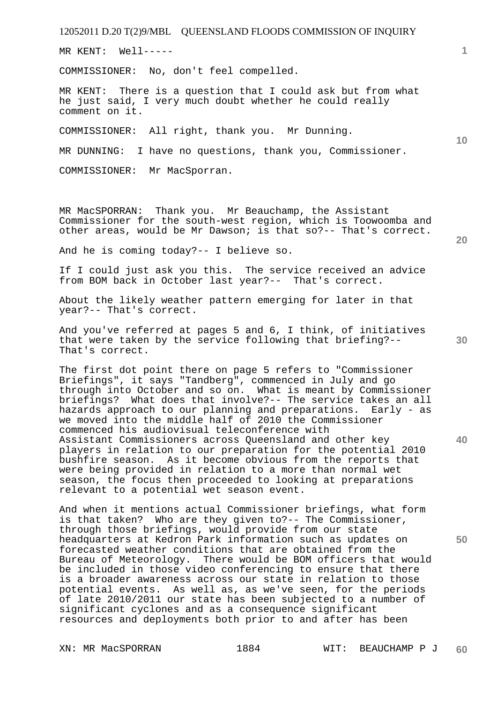MR KENT: Well-----

COMMISSIONER: No, don't feel compelled.

MR KENT: There is a question that I could ask but from what he just said, I very much doubt whether he could really comment on it.

COMMISSIONER: All right, thank you. Mr Dunning.

MR DUNNING: I have no questions, thank you, Commissioner.

COMMISSIONER: Mr MacSporran.

MR MacSPORRAN: Thank you. Mr Beauchamp, the Assistant Commissioner for the south-west region, which is Toowoomba and other areas, would be Mr Dawson; is that so?-- That's correct.

And he is coming today?-- I believe so.

If I could just ask you this. The service received an advice from BOM back in October last year?-- That's correct.

About the likely weather pattern emerging for later in that year?-- That's correct.

And you've referred at pages 5 and 6, I think, of initiatives that were taken by the service following that briefing?-- That's correct.

The first dot point there on page 5 refers to "Commissioner Briefings", it says "Tandberg", commenced in July and go through into October and so on. What is meant by Commissioner briefings? What does that involve?-- The service takes an all hazards approach to our planning and preparations. Early - as we moved into the middle half of 2010 the Commissioner commenced his audiovisual teleconference with Assistant Commissioners across Queensland and other key players in relation to our preparation for the potential 2010 bushfire season. As it become obvious from the reports that were being provided in relation to a more than normal wet season, the focus then proceeded to looking at preparations relevant to a potential wet season event.

And when it mentions actual Commissioner briefings, what form is that taken? Who are they given to?-- The Commissioner, through those briefings, would provide from our state headquarters at Kedron Park information such as updates on forecasted weather conditions that are obtained from the Bureau of Meteorology. There would be BOM officers that would be included in those video conferencing to ensure that there is a broader awareness across our state in relation to those potential events. As well as, as we've seen, for the periods of late 2010/2011 our state has been subjected to a number of significant cyclones and as a consequence significant resources and deployments both prior to and after has been

**1**

**10** 

**20** 

**30** 

**40**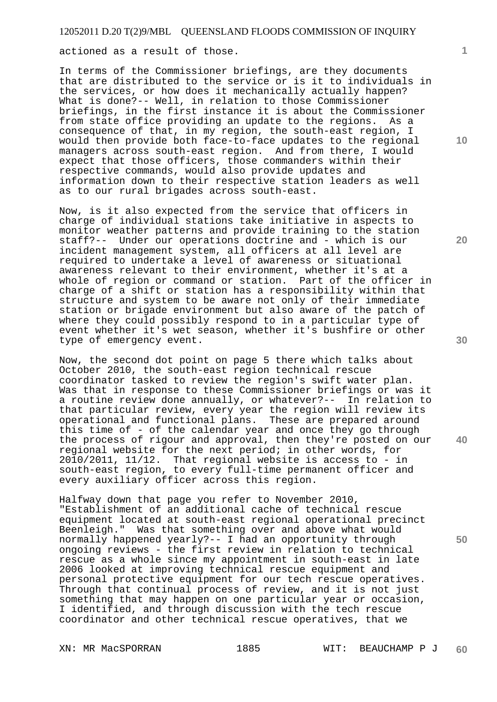actioned as a result of those.

In terms of the Commissioner briefings, are they documents that are distributed to the service or is it to individuals in the services, or how does it mechanically actually happen? What is done?-- Well, in relation to those Commissioner briefings, in the first instance it is about the Commissioner from state office providing an update to the regions. As a consequence of that, in my region, the south-east region, I would then provide both face-to-face updates to the regional managers across south-east region. And from there, I would expect that those officers, those commanders within their respective commands, would also provide updates and information down to their respective station leaders as well as to our rural brigades across south-east.

Now, is it also expected from the service that officers in charge of individual stations take initiative in aspects to monitor weather patterns and provide training to the station staff?-- Under our operations doctrine and - which is our incident management system, all officers at all level are required to undertake a level of awareness or situational awareness relevant to their environment, whether it's at a whole of region or command or station. Part of the officer in charge of a shift or station has a responsibility within that structure and system to be aware not only of their immediate station or brigade environment but also aware of the patch of where they could possibly respond to in a particular type of event whether it's wet season, whether it's bushfire or other type of emergency event.

Now, the second dot point on page 5 there which talks about October 2010, the south-east region technical rescue coordinator tasked to review the region's swift water plan. Was that in response to these Commissioner briefings or was it a routine review done annually, or whatever?-- In relation to that particular review, every year the region will review its operational and functional plans. These are prepared around this time of - of the calendar year and once they go through the process of rigour and approval, then they're posted on our regional website for the next period; in other words, for 2010/2011, 11/12. That regional website is access to - in south-east region, to every full-time permanent officer and every auxiliary officer across this region.

Halfway down that page you refer to November 2010, "Establishment of an additional cache of technical rescue equipment located at south-east regional operational precinct Beenleigh." Was that something over and above what would normally happened yearly?-- I had an opportunity through ongoing reviews - the first review in relation to technical rescue as a whole since my appointment in south-east in late 2006 looked at improving technical rescue equipment and personal protective equipment for our tech rescue operatives. Through that continual process of review, and it is not just something that may happen on one particular year or occasion, I identified, and through discussion with the tech rescue coordinator and other technical rescue operatives, that we

**1**

**10** 

**20** 

**30** 

**40**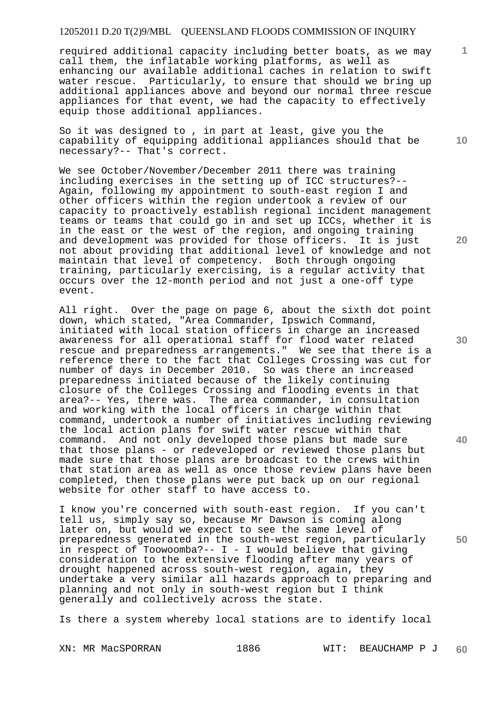required additional capacity including better boats, as we may call them, the inflatable working platforms, as well as enhancing our available additional caches in relation to swift water rescue. Particularly, to ensure that should we bring up additional appliances above and beyond our normal three rescue appliances for that event, we had the capacity to effectively equip those additional appliances.

So it was designed to , in part at least, give you the capability of equipping additional appliances should that be necessary?-- That's correct.

We see October/November/December 2011 there was training including exercises in the setting up of ICC structures?-- Again, following my appointment to south-east region I and other officers within the region undertook a review of our capacity to proactively establish regional incident management teams or teams that could go in and set up ICCs, whether it is in the east or the west of the region, and ongoing training and development was provided for those officers. It is just not about providing that additional level of knowledge and not maintain that level of competency. Both through ongoing training, particularly exercising, is a regular activity that occurs over the 12-month period and not just a one-off type event.

All right. Over the page on page 6, about the sixth dot point down, which stated, "Area Commander, Ipswich Command, initiated with local station officers in charge an increased awareness for all operational staff for flood water related rescue and preparedness arrangements." We see that there is a reference there to the fact that Colleges Crossing was cut for number of days in December 2010. So was there an increased preparedness initiated because of the likely continuing closure of the Colleges Crossing and flooding events in that area?-- Yes, there was. The area commander, in consultation and working with the local officers in charge within that command, undertook a number of initiatives including reviewing the local action plans for swift water rescue within that command. And not only developed those plans but made sure that those plans - or redeveloped or reviewed those plans but made sure that those plans are broadcast to the crews within that station area as well as once those review plans have been completed, then those plans were put back up on our regional website for other staff to have access to.

I know you're concerned with south-east region. If you can't tell us, simply say so, because Mr Dawson is coming along later on, but would we expect to see the same level of preparedness generated in the south-west region, particularly in respect of Toowoomba?-- I - I would believe that giving consideration to the extensive flooding after many years of drought happened across south-west region, again, they undertake a very similar all hazards approach to preparing and planning and not only in south-west region but I think generally and collectively across the state.

Is there a system whereby local stations are to identify local

**20** 

**10** 

**1**

**30** 

**40**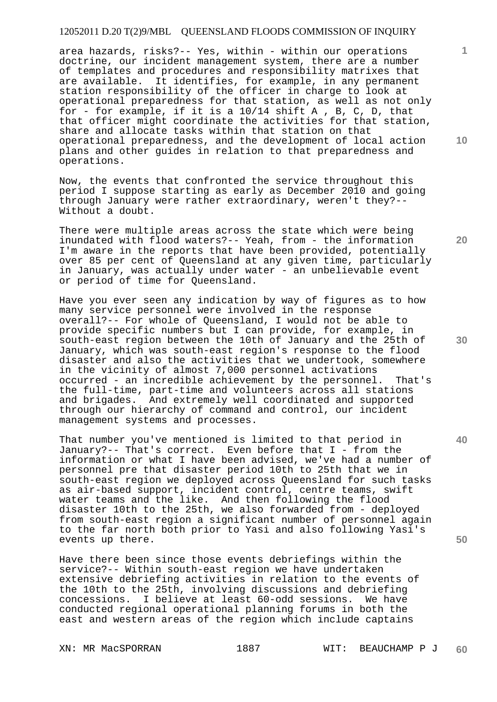area hazards, risks?-- Yes, within - within our operations doctrine, our incident management system, there are a number of templates and procedures and responsibility matrixes that are available. It identifies, for example, in any permanent station responsibility of the officer in charge to look at operational preparedness for that station, as well as not only for - for example, if it is a 10/14 shift A , B, C, D, that that officer might coordinate the activities for that station, share and allocate tasks within that station on that operational preparedness, and the development of local action plans and other guides in relation to that preparedness and operations.

Now, the events that confronted the service throughout this period I suppose starting as early as December 2010 and going through January were rather extraordinary, weren't they?-- Without a doubt.

There were multiple areas across the state which were being inundated with flood waters?-- Yeah, from - the information I'm aware in the reports that have been provided, potentially over 85 per cent of Queensland at any given time, particularly in January, was actually under water - an unbelievable event or period of time for Queensland.

Have you ever seen any indication by way of figures as to how many service personnel were involved in the response overall?-- For whole of Queensland, I would not be able to provide specific numbers but I can provide, for example, in south-east region between the 10th of January and the 25th of January, which was south-east region's response to the flood disaster and also the activities that we undertook, somewhere in the vicinity of almost 7,000 personnel activations occurred - an incredible achievement by the personnel. That's the full-time, part-time and volunteers across all stations and brigades. And extremely well coordinated and supported through our hierarchy of command and control, our incident management systems and processes.

That number you've mentioned is limited to that period in January?-- That's correct. Even before that I - from the information or what I have been advised, we've had a number of personnel pre that disaster period 10th to 25th that we in south-east region we deployed across Queensland for such tasks as air-based support, incident control, centre teams, swift water teams and the like. And then following the flood disaster 10th to the 25th, we also forwarded from - deployed from south-east region a significant number of personnel again to the far north both prior to Yasi and also following Yasi's events up there.

Have there been since those events debriefings within the service?-- Within south-east region we have undertaken extensive debriefing activities in relation to the events of the 10th to the 25th, involving discussions and debriefing concessions. I believe at least 60-odd sessions. We have conducted regional operational planning forums in both the east and western areas of the region which include captains

**10** 

**1**

**20** 

**30** 

**40**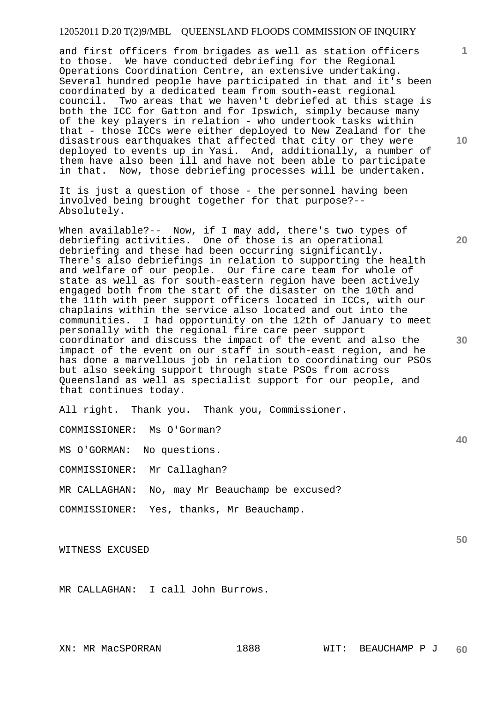and first officers from brigades as well as station officers to those. We have conducted debriefing for the Regional Operations Coordination Centre, an extensive undertaking. Several hundred people have participated in that and it's been coordinated by a dedicated team from south-east regional council. Two areas that we haven't debriefed at this stage is both the ICC for Gatton and for Ipswich, simply because many of the key players in relation - who undertook tasks within that - those ICCs were either deployed to New Zealand for the disastrous earthquakes that affected that city or they were deployed to events up in Yasi. And, additionally, a number of them have also been ill and have not been able to participate in that. Now, those debriefing processes will be undertaken.

It is just a question of those - the personnel having been involved being brought together for that purpose?-- Absolutely.

When available?-- Now, if I may add, there's two types of debriefing activities. One of those is an operational debriefing and these had been occurring significantly. There's also debriefings in relation to supporting the health and welfare of our people. Our fire care team for whole of state as well as for south-eastern region have been actively engaged both from the start of the disaster on the 10th and the 11th with peer support officers located in ICCs, with our chaplains within the service also located and out into the communities. I had opportunity on the 12th of January to meet personally with the regional fire care peer support coordinator and discuss the impact of the event and also the impact of the event on our staff in south-east region, and he has done a marvellous job in relation to coordinating our PSOs but also seeking support through state PSOs from across Queensland as well as specialist support for our people, and that continues today.

All right. Thank you. Thank you, Commissioner.

COMMISSIONER: Ms O'Gorman?

MS O'GORMAN: No questions.

COMMISSIONER: Mr Callaghan?

MR CALLAGHAN: No, may Mr Beauchamp be excused?

COMMISSIONER: Yes, thanks, Mr Beauchamp.

WITNESS EXCUSED

MR CALLAGHAN: I call John Burrows.

**10** 

**1**

**30** 

**20** 

**40**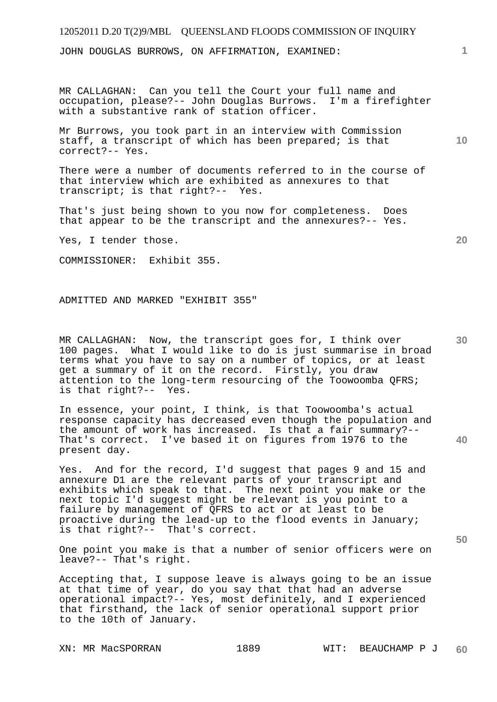JOHN DOUGLAS BURROWS, ON AFFIRMATION, EXAMINED:

MR CALLAGHAN: Can you tell the Court your full name and occupation, please?-- John Douglas Burrows. I'm a firefighter with a substantive rank of station officer.

Mr Burrows, you took part in an interview with Commission staff, a transcript of which has been prepared; is that correct?-- Yes.

There were a number of documents referred to in the course of that interview which are exhibited as annexures to that transcript; is that right?-- Yes.

That's just being shown to you now for completeness. Does that appear to be the transcript and the annexures?-- Yes.

Yes, I tender those.

COMMISSIONER: Exhibit 355.

ADMITTED AND MARKED "EXHIBIT 355"

MR CALLAGHAN: Now, the transcript goes for, I think over 100 pages. What I would like to do is just summarise in broad terms what you have to say on a number of topics, or at least get a summary of it on the record. Firstly, you draw attention to the long-term resourcing of the Toowoomba QFRS; is that right?-- Yes.

In essence, your point, I think, is that Toowoomba's actual response capacity has decreased even though the population and the amount of work has increased. Is that a fair summary?-- That's correct. I've based it on figures from 1976 to the present day.

Yes. And for the record, I'd suggest that pages 9 and 15 and annexure D1 are the relevant parts of your transcript and exhibits which speak to that. The next point you make or the next topic I'd suggest might be relevant is you point to a failure by management of QFRS to act or at least to be proactive during the lead-up to the flood events in January; is that right?-- That's correct.

One point you make is that a number of senior officers were on leave?-- That's right.

Accepting that, I suppose leave is always going to be an issue at that time of year, do you say that that had an adverse operational impact?-- Yes, most definitely, and I experienced that firsthand, the lack of senior operational support prior to the 10th of January.

**1**

**20** 

**30** 

**40** 

**50**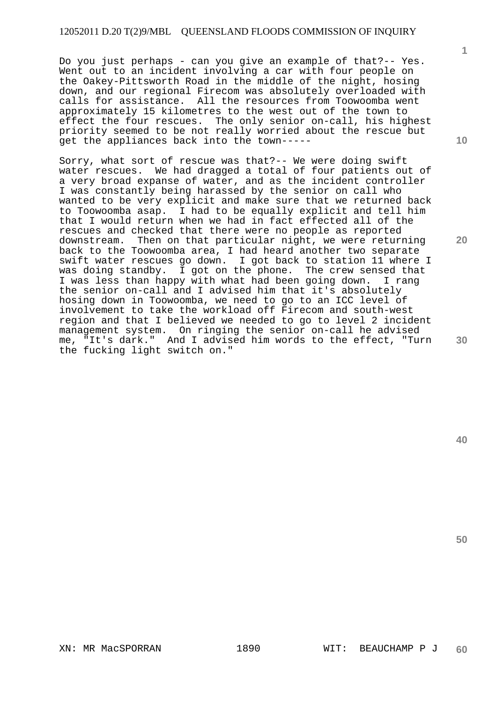Do you just perhaps - can you give an example of that?-- Yes. Went out to an incident involving a car with four people on the Oakey-Pittsworth Road in the middle of the night, hosing down, and our regional Firecom was absolutely overloaded with calls for assistance. All the resources from Toowoomba went approximately 15 kilometres to the west out of the town to effect the four rescues. The only senior on-call, his highest priority seemed to be not really worried about the rescue but get the appliances back into the town-----

Sorry, what sort of rescue was that?-- We were doing swift water rescues. We had dragged a total of four patients out of a very broad expanse of water, and as the incident controller I was constantly being harassed by the senior on call who wanted to be very explicit and make sure that we returned back to Toowoomba asap. I had to be equally explicit and tell him that I would return when we had in fact effected all of the rescues and checked that there were no people as reported downstream. Then on that particular night, we were returning back to the Toowoomba area, I had heard another two separate swift water rescues go down. I got back to station 11 where I was doing standby. I got on the phone. The crew sensed that I was less than happy with what had been going down. I rang the senior on-call and I advised him that it's absolutely hosing down in Toowoomba, we need to go to an ICC level of involvement to take the workload off Firecom and south-west region and that I believed we needed to go to level 2 incident management system. On ringing the senior on-call he advised me, "It's dark." And I advised him words to the effect, "Turn the fucking light switch on."

**10** 

**1**

**20** 

**30**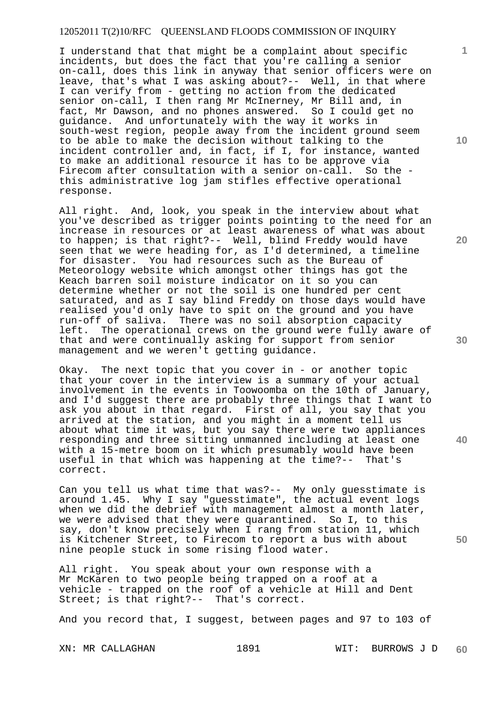I understand that that might be a complaint about specific incidents, but does the fact that you're calling a senior on-call, does this link in anyway that senior officers were on leave, that's what I was asking about?-- Well, in that where I can verify from - getting no action from the dedicated senior on-call, I then rang Mr McInerney, Mr Bill and, in fact, Mr Dawson, and no phones answered. So I could get no guidance. And unfortunately with the way it works in south-west region, people away from the incident ground seem to be able to make the decision without talking to the incident controller and, in fact, if I, for instance, wanted to make an additional resource it has to be approve via Firecom after consultation with a senior on-call. So the this administrative log jam stifles effective operational response.

All right. And, look, you speak in the interview about what you've described as trigger points pointing to the need for an increase in resources or at least awareness of what was about to happen; is that right?-- Well, blind Freddy would have seen that we were heading for, as I'd determined, a timeline for disaster. You had resources such as the Bureau of Meteorology website which amongst other things has got the Keach barren soil moisture indicator on it so you can determine whether or not the soil is one hundred per cent saturated, and as I say blind Freddy on those days would have realised you'd only have to spit on the ground and you have run-off of saliva. There was no soil absorption capacity left. The operational crews on the ground were fully aware of that and were continually asking for support from senior management and we weren't getting guidance.

Okay. The next topic that you cover in - or another topic that your cover in the interview is a summary of your actual involvement in the events in Toowoomba on the 10th of January, and I'd suggest there are probably three things that I want to ask you about in that regard. First of all, you say that you arrived at the station, and you might in a moment tell us about what time it was, but you say there were two appliances responding and three sitting unmanned including at least one with a 15-metre boom on it which presumably would have been useful in that which was happening at the time?-- That's correct.

Can you tell us what time that was?-- My only guesstimate is around 1.45. Why I say "guesstimate", the actual event logs when we did the debrief with management almost a month later, we were advised that they were quarantined. So I, to this say, don't know precisely when I rang from station 11, which is Kitchener Street, to Firecom to report a bus with about nine people stuck in some rising flood water.

All right. You speak about your own response with a Mr McKaren to two people being trapped on a roof at a vehicle - trapped on the roof of a vehicle at Hill and Dent Street; is that right?-- That's correct.

And you record that, I suggest, between pages and 97 to 103 of

XN: MR CALLAGHAN 1891 WIT: BURROWS J D **60** 

**10** 

**1**

**20** 

**30** 

**40**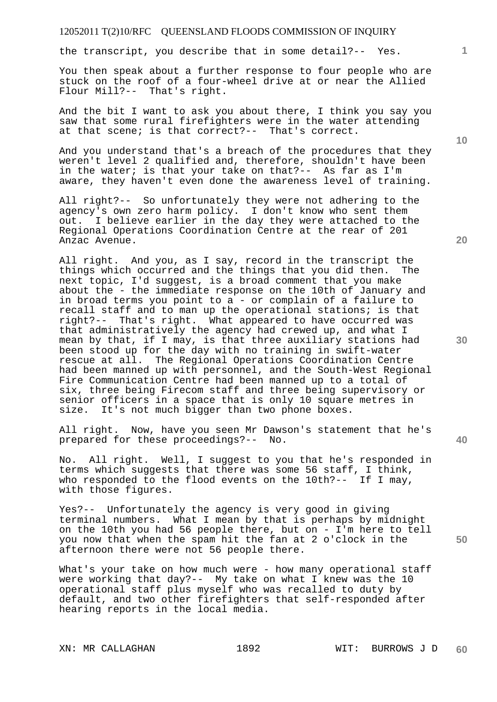the transcript, you describe that in some detail?-- Yes.

You then speak about a further response to four people who are stuck on the roof of a four-wheel drive at or near the Allied Flour Mill?-- That's right.

And the bit I want to ask you about there, I think you say you saw that some rural firefighters were in the water attending at that scene; is that correct?-- That's correct.

And you understand that's a breach of the procedures that they weren't level 2 qualified and, therefore, shouldn't have been in the water; is that your take on that?-- As far as I'm aware, they haven't even done the awareness level of training.

All right?-- So unfortunately they were not adhering to the agency's own zero harm policy. I don't know who sent them out. I believe earlier in the day they were attached to the Regional Operations Coordination Centre at the rear of 201 Anzac Avenue.

All right. And you, as I say, record in the transcript the things which occurred and the things that you did then. The next topic, I'd suggest, is a broad comment that you make about the - the immediate response on the 10th of January and in broad terms you point to a - or complain of a failure to recall staff and to man up the operational stations; is that right?-- That's right. What appeared to have occurred was that administratively the agency had crewed up, and what I mean by that, if I may, is that three auxiliary stations had been stood up for the day with no training in swift-water rescue at all. The Regional Operations Coordination Centre had been manned up with personnel, and the South-West Regional Fire Communication Centre had been manned up to a total of six, three being Firecom staff and three being supervisory or senior officers in a space that is only 10 square metres in size. It's not much bigger than two phone boxes.

All right. Now, have you seen Mr Dawson's statement that he's prepared for these proceedings?-- No.

No. All right. Well, I suggest to you that he's responded in terms which suggests that there was some 56 staff, I think, who responded to the flood events on the 10th?-- If I may, with those figures.

Yes?-- Unfortunately the agency is very good in giving terminal numbers. What I mean by that is perhaps by midnight on the 10th you had 56 people there, but on - I'm here to tell you now that when the spam hit the fan at 2 o'clock in the afternoon there were not 56 people there.

What's your take on how much were - how many operational staff were working that day?-- My take on what I knew was the 10 operational staff plus myself who was recalled to duty by default, and two other firefighters that self-responded after hearing reports in the local media.

**20** 

**40** 

**50**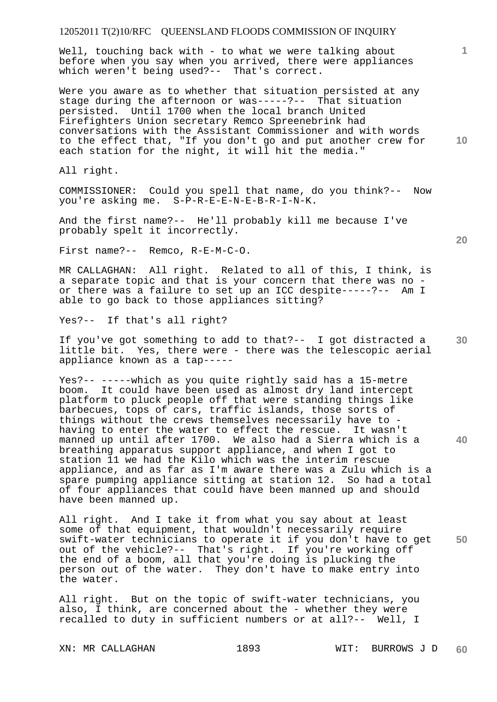Well, touching back with - to what we were talking about before when you say when you arrived, there were appliances which weren't being used?-- That's correct.

Were you aware as to whether that situation persisted at any stage during the afternoon or was-----?-- That situation persisted. Until 1700 when the local branch United Firefighters Union secretary Remco Spreenebrink had conversations with the Assistant Commissioner and with words to the effect that, "If you don't go and put another crew for each station for the night, it will hit the media."

All right.

COMMISSIONER: Could you spell that name, do you think?-- Now you're asking me. S-P-R-E-E-N-E-B-R-I-N-K.

And the first name?-- He'll probably kill me because I've probably spelt it incorrectly.

First name?-- Remco, R-E-M-C-O.

MR CALLAGHAN: All right. Related to all of this, I think, is a separate topic and that is your concern that there was no or there was a failure to set up an ICC despite-----?-- Am I able to go back to those appliances sitting?

Yes?-- If that's all right?

If you've got something to add to that?-- I got distracted a little bit. Yes, there were - there was the telescopic aerial appliance known as a tap-----

Yes?-- -----which as you quite rightly said has a 15-metre boom. It could have been used as almost dry land intercept platform to pluck people off that were standing things like barbecues, tops of cars, traffic islands, those sorts of things without the crews themselves necessarily have to having to enter the water to effect the rescue. It wasn't manned up until after 1700. We also had a Sierra which is a breathing apparatus support appliance, and when I got to station 11 we had the Kilo which was the interim rescue appliance, and as far as I'm aware there was a Zulu which is a spare pumping appliance sitting at station 12. So had a total of four appliances that could have been manned up and should have been manned up.

**50**  All right. And I take it from what you say about at least some of that equipment, that wouldn't necessarily require swift-water technicians to operate it if you don't have to get out of the vehicle?-- That's right. If you're working off the end of a boom, all that you're doing is plucking the person out of the water. They don't have to make entry into the water.

All right. But on the topic of swift-water technicians, you also, I think, are concerned about the - whether they were recalled to duty in sufficient numbers or at all?-- Well, I

**20** 

**10** 

**1**

**30**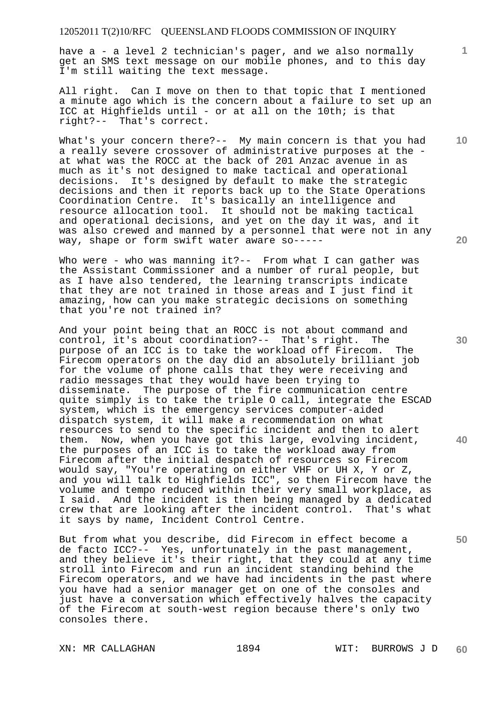have a - a level 2 technician's pager, and we also normally get an SMS text message on our mobile phones, and to this day I'm still waiting the text message.

All right. Can I move on then to that topic that I mentioned a minute ago which is the concern about a failure to set up an ICC at Highfields until - or at all on the 10th; is that right?-- That's correct.

What's your concern there?-- My main concern is that you had a really severe crossover of administrative purposes at the at what was the ROCC at the back of 201 Anzac avenue in as much as it's not designed to make tactical and operational decisions. It's designed by default to make the strategic decisions and then it reports back up to the State Operations Coordination Centre. It's basically an intelligence and resource allocation tool. It should not be making tactical and operational decisions, and yet on the day it was, and it was also crewed and manned by a personnel that were not in any way, shape or form swift water aware so-----

Who were - who was manning it?-- From what I can gather was the Assistant Commissioner and a number of rural people, but as I have also tendered, the learning transcripts indicate that they are not trained in those areas and I just find it amazing, how can you make strategic decisions on something that you're not trained in?

And your point being that an ROCC is not about command and control, it's about coordination?-- That's right. The purpose of an ICC is to take the workload off Firecom. The Firecom operators on the day did an absolutely brilliant job for the volume of phone calls that they were receiving and radio messages that they would have been trying to disseminate. The purpose of the fire communication centre quite simply is to take the triple O call, integrate the ESCAD system, which is the emergency services computer-aided dispatch system, it will make a recommendation on what resources to send to the specific incident and then to alert them. Now, when you have got this large, evolving incident, the purposes of an ICC is to take the workload away from Firecom after the initial despatch of resources so Firecom would say, "You're operating on either VHF or UH X, Y or Z, and you will talk to Highfields ICC", so then Firecom have the volume and tempo reduced within their very small workplace, as I said. And the incident is then being managed by a dedicated crew that are looking after the incident control. That's what it says by name, Incident Control Centre.

But from what you describe, did Firecom in effect become a de facto ICC?-- Yes, unfortunately in the past management, and they believe it's their right, that they could at any time stroll into Firecom and run an incident standing behind the Firecom operators, and we have had incidents in the past where you have had a senior manager get on one of the consoles and just have a conversation which effectively halves the capacity of the Firecom at south-west region because there's only two consoles there.

**30** 

**20** 

**40** 

**50** 

**10**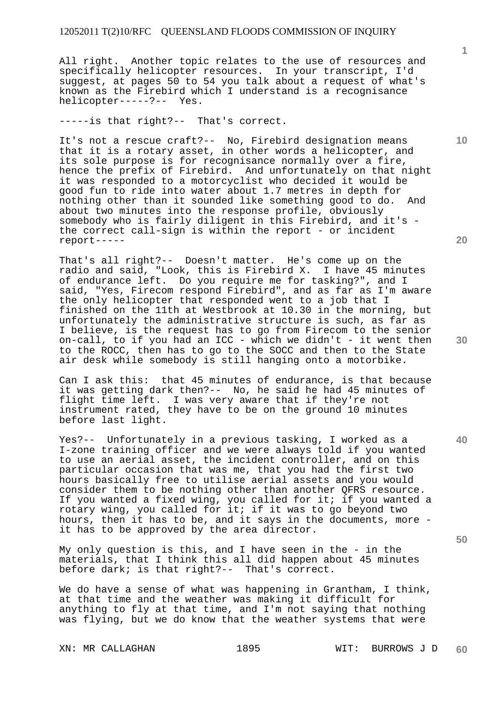All right. Another topic relates to the use of resources and specifically helicopter resources. In your transcript, I'd suggest, at pages 50 to 54 you talk about a request of what's known as the Firebird which I understand is a recognisance helicopter-----?-- Yes.

-----is that right?-- That's correct.

It's not a rescue craft?-- No, Firebird designation means that it is a rotary asset, in other words a helicopter, and its sole purpose is for recognisance normally over a fire, hence the prefix of Firebird. And unfortunately on that night it was responded to a motorcyclist who decided it would be good fun to ride into water about 1.7 metres in depth for nothing other than it sounded like something good to do. And about two minutes into the response profile, obviously somebody who is fairly diligent in this Firebird, and it's the correct call-sign is within the report - or incident report-----

That's all right?-- Doesn't matter. He's come up on the radio and said, "Look, this is Firebird X. I have 45 minutes of endurance left. Do you require me for tasking?", and I said, "Yes, Firecom respond Firebird", and as far as I'm aware the only helicopter that responded went to a job that I finished on the 11th at Westbrook at 10.30 in the morning, but unfortunately the administrative structure is such, as far as I believe, is the request has to go from Firecom to the senior on-call, to if you had an ICC - which we didn't - it went then to the ROCC, then has to go to the SOCC and then to the State air desk while somebody is still hanging onto a motorbike.

Can I ask this: that 45 minutes of endurance, is that because it was getting dark then?-- No, he said he had 45 minutes of flight time left. I was very aware that if they're not instrument rated, they have to be on the ground 10 minutes before last light.

Yes?-- Unfortunately in a previous tasking, I worked as a I-zone training officer and we were always told if you wanted to use an aerial asset, the incident controller, and on this particular occasion that was me, that you had the first two hours basically free to utilise aerial assets and you would consider them to be nothing other than another QFRS resource. If you wanted a fixed wing, you called for it; if you wanted a rotary wing, you called for it; if it was to go beyond two hours, then it has to be, and it says in the documents, more it has to be approved by the area director.

My only question is this, and I have seen in the - in the materials, that I think this all did happen about 45 minutes before dark; is that right?-- That's correct.

We do have a sense of what was happening in Grantham, I think, at that time and the weather was making it difficult for anything to fly at that time, and I'm not saying that nothing was flying, but we do know that the weather systems that were

**1**

**10** 

**20** 

**40**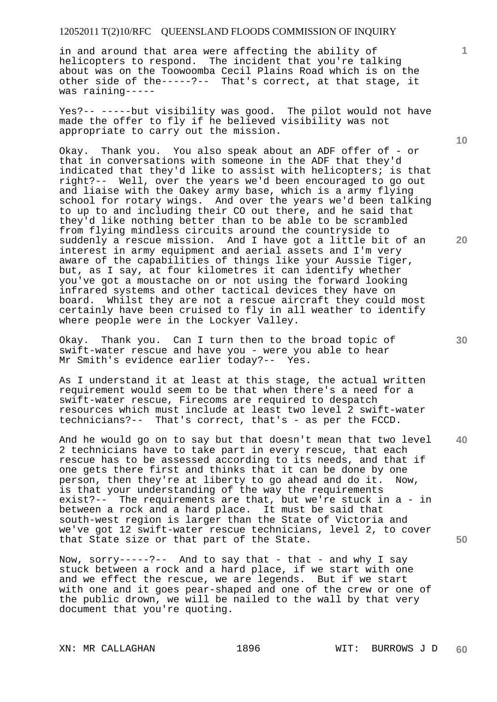in and around that area were affecting the ability of helicopters to respond. The incident that you're talking about was on the Toowoomba Cecil Plains Road which is on the other side of the-----?-- That's correct, at that stage, it was raining-----

Yes?-- -----but visibility was good. The pilot would not have made the offer to fly if he believed visibility was not appropriate to carry out the mission.

Okay. Thank you. You also speak about an ADF offer of - or that in conversations with someone in the ADF that they'd indicated that they'd like to assist with helicopters; is that right?-- Well, over the years we'd been encouraged to go out and liaise with the Oakey army base, which is a army flying school for rotary wings. And over the years we'd been talking to up to and including their CO out there, and he said that they'd like nothing better than to be able to be scrambled from flying mindless circuits around the countryside to suddenly a rescue mission. And I have got a little bit of an interest in army equipment and aerial assets and I'm very aware of the capabilities of things like your Aussie Tiger, but, as I say, at four kilometres it can identify whether you've got a moustache on or not using the forward looking infrared systems and other tactical devices they have on board. Whilst they are not a rescue aircraft they could most certainly have been cruised to fly in all weather to identify where people were in the Lockyer Valley.

Okay. Thank you. Can I turn then to the broad topic of swift-water rescue and have you - were you able to hear Mr Smith's evidence earlier today?-- Yes.

As I understand it at least at this stage, the actual written requirement would seem to be that when there's a need for a swift-water rescue, Firecoms are required to despatch resources which must include at least two level 2 swift-water technicians?-- That's correct, that's - as per the FCCD.

**40 50**  And he would go on to say but that doesn't mean that two level 2 technicians have to take part in every rescue, that each rescue has to be assessed according to its needs, and that if one gets there first and thinks that it can be done by one person, then they're at liberty to go ahead and do it. Now, is that your understanding of the way the requirements exist?-- The requirements are that, but we're stuck in a - in between a rock and a hard place. It must be said that south-west region is larger than the State of Victoria and we've got 12 swift-water rescue technicians, level 2, to cover that State size or that part of the State.

Now,  $sorry---?--$  And to say that - that - and why I say stuck between a rock and a hard place, if we start with one and we effect the rescue, we are legends. But if we start with one and it goes pear-shaped and one of the crew or one of the public drown, we will be nailed to the wall by that very document that you're quoting.

**10** 

**1**

**20**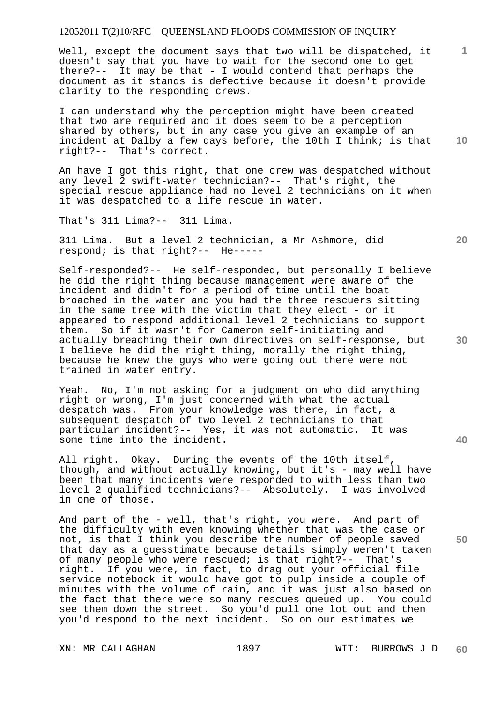Well, except the document says that two will be dispatched, it doesn't say that you have to wait for the second one to get there?-- It may be that - I would contend that perhaps the document as it stands is defective because it doesn't provide clarity to the responding crews.

**10**  I can understand why the perception might have been created that two are required and it does seem to be a perception shared by others, but in any case you give an example of an incident at Dalby a few days before, the 10th I think; is that right?-- That's correct.

An have I got this right, that one crew was despatched without any level 2 swift-water technician?-- That's right, the special rescue appliance had no level 2 technicians on it when it was despatched to a life rescue in water.

That's 311 Lima?-- 311 Lima.

311 Lima. But a level 2 technician, a Mr Ashmore, did respond; is that right?-- He-----

Self-responded?-- He self-responded, but personally I believe he did the right thing because management were aware of the incident and didn't for a period of time until the boat broached in the water and you had the three rescuers sitting in the same tree with the victim that they elect - or it appeared to respond additional level 2 technicians to support them. So if it wasn't for Cameron self-initiating and actually breaching their own directives on self-response, but I believe he did the right thing, morally the right thing, because he knew the guys who were going out there were not trained in water entry.

Yeah. No, I'm not asking for a judgment on who did anything right or wrong, I'm just concerned with what the actual despatch was. From your knowledge was there, in fact, a subsequent despatch of two level 2 technicians to that particular incident?-- Yes, it was not automatic. It was some time into the incident.

All right. Okay. During the events of the 10th itself, though, and without actually knowing, but it's - may well have been that many incidents were responded to with less than two level 2 qualified technicians?-- Absolutely. I was involved in one of those.

And part of the - well, that's right, you were. And part of the difficulty with even knowing whether that was the case or not, is that I think you describe the number of people saved that day as a guesstimate because details simply weren't taken of many people who were rescued; is that right?-- That's right. If you were, in fact, to drag out your official file service notebook it would have got to pulp inside a couple of minutes with the volume of rain, and it was just also based on the fact that there were so many rescues queued up. You could see them down the street. So you'd pull one lot out and then you'd respond to the next incident. So on our estimates we

**1**

**20** 



**40**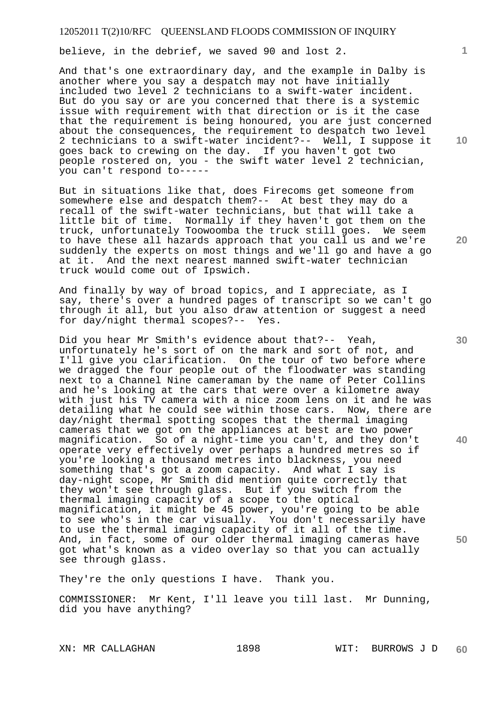believe, in the debrief, we saved 90 and lost 2.

And that's one extraordinary day, and the example in Dalby is another where you say a despatch may not have initially included two level 2 technicians to a swift-water incident. But do you say or are you concerned that there is a systemic issue with requirement with that direction or is it the case that the requirement is being honoured, you are just concerned about the consequences, the requirement to despatch two level 2 technicians to a swift-water incident?-- Well, I suppose it goes back to crewing on the day. If you haven't got two people rostered on, you - the swift water level 2 technician, you can't respond to-----

But in situations like that, does Firecoms get someone from somewhere else and despatch them?-- At best they may do a recall of the swift-water technicians, but that will take a little bit of time. Normally if they haven't got them on the truck, unfortunately Toowoomba the truck still goes. We seem to have these all hazards approach that you call us and we're suddenly the experts on most things and we'll go and have a go at it. And the next nearest manned swift-water technician truck would come out of Ipswich.

And finally by way of broad topics, and I appreciate, as I say, there's over a hundred pages of transcript so we can't go through it all, but you also draw attention or suggest a need for day/night thermal scopes?-- Yes.

Did you hear Mr Smith's evidence about that?-- Yeah, unfortunately he's sort of on the mark and sort of not, and I'll give you clarification. On the tour of two before where we dragged the four people out of the floodwater was standing next to a Channel Nine cameraman by the name of Peter Collins and he's looking at the cars that were over a kilometre away with just his TV camera with a nice zoom lens on it and he was detailing what he could see within those cars. Now, there are day/night thermal spotting scopes that the thermal imaging cameras that we got on the appliances at best are two power magnification. So of a night-time you can't, and they don't operate very effectively over perhaps a hundred metres so if you're looking a thousand metres into blackness, you need something that's got a zoom capacity. And what I say is day-night scope, Mr Smith did mention quite correctly that they won't see through glass. But if you switch from the thermal imaging capacity of a scope to the optical magnification, it might be 45 power, you're going to be able to see who's in the car visually. You don't necessarily have to use the thermal imaging capacity of it all of the time. And, in fact, some of our older thermal imaging cameras have got what's known as a video overlay so that you can actually see through glass.

They're the only questions I have. Thank you.

COMMISSIONER: Mr Kent, I'll leave you till last. Mr Dunning, did you have anything?

**1**

**20** 

**10** 

**30** 

**40**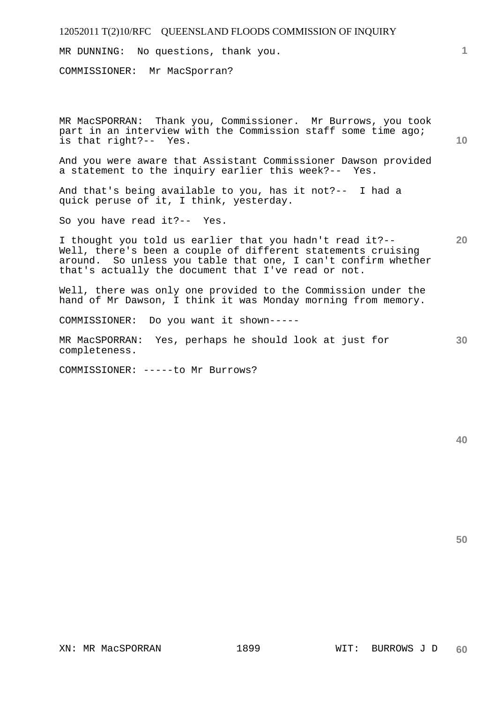MR DUNNING: No questions, thank you.

COMMISSIONER: Mr MacSporran?

MR MacSPORRAN: Thank you, Commissioner. Mr Burrows, you took part in an interview with the Commission staff some time ago; is that right?-- Yes.

And you were aware that Assistant Commissioner Dawson provided a statement to the inquiry earlier this week?-- Yes.

And that's being available to you, has it not?-- I had a quick peruse of it, I think, yesterday.

So you have read it?-- Yes.

**20**  I thought you told us earlier that you hadn't read it?-- Well, there's been a couple of different statements cruising around. So unless you table that one, I can't confirm whether that's actually the document that I've read or not.

Well, there was only one provided to the Commission under the hand of Mr Dawson, I think it was Monday morning from memory.

COMMISSIONER: Do you want it shown-----

MR MacSPORRAN: Yes, perhaps he should look at just for completeness.

COMMISSIONER: -----to Mr Burrows?

**40** 

**50** 

**30** 

**1**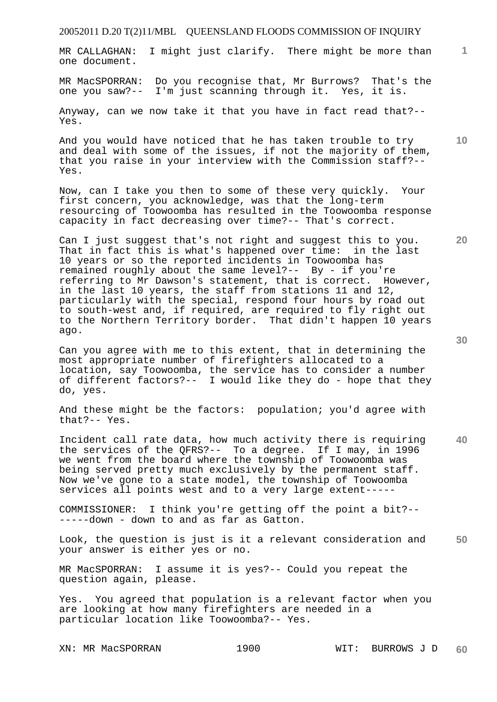MR CALLAGHAN: I might just clarify. There might be more than one document.

MR MacSPORRAN: Do you recognise that, Mr Burrows? That's the one you saw?-- I'm just scanning through it. Yes, it is.

Anyway, can we now take it that you have in fact read that?-- Yes.

And you would have noticed that he has taken trouble to try and deal with some of the issues, if not the majority of them, that you raise in your interview with the Commission staff?-- Yes.

Now, can I take you then to some of these very quickly. Your first concern, you acknowledge, was that the long-term resourcing of Toowoomba has resulted in the Toowoomba response capacity in fact decreasing over time?-- That's correct.

Can I just suggest that's not right and suggest this to you. That in fact this is what's happened over time: in the last 10 years or so the reported incidents in Toowoomba has remained roughly about the same level?-- By - if you're referring to Mr Dawson's statement, that is correct. However, in the last 10 years, the staff from stations 11 and 12, particularly with the special, respond four hours by road out to south-west and, if required, are required to fly right out to the Northern Territory border. That didn't happen 10 years ago.

Can you agree with me to this extent, that in determining the most appropriate number of firefighters allocated to a location, say Toowoomba, the service has to consider a number of different factors?-- I would like they do - hope that they do, yes.

And these might be the factors: population; you'd agree with that?-- Yes.

**40**  Incident call rate data, how much activity there is requiring the services of the QFRS?-- To a degree. If I may, in 1996 we went from the board where the township of Toowoomba was being served pretty much exclusively by the permanent staff. Now we've gone to a state model, the township of Toowoomba services all points west and to a very large extent-----

COMMISSIONER: I think you're getting off the point a bit?-- -----down - down to and as far as Gatton.

**50**  Look, the question is just is it a relevant consideration and your answer is either yes or no.

MR MacSPORRAN: I assume it is yes?-- Could you repeat the question again, please.

Yes. You agreed that population is a relevant factor when you are looking at how many firefighters are needed in a particular location like Toowoomba?-- Yes.

XN: MR MacSPORRAN 1900 WIT: BURROWS J D **60** 

**30** 

**20** 

**10**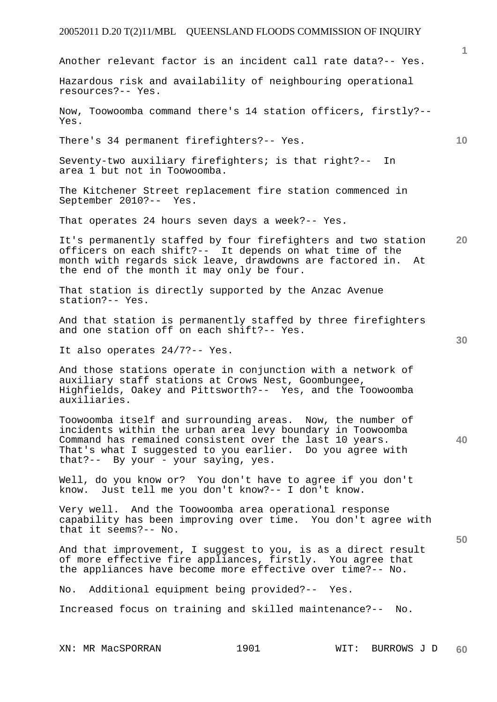|                                                                                                                                                                                                                                                                                          | $\mathbf{1}$    |
|------------------------------------------------------------------------------------------------------------------------------------------------------------------------------------------------------------------------------------------------------------------------------------------|-----------------|
| Another relevant factor is an incident call rate data?-- Yes.                                                                                                                                                                                                                            |                 |
| Hazardous risk and availability of neighbouring operational<br>resources?-- Yes.                                                                                                                                                                                                         |                 |
| Now, Toowoomba command there's 14 station officers, firstly?--<br>Yes.                                                                                                                                                                                                                   |                 |
| There's 34 permanent firefighters?-- Yes.                                                                                                                                                                                                                                                | 10 <sup>°</sup> |
| Seventy-two auxiliary firefighters; is that right?--<br>In.<br>area 1 but not in Toowoomba.                                                                                                                                                                                              |                 |
| The Kitchener Street replacement fire station commenced in<br>September 2010?-- Yes.                                                                                                                                                                                                     |                 |
| That operates 24 hours seven days a week?-- Yes.                                                                                                                                                                                                                                         |                 |
| It's permanently staffed by four firefighters and two station<br>officers on each shift?-- It depends on what time of the<br>month with regards sick leave, drawdowns are factored in.<br>At<br>the end of the month it may only be four.                                                | <b>20</b>       |
| That station is directly supported by the Anzac Avenue<br>station?-- Yes.                                                                                                                                                                                                                |                 |
| And that station is permanently staffed by three firefighters<br>and one station off on each shift?-- Yes.                                                                                                                                                                               | 30              |
| It also operates 24/7?-- Yes.                                                                                                                                                                                                                                                            |                 |
| And those stations operate in conjunction with a network of<br>auxiliary staff stations at Crows Nest, Goombungee,<br>Highfields, Oakey and Pittsworth?-- Yes, and the Toowoomba<br>auxiliaries.                                                                                         |                 |
| Toowoomba itself and surrounding areas. Now, the number of<br>incidents within the urban area levy boundary in Toowoomba<br>Command has remained consistent over the last 10 years.<br>That's what I suggested to you earlier. Do you agree with<br>that ?-- By your - your saying, yes. | 40              |
| Well, do you know or?  You don't have to agree if you don't<br>know. Just tell me you don't know?-- I don't know.                                                                                                                                                                        |                 |
| Very well. And the Toowoomba area operational response<br>capability has been improving over time. You don't agree with<br>that it seems?-- No.                                                                                                                                          |                 |
| And that improvement, I suggest to you, is as a direct result<br>of more effective fire appliances, firstly. You agree that<br>the appliances have become more effective over time?-- No.                                                                                                | 50              |
| No. Additional equipment being provided?-- Yes.                                                                                                                                                                                                                                          |                 |
| Increased focus on training and skilled maintenance?-- No.                                                                                                                                                                                                                               |                 |
|                                                                                                                                                                                                                                                                                          |                 |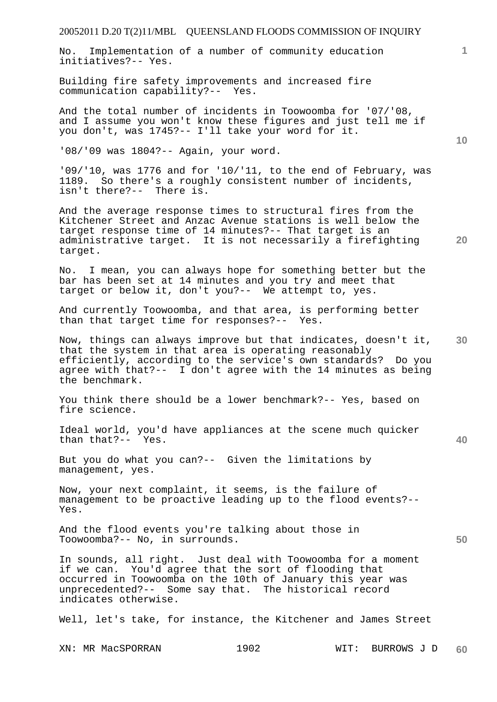No. Implementation of a number of community education initiatives?-- Yes.

Building fire safety improvements and increased fire communication capability?-- Yes.

And the total number of incidents in Toowoomba for '07/'08, and I assume you won't know these figures and just tell me if you don't, was 1745?-- I'll take your word for it.

'08/'09 was 1804?-- Again, your word.

'09/'10, was 1776 and for '10/'11, to the end of February, was 1189. So there's a roughly consistent number of incidents, isn't there?-- There is.

And the average response times to structural fires from the Kitchener Street and Anzac Avenue stations is well below the target response time of 14 minutes?-- That target is an administrative target. It is not necessarily a firefighting target.

No. I mean, you can always hope for something better but the bar has been set at 14 minutes and you try and meet that target or below it, don't you?-- We attempt to, yes.

And currently Toowoomba, and that area, is performing better than that target time for responses?-- Yes.

Now, things can always improve but that indicates, doesn't it, that the system in that area is operating reasonably efficiently, according to the service's own standards? Do you agree with that?-- I don't agree with the 14 minutes as being the benchmark.

You think there should be a lower benchmark?-- Yes, based on fire science.

Ideal world, you'd have appliances at the scene much quicker than that?-- Yes.

But you do what you can?-- Given the limitations by management, yes.

Now, your next complaint, it seems, is the failure of management to be proactive leading up to the flood events?-- Yes.

And the flood events you're talking about those in Toowoomba?-- No, in surrounds.

In sounds, all right. Just deal with Toowoomba for a moment if we can. You'd agree that the sort of flooding that occurred in Toowoomba on the 10th of January this year was unprecedented?-- Some say that. The historical record indicates otherwise.

Well, let's take, for instance, the Kitchener and James Street

XN: MR MacSPORRAN 1902 WIT: BURROWS J D

**10** 

**1**

**40** 

**20**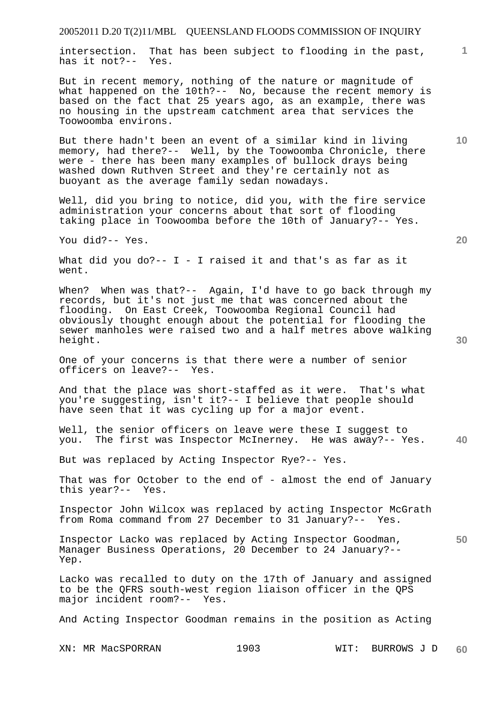intersection. That has been subject to flooding in the past, has it not?-- Yes.

But in recent memory, nothing of the nature or magnitude of what happened on the 10th?-- No, because the recent memory is based on the fact that 25 years ago, as an example, there was no housing in the upstream catchment area that services the Toowoomba environs.

But there hadn't been an event of a similar kind in living memory, had there?-- Well, by the Toowoomba Chronicle, there were - there has been many examples of bullock drays being washed down Ruthven Street and they're certainly not as buoyant as the average family sedan nowadays.

Well, did you bring to notice, did you, with the fire service administration your concerns about that sort of flooding taking place in Toowoomba before the 10th of January?-- Yes.

You did?-- Yes.

What did you do?--  $I - I$  raised it and that's as far as it went.

When? When was that?-- Again, I'd have to go back through my records, but it's not just me that was concerned about the flooding. On East Creek, Toowoomba Regional Council had obviously thought enough about the potential for flooding the sewer manholes were raised two and a half metres above walking height.

One of your concerns is that there were a number of senior officers on leave?-- Yes.

And that the place was short-staffed as it were. That's what you're suggesting, isn't it?-- I believe that people should have seen that it was cycling up for a major event.

**40**  Well, the senior officers on leave were these I suggest to you. The first was Inspector McInerney. He was away?-- Yes.

But was replaced by Acting Inspector Rye?-- Yes.

That was for October to the end of - almost the end of January this year?-- Yes.

Inspector John Wilcox was replaced by acting Inspector McGrath from Roma command from 27 December to 31 January?-- Yes.

**50**  Inspector Lacko was replaced by Acting Inspector Goodman, Manager Business Operations, 20 December to 24 January?-- Yep.

Lacko was recalled to duty on the 17th of January and assigned to be the QFRS south-west region liaison officer in the QPS major incident room?-- Yes.

And Acting Inspector Goodman remains in the position as Acting

XN: MR MacSPORRAN 1903 WIT: BURROWS J D **60** 

**30** 

**20** 

**10**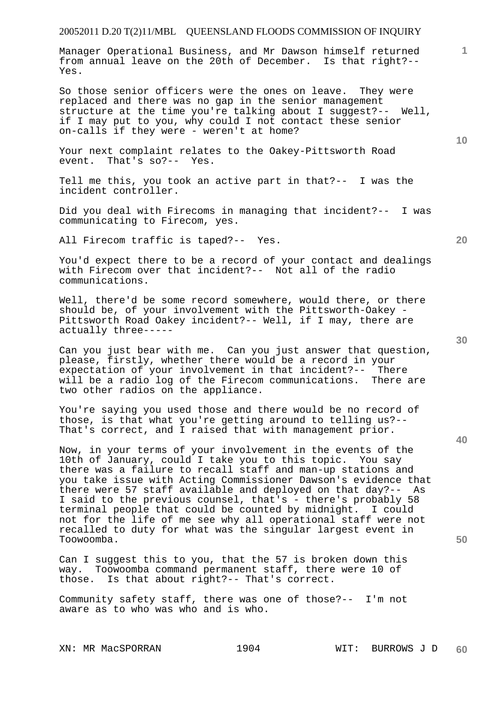Manager Operational Business, and Mr Dawson himself returned from annual leave on the 20th of December. Is that right?-- Yes.

So those senior officers were the ones on leave. They were replaced and there was no gap in the senior management structure at the time you're talking about I suggest?-- Well, if I may put to you, why could I not contact these senior on-calls if they were - weren't at home?

Your next complaint relates to the Oakey-Pittsworth Road event. That's so?-- Yes.

Tell me this, you took an active part in that?-- I was the incident controller.

Did you deal with Firecoms in managing that incident?-- I was communicating to Firecom, yes.

All Firecom traffic is taped?-- Yes.

You'd expect there to be a record of your contact and dealings with Firecom over that incident?-- Not all of the radio communications.

Well, there'd be some record somewhere, would there, or there should be, of your involvement with the Pittsworth-Oakey - Pittsworth Road Oakey incident?-- Well, if I may, there are actually three-----

Can you just bear with me. Can you just answer that question, please, firstly, whether there would be a record in your expectation of your involvement in that incident?-- There will be a radio log of the Firecom communications. There are two other radios on the appliance.

You're saying you used those and there would be no record of those, is that what you're getting around to telling us?-- That's correct, and I raised that with management prior.

Now, in your terms of your involvement in the events of the 10th of January, could I take you to this topic. You say there was a failure to recall staff and man-up stations and you take issue with Acting Commissioner Dawson's evidence that there were 57 staff available and deployed on that day?-- As I said to the previous counsel, that's - there's probably 58 terminal people that could be counted by midnight. I could not for the life of me see why all operational staff were not recalled to duty for what was the singular largest event in Toowoomba.

Can I suggest this to you, that the 57 is broken down this way. Toowoomba command permanent staff, there were 10 of those. Is that about right?-- That's correct.

Community safety staff, there was one of those?-- I'm not aware as to who was who and is who.

**30** 

**40** 

**1**

**10**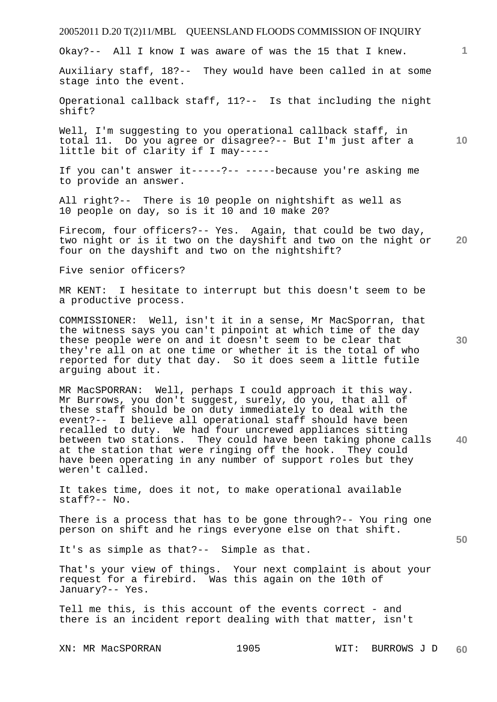Okay?-- All I know I was aware of was the 15 that I knew.

Auxiliary staff, 18?-- They would have been called in at some stage into the event.

Operational callback staff, 11?-- Is that including the night shift?

Well, I'm suggesting to you operational callback staff, in total 11. Do you agree or disagree?-- But I'm just after a little bit of clarity if I may-----

If you can't answer it-----?-- -----because you're asking me to provide an answer.

All right?-- There is 10 people on nightshift as well as 10 people on day, so is it 10 and 10 make 20?

**20**  Firecom, four officers?-- Yes. Again, that could be two day, two night or is it two on the dayshift and two on the night or four on the dayshift and two on the nightshift?

Five senior officers?

MR KENT: I hesitate to interrupt but this doesn't seem to be a productive process.

COMMISSIONER: Well, isn't it in a sense, Mr MacSporran, that the witness says you can't pinpoint at which time of the day these people were on and it doesn't seem to be clear that they're all on at one time or whether it is the total of who reported for duty that day. So it does seem a little futile arguing about it.

**40**  MR MacSPORRAN: Well, perhaps I could approach it this way. Mr Burrows, you don't suggest, surely, do you, that all of these staff should be on duty immediately to deal with the event?-- I believe all operational staff should have been recalled to duty. We had four uncrewed appliances sitting between two stations. They could have been taking phone calls at the station that were ringing off the hook. They could have been operating in any number of support roles but they weren't called.

It takes time, does it not, to make operational available staff?-- No.

There is a process that has to be gone through?-- You ring one person on shift and he rings everyone else on that shift.

It's as simple as that?-- Simple as that.

That's your view of things. Your next complaint is about your request for a firebird. Was this again on the 10th of January?-- Yes.

Tell me this, is this account of the events correct - and there is an incident report dealing with that matter, isn't

**30** 

**1**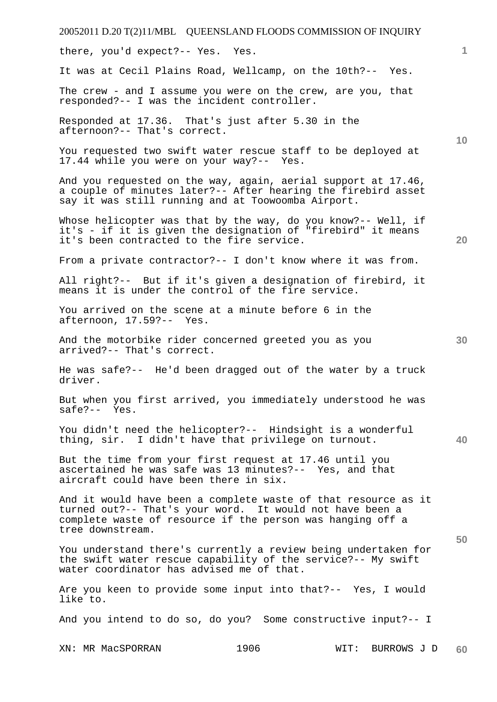| 20052011 D.20 T(2)11/MBL QUEENSLAND FLOODS COMMISSION OF INQUIRY                                                                                                                                             |      |      |                   |   |
|--------------------------------------------------------------------------------------------------------------------------------------------------------------------------------------------------------------|------|------|-------------------|---|
| there, you'd expect?-- Yes. Yes.                                                                                                                                                                             |      |      |                   | 1 |
| It was at Cecil Plains Road, Wellcamp, on the 10th?-- Yes.                                                                                                                                                   |      |      |                   |   |
| The crew - and I assume you were on the crew, are you, that<br>responded?-- I was the incident controller.                                                                                                   |      |      |                   |   |
| Responded at 17.36. That's just after 5.30 in the<br>afternoon?-- That's correct.                                                                                                                            |      |      | 10                |   |
| You requested two swift water rescue staff to be deployed at<br>17.44 while you were on your way?-- Yes.                                                                                                     |      |      |                   |   |
| And you requested on the way, again, aerial support at 17.46,<br>a couple of minutes later?-- After hearing the firebird asset<br>say it was still running and at Toowoomba Airport.                         |      |      |                   |   |
| Whose helicopter was that by the way, do you know?-- Well, if<br>it's - if it is given the designation of "firebird" it means<br>it's been contracted to the fire service.                                   |      |      | 20                |   |
| From a private contractor?-- I don't know where it was from.                                                                                                                                                 |      |      |                   |   |
| All right?-- But if it's given a designation of firebird, it<br>means it is under the control of the fire service.                                                                                           |      |      |                   |   |
| You arrived on the scene at a minute before 6 in the<br>afternoon, 17.59?-- Yes.                                                                                                                             |      |      |                   |   |
| And the motorbike rider concerned greeted you as you<br>arrived?-- That's correct.                                                                                                                           |      |      | 30                |   |
| He was safe?-- He'd been dragged out of the water by a truck<br>driver.                                                                                                                                      |      |      |                   |   |
| But when you first arrived, you immediately understood he was<br>$safe? -- Yes.$                                                                                                                             |      |      |                   |   |
| You didn't need the helicopter?-- Hindsight is a wonderful<br>thing, sir. I didn't have that privilege on turnout.                                                                                           |      |      | 40                |   |
| But the time from your first request at 17.46 until you<br>ascertained he was safe was 13 minutes?-- Yes, and that<br>aircraft could have been there in six.                                                 |      |      |                   |   |
| And it would have been a complete waste of that resource as it<br>turned out?-- That's your word. It would not have been a<br>complete waste of resource if the person was hanging off a<br>tree downstream. |      |      |                   |   |
| You understand there's currently a review being undertaken for<br>the swift water rescue capability of the service?-- My swift<br>water coordinator has advised me of that.                                  |      |      | 50                |   |
| Are you keen to provide some input into that?-- Yes, I would<br>like to.                                                                                                                                     |      |      |                   |   |
| And you intend to do so, do you? Some constructive input?-- I                                                                                                                                                |      |      |                   |   |
| XN: MR MacSPORRAN                                                                                                                                                                                            | 1906 | WIT: | BURROWS J D<br>60 |   |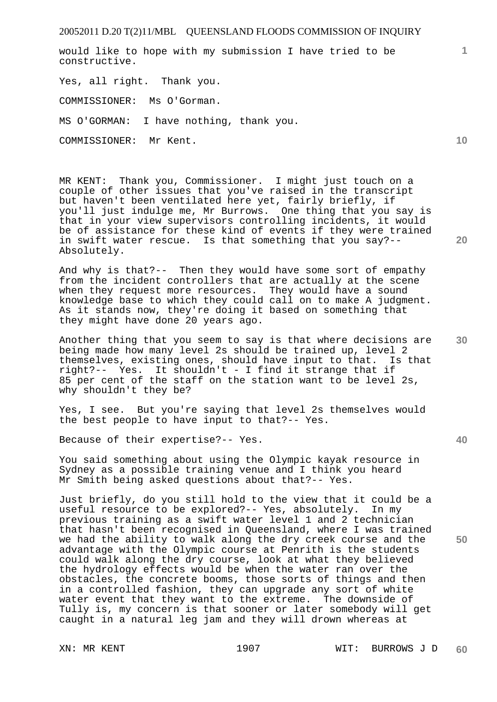would like to hope with my submission I have tried to be constructive.

Yes, all right. Thank you. COMMISSIONER: Ms O'Gorman. MS O'GORMAN: I have nothing, thank you. COMMISSIONER: Mr Kent.

MR KENT: Thank you, Commissioner. I might just touch on a couple of other issues that you've raised in the transcript but haven't been ventilated here yet, fairly briefly, if you'll just indulge me, Mr Burrows. One thing that you say is that in your view supervisors controlling incidents, it would be of assistance for these kind of events if they were trained in swift water rescue. Is that something that you say?-- Absolutely.

And why is that?-- Then they would have some sort of empathy from the incident controllers that are actually at the scene when they request more resources. They would have a sound knowledge base to which they could call on to make A judgment. As it stands now, they're doing it based on something that they might have done 20 years ago.

Another thing that you seem to say is that where decisions are being made how many level 2s should be trained up, level 2 themselves, existing ones, should have input to that. Is that right?-- Yes. It shouldn't - I find it strange that if 85 per cent of the staff on the station want to be level 2s, why shouldn't they be?

Yes, I see. But you're saying that level 2s themselves would the best people to have input to that?-- Yes.

Because of their expertise?-- Yes.

You said something about using the Olympic kayak resource in Sydney as a possible training venue and I think you heard Mr Smith being asked questions about that?-- Yes.

Just briefly, do you still hold to the view that it could be a useful resource to be explored?-- Yes, absolutely. In my previous training as a swift water level 1 and 2 technician that hasn't been recognised in Queensland, where I was trained we had the ability to walk along the dry creek course and the advantage with the Olympic course at Penrith is the students could walk along the dry course, look at what they believed the hydrology effects would be when the water ran over the obstacles, the concrete booms, those sorts of things and then in a controlled fashion, they can upgrade any sort of white water event that they want to the extreme. The downside of Tully is, my concern is that sooner or later somebody will get caught in a natural leg jam and they will drown whereas at

**20** 

**10** 

**1**

**40** 

**30**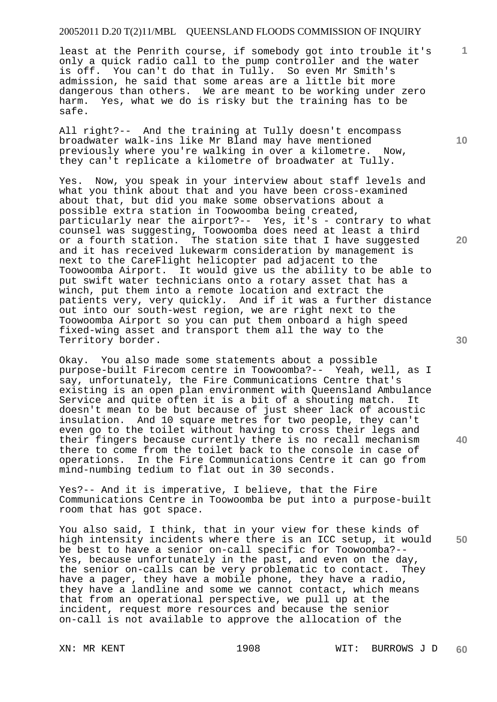least at the Penrith course, if somebody got into trouble it's only a quick radio call to the pump controller and the water is off. You can't do that in Tully. So even Mr Smith's admission, he said that some areas are a little bit more dangerous than others. We are meant to be working under zero harm. Yes, what we do is risky but the training has to be safe.

All right?-- And the training at Tully doesn't encompass broadwater walk-ins like Mr Bland may have mentioned previously where you're walking in over a kilometre. Now, they can't replicate a kilometre of broadwater at Tully.

Yes. Now, you speak in your interview about staff levels and what you think about that and you have been cross-examined about that, but did you make some observations about a possible extra station in Toowoomba being created, particularly near the airport?-- Yes, it's - contrary to what counsel was suggesting, Toowoomba does need at least a third or a fourth station. The station site that I have suggested and it has received lukewarm consideration by management is next to the CareFlight helicopter pad adjacent to the Toowoomba Airport. It would give us the ability to be able to put swift water technicians onto a rotary asset that has a winch, put them into a remote location and extract the patients very, very quickly. And if it was a further distance out into our south-west region, we are right next to the Toowoomba Airport so you can put them onboard a high speed fixed-wing asset and transport them all the way to the Territory border.

Okay. You also made some statements about a possible purpose-built Firecom centre in Toowoomba?-- Yeah, well, as I say, unfortunately, the Fire Communications Centre that's existing is an open plan environment with Queensland Ambulance Service and quite often it is a bit of a shouting match. It doesn't mean to be but because of just sheer lack of acoustic insulation. And 10 square metres for two people, they can't even go to the toilet without having to cross their legs and their fingers because currently there is no recall mechanism there to come from the toilet back to the console in case of operations. In the Fire Communications Centre it can go from mind-numbing tedium to flat out in 30 seconds.

Yes?-- And it is imperative, I believe, that the Fire Communications Centre in Toowoomba be put into a purpose-built room that has got space.

**50**  You also said, I think, that in your view for these kinds of high intensity incidents where there is an ICC setup, it would be best to have a senior on-call specific for Toowoomba?-- Yes, because unfortunately in the past, and even on the day, the senior on-calls can be very problematic to contact. They have a pager, they have a mobile phone, they have a radio, they have a landline and some we cannot contact, which means that from an operational perspective, we pull up at the incident, request more resources and because the senior on-call is not available to approve the allocation of the

**10** 

**1**

**20** 

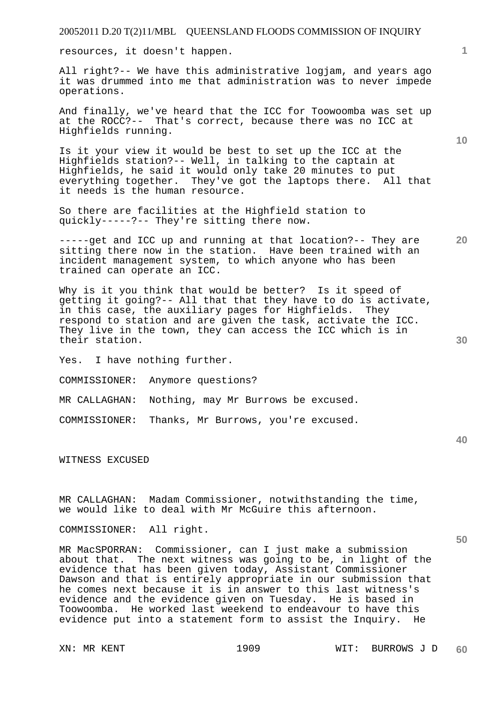resources, it doesn't happen.

All right?-- We have this administrative logjam, and years ago it was drummed into me that administration was to never impede operations.

And finally, we've heard that the ICC for Toowoomba was set up at the ROCC?-- That's correct, because there was no ICC at Highfields running.

Is it your view it would be best to set up the ICC at the Highfields station?-- Well, in talking to the captain at Highfields, he said it would only take 20 minutes to put everything together. They've got the laptops there. All that it needs is the human resource.

So there are facilities at the Highfield station to quickly-----?-- They're sitting there now.

-----get and ICC up and running at that location?-- They are sitting there now in the station. Have been trained with an incident management system, to which anyone who has been trained can operate an ICC.

Why is it you think that would be better? Is it speed of getting it going?-- All that that they have to do is activate, in this case, the auxiliary pages for Highfields. They respond to station and are given the task, activate the ICC. They live in the town, they can access the ICC which is in their station.

Yes. I have nothing further.

COMMISSIONER: Anymore questions?

MR CALLAGHAN: Nothing, may Mr Burrows be excused.

COMMISSIONER: Thanks, Mr Burrows, you're excused.

WITNESS EXCUSED

MR CALLAGHAN: Madam Commissioner, notwithstanding the time, we would like to deal with Mr McGuire this afternoon.

COMMISSIONER: All right.

MR MacSPORRAN: Commissioner, can I just make a submission about that. The next witness was going to be, in light of the evidence that has been given today, Assistant Commissioner Dawson and that is entirely appropriate in our submission that he comes next because it is in answer to this last witness's evidence and the evidence given on Tuesday. He is based in Toowoomba. He worked last weekend to endeavour to have this evidence put into a statement form to assist the Inquiry. He

**1**

**10** 

**20** 

**40**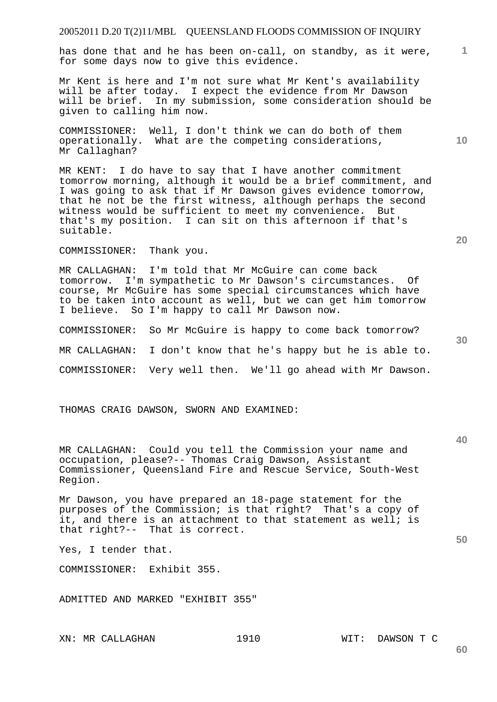**1** has done that and he has been on-call, on standby, as it were, for some days now to give this evidence.

Mr Kent is here and I'm not sure what Mr Kent's availability will be after today. I expect the evidence from Mr Dawson will be brief. In my submission, some consideration should be given to calling him now.

COMMISSIONER: Well, I don't think we can do both of them operationally. What are the competing considerations, Mr Callaghan?

MR KENT: I do have to say that I have another commitment tomorrow morning, although it would be a brief commitment, and I was going to ask that if Mr Dawson gives evidence tomorrow, that he not be the first witness, although perhaps the second witness would be sufficient to meet my convenience. But that's my position. I can sit on this afternoon if that's suitable.

COMMISSIONER: Thank you.

MR CALLAGHAN: I'm told that Mr McGuire can come back tomorrow. I'm sympathetic to Mr Dawson's circumstances. Of course, Mr McGuire has some special circumstances which have to be taken into account as well, but we can get him tomorrow I believe. So I'm happy to call Mr Dawson now.

COMMISSIONER: So Mr McGuire is happy to come back tomorrow? MR CALLAGHAN: I don't know that he's happy but he is able to. COMMISSIONER: Very well then. We'll go ahead with Mr Dawson.

THOMAS CRAIG DAWSON, SWORN AND EXAMINED:

MR CALLAGHAN: Could you tell the Commission your name and occupation, please?-- Thomas Craig Dawson, Assistant Commissioner, Queensland Fire and Rescue Service, South-West Region.

Mr Dawson, you have prepared an 18-page statement for the purposes of the Commission; is that right? That's a copy of it, and there is an attachment to that statement as well; is that right?-- That is correct.

Yes, I tender that.

COMMISSIONER: Exhibit 355.

ADMITTED AND MARKED "EXHIBIT 355"

XN: MR CALLAGHAN 1910 WIT: DAWSON T C

**30** 

**50** 

**60** 

**10**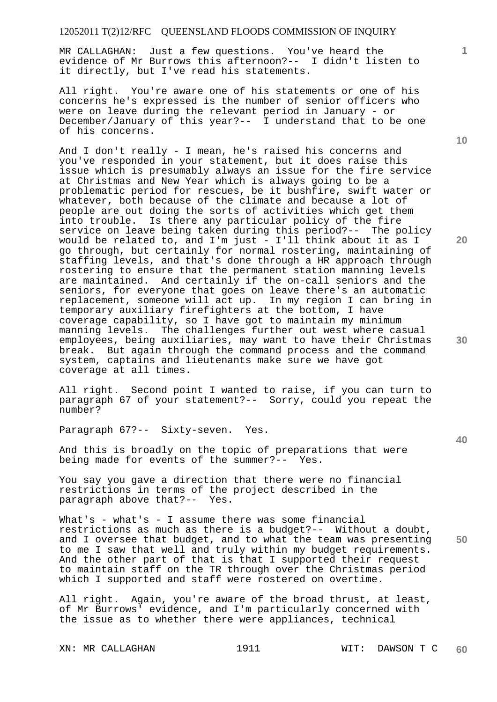MR CALLAGHAN: Just a few questions. You've heard the evidence of Mr Burrows this afternoon?-- I didn't listen to it directly, but I've read his statements.

All right. You're aware one of his statements or one of his concerns he's expressed is the number of senior officers who were on leave during the relevant period in January - or December/January of this year?-- I understand that to be one of his concerns.

And I don't really - I mean, he's raised his concerns and you've responded in your statement, but it does raise this issue which is presumably always an issue for the fire service at Christmas and New Year which is always going to be a problematic period for rescues, be it bushfire, swift water or whatever, both because of the climate and because a lot of people are out doing the sorts of activities which get them into trouble. Is there any particular policy of the fire service on leave being taken during this period?-- The policy would be related to, and I'm just - I'll think about it as I go through, but certainly for normal rostering, maintaining of staffing levels, and that's done through a HR approach through rostering to ensure that the permanent station manning levels are maintained. And certainly if the on-call seniors and the seniors, for everyone that goes on leave there's an automatic replacement, someone will act up. In my region I can bring in temporary auxiliary firefighters at the bottom, I have coverage capability, so I have got to maintain my minimum manning levels. The challenges further out west where casual employees, being auxiliaries, may want to have their Christmas break. But again through the command process and the command system, captains and lieutenants make sure we have got coverage at all times.

All right. Second point I wanted to raise, if you can turn to paragraph 67 of your statement?-- Sorry, could you repeat the number?

Paragraph 67?-- Sixty-seven. Yes.

And this is broadly on the topic of preparations that were being made for events of the summer?-- Yes.

You say you gave a direction that there were no financial restrictions in terms of the project described in the paragraph above that?-- Yes.

**50**  What's - what's - I assume there was some financial restrictions as much as there is a budget?-- Without a doubt, and I oversee that budget, and to what the team was presenting to me I saw that well and truly within my budget requirements. And the other part of that is that I supported their request to maintain staff on the TR through over the Christmas period which I supported and staff were rostered on overtime.

All right. Again, you're aware of the broad thrust, at least, of Mr Burrows' evidence, and I'm particularly concerned with the issue as to whether there were appliances, technical

**10** 

**1**

**20**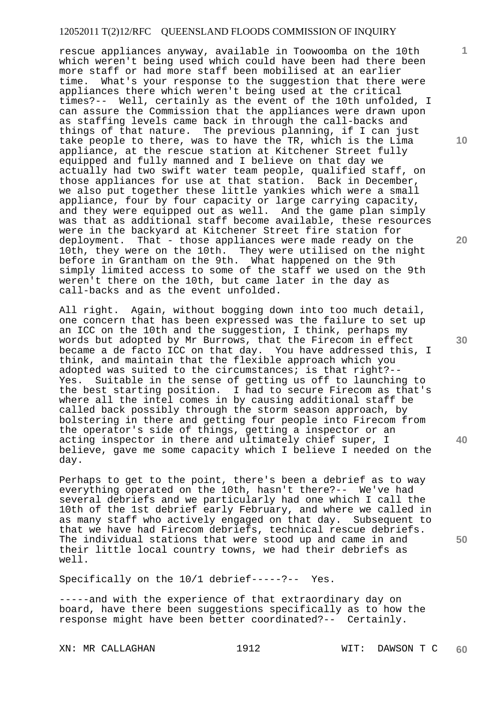rescue appliances anyway, available in Toowoomba on the 10th which weren't being used which could have been had there been more staff or had more staff been mobilised at an earlier time. What's your response to the suggestion that there were appliances there which weren't being used at the critical times?-- Well, certainly as the event of the 10th unfolded, I can assure the Commission that the appliances were drawn upon as staffing levels came back in through the call-backs and things of that nature. The previous planning, if I can just take people to there, was to have the TR, which is the Lima appliance, at the rescue station at Kitchener Street fully equipped and fully manned and I believe on that day we actually had two swift water team people, qualified staff, on those appliances for use at that station. Back in December, we also put together these little yankies which were a small appliance, four by four capacity or large carrying capacity, and they were equipped out as well. And the game plan simply was that as additional staff become available, these resources were in the backyard at Kitchener Street fire station for deployment. That - those appliances were made ready on the 10th, they were on the 10th. They were utilised on the night before in Grantham on the 9th. What happened on the 9th simply limited access to some of the staff we used on the 9th weren't there on the 10th, but came later in the day as call-backs and as the event unfolded.

All right. Again, without bogging down into too much detail, one concern that has been expressed was the failure to set up an ICC on the 10th and the suggestion, I think, perhaps my words but adopted by Mr Burrows, that the Firecom in effect became a de facto ICC on that day. You have addressed this, I think, and maintain that the flexible approach which you adopted was suited to the circumstances; is that right?--<br>Yes. Suitable in the sense of getting us off to launchin Suitable in the sense of getting us off to launching to the best starting position. I had to secure Firecom as that's where all the intel comes in by causing additional staff be called back possibly through the storm season approach, by bolstering in there and getting four people into Firecom from the operator's side of things, getting a inspector or an acting inspector in there and ultimately chief super, I believe, gave me some capacity which I believe I needed on the day.

Perhaps to get to the point, there's been a debrief as to way everything operated on the 10th, hasn't there?-- We've had several debriefs and we particularly had one which I call the 10th of the 1st debrief early February, and where we called in as many staff who actively engaged on that day. Subsequent to that we have had Firecom debriefs, technical rescue debriefs. The individual stations that were stood up and came in and their little local country towns, we had their debriefs as well.

Specifically on the 10/1 debrief-----?-- Yes.

-----and with the experience of that extraordinary day on board, have there been suggestions specifically as to how the response might have been better coordinated?-- Certainly.

**10** 

**1**

**20** 

**30** 

**40**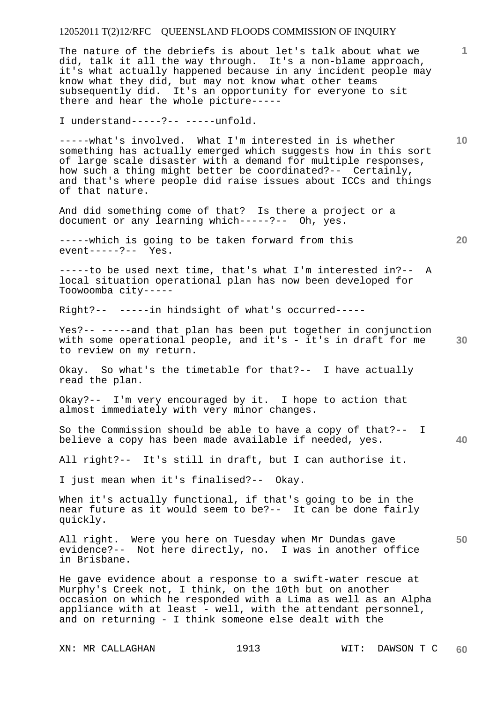The nature of the debriefs is about let's talk about what we did, talk it all the way through. It's a non-blame approach, it's what actually happened because in any incident people may know what they did, but may not know what other teams subsequently did. It's an opportunity for everyone to sit there and hear the whole picture-----

I understand-----?-- -----unfold.

-----what's involved. What I'm interested in is whether something has actually emerged which suggests how in this sort of large scale disaster with a demand for multiple responses, how such a thing might better be coordinated?-- Certainly, and that's where people did raise issues about ICCs and things of that nature.

And did something come of that? Is there a project or a document or any learning which-----?-- Oh, yes.

-----which is going to be taken forward from this event-----?-- Yes.

-----to be used next time, that's what I'm interested in?-- A local situation operational plan has now been developed for Toowoomba city-----

Right?-- -----in hindsight of what's occurred-----

Yes?-- -----and that plan has been put together in conjunction with some operational people, and it's - it's in draft for me to review on my return.

Okay. So what's the timetable for that?-- I have actually read the plan.

Okay?-- I'm very encouraged by it. I hope to action that almost immediately with very minor changes.

So the Commission should be able to have a copy of that?-- I believe a copy has been made available if needed, yes.

All right?-- It's still in draft, but I can authorise it.

I just mean when it's finalised?-- Okay.

When it's actually functional, if that's going to be in the near future as it would seem to be?-- It can be done fairly quickly.

All right. Were you here on Tuesday when Mr Dundas gave evidence?-- Not here directly, no. I was in another office in Brisbane.

He gave evidence about a response to a swift-water rescue at Murphy's Creek not, I think, on the 10th but on another occasion on which he responded with a Lima as well as an Alpha appliance with at least - well, with the attendant personnel, and on returning - I think someone else dealt with the

**20** 

**10** 

**1**

**30** 

**40**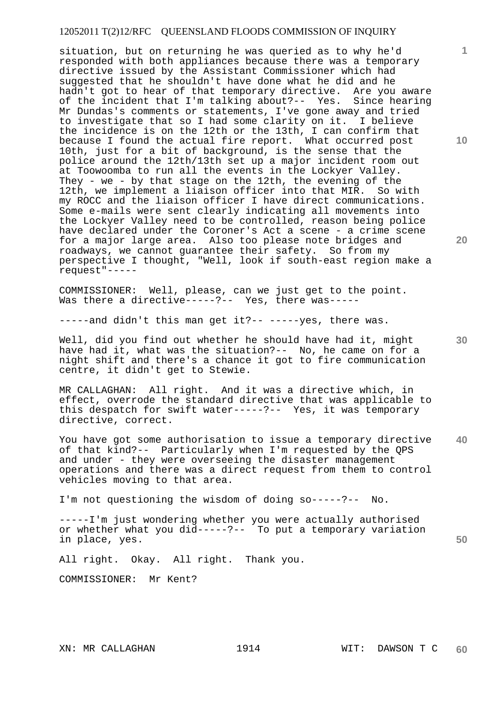situation, but on returning he was queried as to why he'd responded with both appliances because there was a temporary directive issued by the Assistant Commissioner which had suggested that he shouldn't have done what he did and he hadn't got to hear of that temporary directive. Are you aware of the incident that I'm talking about?-- Yes. Since hearing Mr Dundas's comments or statements, I've gone away and tried to investigate that so I had some clarity on it. I believe the incidence is on the 12th or the 13th, I can confirm that because I found the actual fire report. What occurred post 10th, just for a bit of background, is the sense that the police around the 12th/13th set up a major incident room out at Toowoomba to run all the events in the Lockyer Valley. They - we - by that stage on the 12th, the evening of the 12th, we implement a liaison officer into that MIR. So with my ROCC and the liaison officer I have direct communications. Some e-mails were sent clearly indicating all movements into the Lockyer Valley need to be controlled, reason being police have declared under the Coroner's Act a scene - a crime scene for a major large area. Also too please note bridges and roadways, we cannot guarantee their safety. So from my perspective I thought, "Well, look if south-east region make a request"-----

COMMISSIONER: Well, please, can we just get to the point. Was there a directive-----?-- Yes, there was-----

-----and didn't this man get it ?-- -----yes, there was.

Well, did you find out whether he should have had it, might have had it, what was the situation?-- No, he came on for a night shift and there's a chance it got to fire communication centre, it didn't get to Stewie.

MR CALLAGHAN: All right. And it was a directive which, in effect, overrode the standard directive that was applicable to this despatch for swift water-----?-- Yes, it was temporary directive, correct.

**40**  You have got some authorisation to issue a temporary directive of that kind?-- Particularly when I'm requested by the QPS and under - they were overseeing the disaster management operations and there was a direct request from them to control vehicles moving to that area.

I'm not questioning the wisdom of doing so-----?-- No.

-----I'm just wondering whether you were actually authorised or whether what you did-----?-- To put a temporary variation in place, yes.

All right. Okay. All right. Thank you.

COMMISSIONER: Mr Kent?

**20** 

**30** 

**50**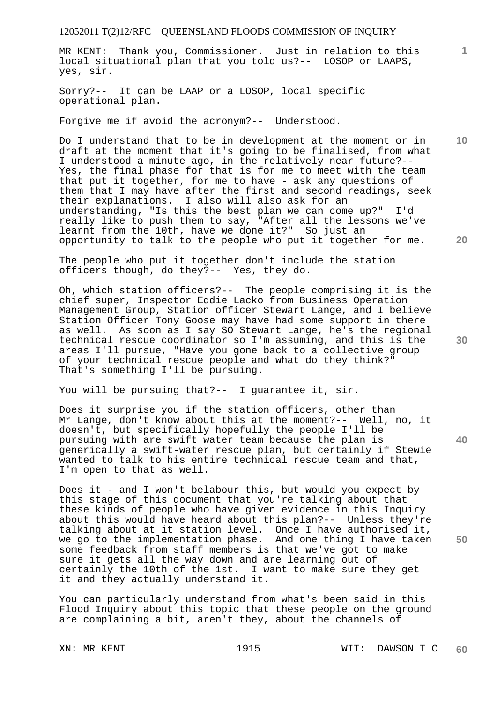MR KENT: Thank you, Commissioner. Just in relation to this local situational plan that you told us?-- LOSOP or LAAPS, yes, sir.

Sorry?-- It can be LAAP or a LOSOP, local specific operational plan.

Forgive me if avoid the acronym?-- Understood.

Do I understand that to be in development at the moment or in draft at the moment that it's going to be finalised, from what I understood a minute ago, in the relatively near future?-- Yes, the final phase for that is for me to meet with the team that put it together, for me to have - ask any questions of them that I may have after the first and second readings, seek their explanations. I also will also ask for an understanding, "Is this the best plan we can come up?" I'd really like to push them to say, "After all the lessons we've learnt from the 10th, have we done it?" So just an opportunity to talk to the people who put it together for me.

The people who put it together don't include the station officers though, do they?-- Yes, they do.

Oh, which station officers?-- The people comprising it is the chief super, Inspector Eddie Lacko from Business Operation Management Group, Station officer Stewart Lange, and I believe Station Officer Tony Goose may have had some support in there as well. As soon as I say SO Stewart Lange, he's the regional technical rescue coordinator so I'm assuming, and this is the areas I'll pursue, "Have you gone back to a collective group of your technical rescue people and what do they think?" That's something I'll be pursuing.

You will be pursuing that?-- I guarantee it, sir.

Does it surprise you if the station officers, other than Mr Lange, don't know about this at the moment?-- Well, no, it doesn't, but specifically hopefully the people I'll be pursuing with are swift water team because the plan is generically a swift-water rescue plan, but certainly if Stewie wanted to talk to his entire technical rescue team and that, I'm open to that as well.

Does it - and I won't belabour this, but would you expect by this stage of this document that you're talking about that these kinds of people who have given evidence in this Inquiry about this would have heard about this plan?-- Unless they're talking about at it station level. Once I have authorised it, we go to the implementation phase. And one thing I have taken some feedback from staff members is that we've got to make sure it gets all the way down and are learning out of certainly the 10th of the 1st. I want to make sure they get it and they actually understand it.

You can particularly understand from what's been said in this Flood Inquiry about this topic that these people on the ground are complaining a bit, aren't they, about the channels of

**10** 

**1**

**20** 

**30** 

**40**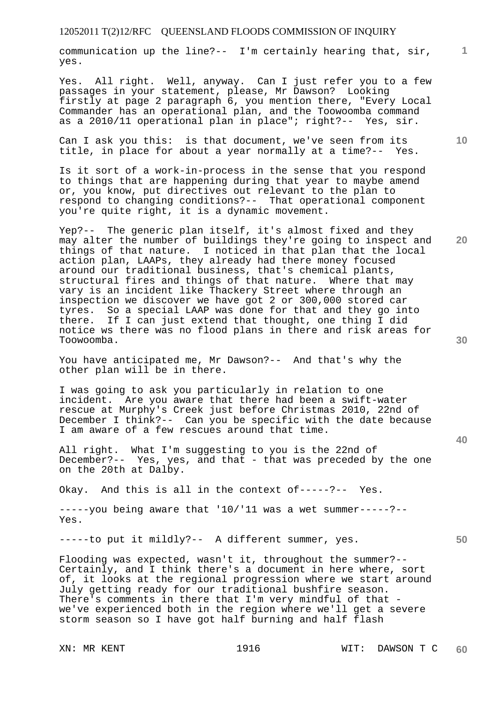communication up the line?-- I'm certainly hearing that, sir, yes.

Yes. All right. Well, anyway. Can I just refer you to a few passages in your statement, please, Mr Dawson? Looking firstly at page 2 paragraph 6, you mention there, "Every Local Commander has an operational plan, and the Toowoomba command as a 2010/11 operational plan in place"; right?-- Yes, sir.

Can I ask you this: is that document, we've seen from its title, in place for about a year normally at a time?-- Yes.

Is it sort of a work-in-process in the sense that you respond to things that are happening during that year to maybe amend or, you know, put directives out relevant to the plan to respond to changing conditions?-- That operational component you're quite right, it is a dynamic movement.

Yep?-- The generic plan itself, it's almost fixed and they may alter the number of buildings they're going to inspect and things of that nature. I noticed in that plan that the local action plan, LAAPs, they already had there money focused around our traditional business, that's chemical plants, structural fires and things of that nature. Where that may vary is an incident like Thackery Street where through an inspection we discover we have got 2 or 300,000 stored car tyres. So a special LAAP was done for that and they go into there. If I can just extend that thought, one thing I did notice ws there was no flood plans in there and risk areas for Toowoomba.

You have anticipated me, Mr Dawson?-- And that's why the other plan will be in there.

I was going to ask you particularly in relation to one incident. Are you aware that there had been a swift-water rescue at Murphy's Creek just before Christmas 2010, 22nd of December I think?-- Can you be specific with the date because I am aware of a few rescues around that time.

All right. What I'm suggesting to you is the 22nd of December?-- Yes, yes, and that - that was preceded by the one on the 20th at Dalby.

Okay. And this is all in the context of-----?-- Yes.

-----you being aware that '10/'11 was a wet summer-----?-- Yes.

-----to put it mildly?-- A different summer, yes.

Flooding was expected, wasn't it, throughout the summer?-- Certainly, and I think there's a document in here where, sort of, it looks at the regional progression where we start around July getting ready for our traditional bushfire season. There's comments in there that I'm very mindful of that we've experienced both in the region where we'll get a severe storm season so I have got half burning and half flash

**10** 

**20** 

**1**

**40** 

**30**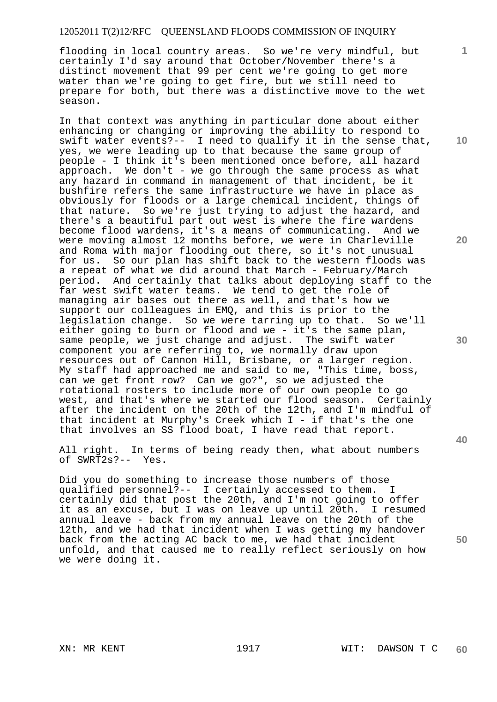flooding in local country areas. So we're very mindful, but certainly I'd say around that October/November there's a distinct movement that 99 per cent we're going to get more water than we're going to get fire, but we still need to prepare for both, but there was a distinctive move to the wet season.

In that context was anything in particular done about either enhancing or changing or improving the ability to respond to swift water events?-- I need to qualify it in the sense that, yes, we were leading up to that because the same group of people - I think it's been mentioned once before, all hazard approach. We don't - we go through the same process as what any hazard in command in management of that incident, be it bushfire refers the same infrastructure we have in place as obviously for floods or a large chemical incident, things of that nature. So we're just trying to adjust the hazard, and there's a beautiful part out west is where the fire wardens become flood wardens, it's a means of communicating. And we were moving almost 12 months before, we were in Charleville and Roma with major flooding out there, so it's not unusual for us. So our plan has shift back to the western floods was a repeat of what we did around that March - February/March period. And certainly that talks about deploying staff to the far west swift water teams. We tend to get the role of managing air bases out there as well, and that's how we support our colleagues in EMQ, and this is prior to the legislation change. So we were tarring up to that. So we'll either going to burn or flood and we - it's the same plan, same people, we just change and adjust. The swift water component you are referring to, we normally draw upon resources out of Cannon Hill, Brisbane, or a larger region. My staff had approached me and said to me, "This time, boss, can we get front row? Can we go?", so we adjusted the rotational rosters to include more of our own people to go west, and that's where we started our flood season. Certainly after the incident on the 20th of the 12th, and I'm mindful of that incident at Murphy's Creek which I - if that's the one that involves an SS flood boat, I have read that report.

All right. In terms of being ready then, what about numbers of SWRT2s?-- Yes.

Did you do something to increase those numbers of those qualified personnel?-- I certainly accessed to them. I certainly did that post the 20th, and I'm not going to offer it as an excuse, but I was on leave up until 20th. I resumed annual leave - back from my annual leave on the 20th of the 12th, and we had that incident when I was getting my handover back from the acting AC back to me, we had that incident unfold, and that caused me to really reflect seriously on how we were doing it.

**10** 

**1**

**20** 

**30**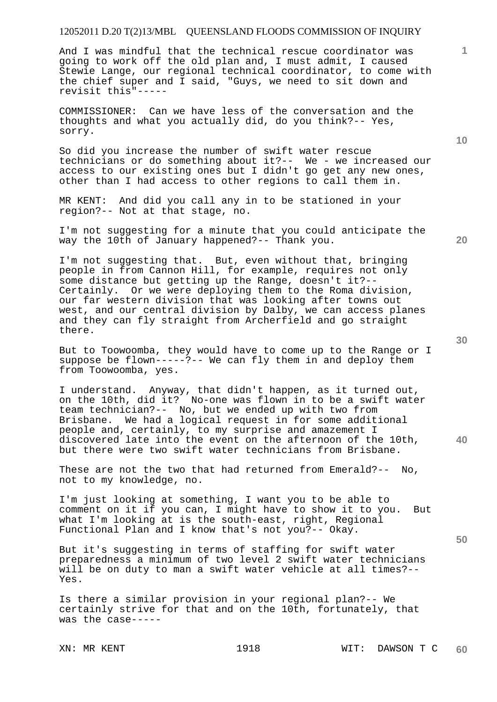And I was mindful that the technical rescue coordinator was going to work off the old plan and, I must admit, I caused Stewie Lange, our regional technical coordinator, to come with the chief super and I said, "Guys, we need to sit down and revisit this"-----

COMMISSIONER: Can we have less of the conversation and the thoughts and what you actually did, do you think?-- Yes, sorry.

So did you increase the number of swift water rescue technicians or do something about it?-- We - we increased our access to our existing ones but I didn't go get any new ones, other than I had access to other regions to call them in.

MR KENT: And did you call any in to be stationed in your region?-- Not at that stage, no.

I'm not suggesting for a minute that you could anticipate the way the 10th of January happened?-- Thank you.

I'm not suggesting that. But, even without that, bringing people in from Cannon Hill, for example, requires not only some distance but getting up the Range, doesn't it?-- Certainly. Or we were deploying them to the Roma division, our far western division that was looking after towns out west, and our central division by Dalby, we can access planes and they can fly straight from Archerfield and go straight there.

But to Toowoomba, they would have to come up to the Range or I suppose be flown-----?-- We can fly them in and deploy them from Toowoomba, yes.

I understand. Anyway, that didn't happen, as it turned out, on the 10th, did it? No-one was flown in to be a swift water team technician?-- No, but we ended up with two from Brisbane. We had a logical request in for some additional people and, certainly, to my surprise and amazement I discovered late into the event on the afternoon of the 10th, but there were two swift water technicians from Brisbane.

These are not the two that had returned from Emerald?-- No, not to my knowledge, no.

I'm just looking at something, I want you to be able to comment on it if you can, I might have to show it to you. But what I'm looking at is the south-east, right, Regional Functional Plan and I know that's not you?-- Okay.

But it's suggesting in terms of staffing for swift water preparedness a minimum of two level 2 swift water technicians will be on duty to man a swift water vehicle at all times?-- Yes.

Is there a similar provision in your regional plan?-- We certainly strive for that and on the 10th, fortunately, that was the case-----

**20** 

**40** 

**50** 

**10**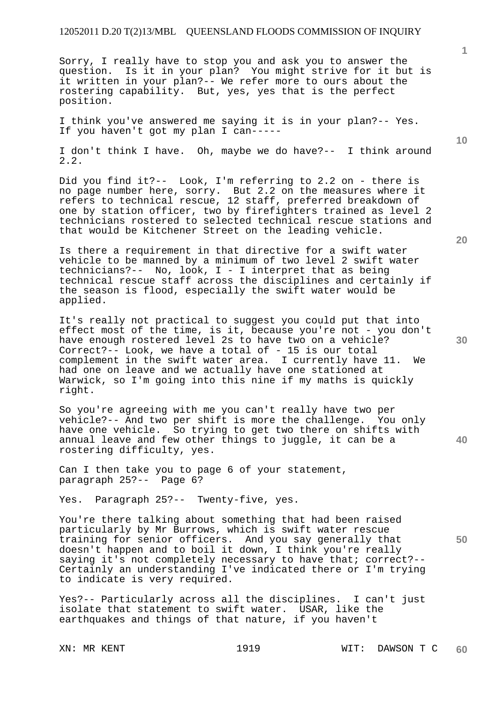Sorry, I really have to stop you and ask you to answer the question. Is it in your plan? You might strive for it but is it written in your plan?-- We refer more to ours about the rostering capability. But, yes, yes that is the perfect position.

I think you've answered me saying it is in your plan?-- Yes. If you haven't got my plan I can-----

I don't think I have. Oh, maybe we do have?-- I think around 2.2.

Did you find it?-- Look, I'm referring to 2.2 on - there is no page number here, sorry. But 2.2 on the measures where it refers to technical rescue, 12 staff, preferred breakdown of one by station officer, two by firefighters trained as level 2 technicians rostered to selected technical rescue stations and that would be Kitchener Street on the leading vehicle.

Is there a requirement in that directive for a swift water vehicle to be manned by a minimum of two level 2 swift water technicians?-- No, look, I - I interpret that as being technical rescue staff across the disciplines and certainly if the season is flood, especially the swift water would be applied.

It's really not practical to suggest you could put that into effect most of the time, is it, because you're not - you don't have enough rostered level 2s to have two on a vehicle? Correct?-- Look, we have a total of - 15 is our total complement in the swift water area. I currently have 11. We had one on leave and we actually have one stationed at Warwick, so I'm going into this nine if my maths is quickly right.

So you're agreeing with me you can't really have two per vehicle?-- And two per shift is more the challenge. You only have one vehicle. So trying to get two there on shifts with annual leave and few other things to juggle, it can be a rostering difficulty, yes.

Can I then take you to page 6 of your statement, paragraph 25?-- Page 6?

Yes. Paragraph 25?-- Twenty-five, yes.

You're there talking about something that had been raised particularly by Mr Burrows, which is swift water rescue training for senior officers. And you say generally that doesn't happen and to boil it down, I think you're really saying it's not completely necessary to have that; correct?-- Certainly an understanding I've indicated there or I'm trying to indicate is very required.

Yes?-- Particularly across all the disciplines. I can't just isolate that statement to swift water. USAR, like the earthquakes and things of that nature, if you haven't

**20** 

**40** 

**50** 

**10**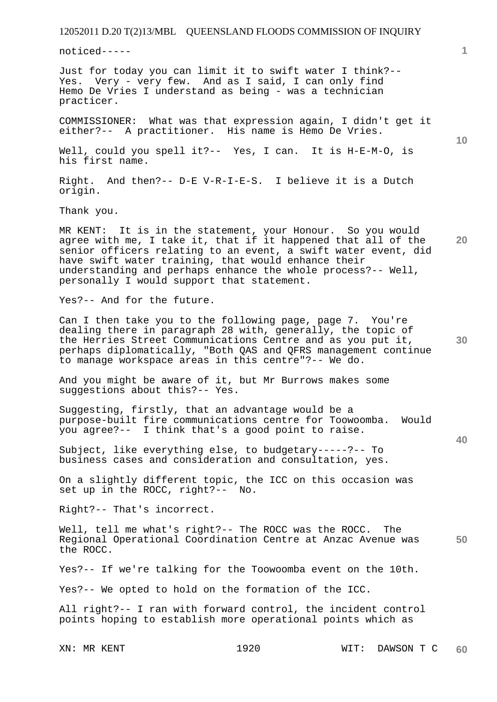noticed-----

Just for today you can limit it to swift water I think?-- Yes. Very - very few. And as I said, I can only find Hemo De Vries I understand as being - was a technician practicer.

COMMISSIONER: What was that expression again, I didn't get it either?-- A practitioner. His name is Hemo De Vries.

Well, could you spell it?-- Yes, I can. It is H-E-M-O, is his first name.

Right. And then?-- D-E V-R-I-E-S. I believe it is a Dutch origin.

Thank you.

**20**  MR KENT: It is in the statement, your Honour. So you would agree with me, I take it, that if it happened that all of the senior officers relating to an event, a swift water event, did have swift water training, that would enhance their understanding and perhaps enhance the whole process?-- Well, personally I would support that statement.

Yes?-- And for the future.

Can I then take you to the following page, page 7. You're dealing there in paragraph 28 with, generally, the topic of the Herries Street Communications Centre and as you put it, perhaps diplomatically, "Both QAS and QFRS management continue to manage workspace areas in this centre"?-- We do.

And you might be aware of it, but Mr Burrows makes some suggestions about this?-- Yes.

Suggesting, firstly, that an advantage would be a purpose-built fire communications centre for Toowoomba. Would you agree?-- I think that's a good point to raise.

Subject, like everything else, to budgetary-----?-- To business cases and consideration and consultation, yes.

On a slightly different topic, the ICC on this occasion was set up in the ROCC, right?-- No.

Right?-- That's incorrect.

**50**  Well, tell me what's right?-- The ROCC was the ROCC. The Regional Operational Coordination Centre at Anzac Avenue was the ROCC.

Yes?-- If we're talking for the Toowoomba event on the 10th.

Yes?-- We opted to hold on the formation of the ICC.

All right?-- I ran with forward control, the incident control points hoping to establish more operational points which as

**1**

**10** 

**30**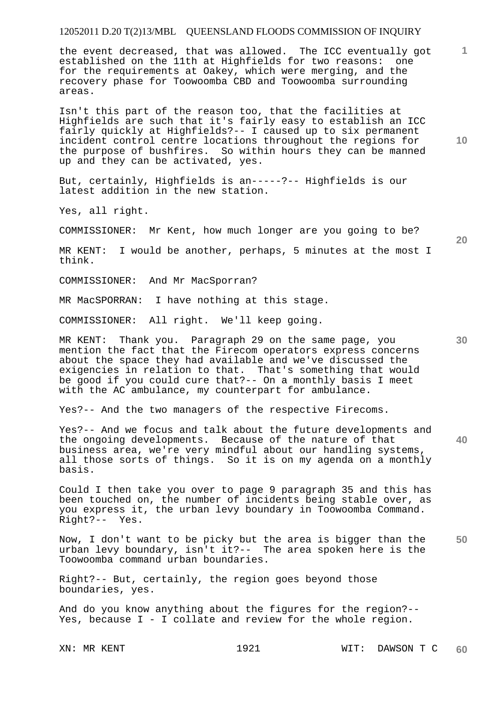the event decreased, that was allowed. The ICC eventually got established on the 11th at Highfields for two reasons: one for the requirements at Oakey, which were merging, and the recovery phase for Toowoomba CBD and Toowoomba surrounding areas.

Isn't this part of the reason too, that the facilities at Highfields are such that it's fairly easy to establish an ICC fairly quickly at Highfields?-- I caused up to six permanent incident control centre locations throughout the regions for the purpose of bushfires. So within hours they can be manned up and they can be activated, yes.

But, certainly, Highfields is an-----?-- Highfields is our latest addition in the new station.

Yes, all right.

COMMISSIONER: Mr Kent, how much longer are you going to be?

MR KENT: I would be another, perhaps, 5 minutes at the most I think.

COMMISSIONER: And Mr MacSporran?

MR MacSPORRAN: I have nothing at this stage.

COMMISSIONER: All right. We'll keep going.

MR KENT: Thank you. Paragraph 29 on the same page, you mention the fact that the Firecom operators express concerns about the space they had available and we've discussed the exigencies in relation to that. That's something that would be good if you could cure that?-- On a monthly basis I meet with the AC ambulance, my counterpart for ambulance.

Yes?-- And the two managers of the respective Firecoms.

Yes?-- And we focus and talk about the future developments and the ongoing developments. Because of the nature of that business area, we're very mindful about our handling systems, all those sorts of things. So it is on my agenda on a monthly basis.

Could I then take you over to page 9 paragraph 35 and this has been touched on, the number of incidents being stable over, as you express it, the urban levy boundary in Toowoomba Command. Right?-- Yes.

**50**  Now, I don't want to be picky but the area is bigger than the urban levy boundary, isn't it?-- The area spoken here is the Toowoomba command urban boundaries.

Right?-- But, certainly, the region goes beyond those boundaries, yes.

And do you know anything about the figures for the region?-- Yes, because I - I collate and review for the whole region.

**10** 

**20** 

**1**

**30**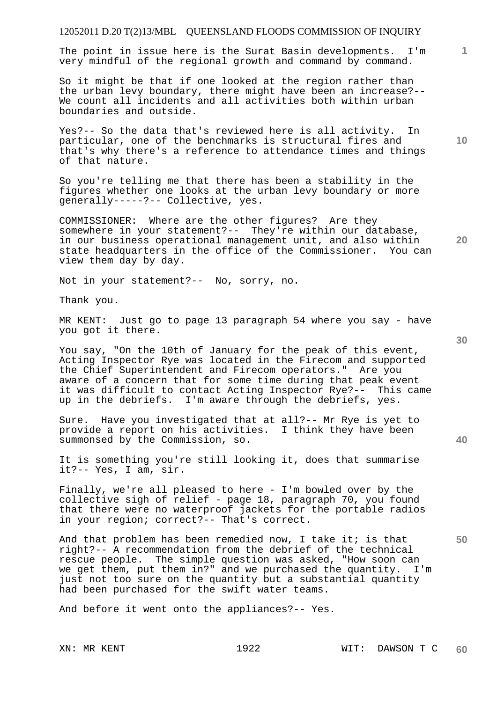The point in issue here is the Surat Basin developments. I'm very mindful of the regional growth and command by command.

So it might be that if one looked at the region rather than the urban levy boundary, there might have been an increase?-- We count all incidents and all activities both within urban boundaries and outside.

Yes?-- So the data that's reviewed here is all activity. In particular, one of the benchmarks is structural fires and that's why there's a reference to attendance times and things of that nature.

So you're telling me that there has been a stability in the figures whether one looks at the urban levy boundary or more generally-----?-- Collective, yes.

COMMISSIONER: Where are the other figures? Are they somewhere in your statement?-- They're within our database, in our business operational management unit, and also within state headquarters in the office of the Commissioner. You can view them day by day.

Not in your statement?-- No, sorry, no.

Thank you.

MR KENT: Just go to page 13 paragraph 54 where you say - have you got it there.

You say, "On the 10th of January for the peak of this event, Acting Inspector Rye was located in the Firecom and supported the Chief Superintendent and Firecom operators." Are you aware of a concern that for some time during that peak event it was difficult to contact Acting Inspector Rye?-- This came up in the debriefs. I'm aware through the debriefs, yes.

Sure. Have you investigated that at all?-- Mr Rye is yet to provide a report on his activities. I think they have been summonsed by the Commission, so.

It is something you're still looking it, does that summarise it?-- Yes, I am, sir.

Finally, we're all pleased to here - I'm bowled over by the collective sigh of relief - page 18, paragraph 70, you found that there were no waterproof jackets for the portable radios in your region; correct?-- That's correct.

And that problem has been remedied now, I take it; is that right?-- A recommendation from the debrief of the technical rescue people. The simple question was asked, "How soon can we get them, put them in?" and we purchased the quantity. I'm just not too sure on the quantity but a substantial quantity had been purchased for the swift water teams.

And before it went onto the appliances?-- Yes.

**10** 

**1**

**20** 

**40**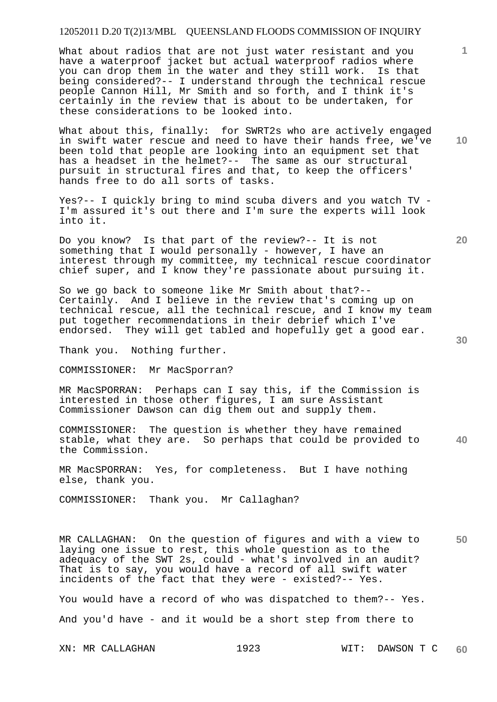What about radios that are not just water resistant and you have a waterproof jacket but actual waterproof radios where you can drop them in the water and they still work. Is that being considered?-- I understand through the technical rescue people Cannon Hill, Mr Smith and so forth, and I think it's certainly in the review that is about to be undertaken, for these considerations to be looked into.

What about this, finally: for SWRT2s who are actively engaged in swift water rescue and need to have their hands free, we've been told that people are looking into an equipment set that has a headset in the helmet?-- The same as our structural pursuit in structural fires and that, to keep the officers' hands free to do all sorts of tasks.

Yes?-- I quickly bring to mind scuba divers and you watch TV - I'm assured it's out there and I'm sure the experts will look into it.

Do you know? Is that part of the review?-- It is not something that I would personally - however, I have an interest through my committee, my technical rescue coordinator chief super, and I know they're passionate about pursuing it.

So we go back to someone like Mr Smith about that?-- Certainly. And I believe in the review that's coming up on technical rescue, all the technical rescue, and I know my team put together recommendations in their debrief which I've endorsed. They will get tabled and hopefully get a good ear.

Thank you. Nothing further.

COMMISSIONER: Mr MacSporran?

MR MacSPORRAN: Perhaps can I say this, if the Commission is interested in those other figures, I am sure Assistant Commissioner Dawson can dig them out and supply them.

**40**  COMMISSIONER: The question is whether they have remained stable, what they are. So perhaps that could be provided to the Commission.

MR MacSPORRAN: Yes, for completeness. But I have nothing else, thank you.

COMMISSIONER: Thank you. Mr Callaghan?

**50**  MR CALLAGHAN: On the question of figures and with a view to laying one issue to rest, this whole question as to the adequacy of the SWT 2s, could - what's involved in an audit? That is to say, you would have a record of all swift water incidents of the fact that they were - existed?-- Yes.

You would have a record of who was dispatched to them?-- Yes. And you'd have - and it would be a short step from there to

**10** 

**1**

**30**